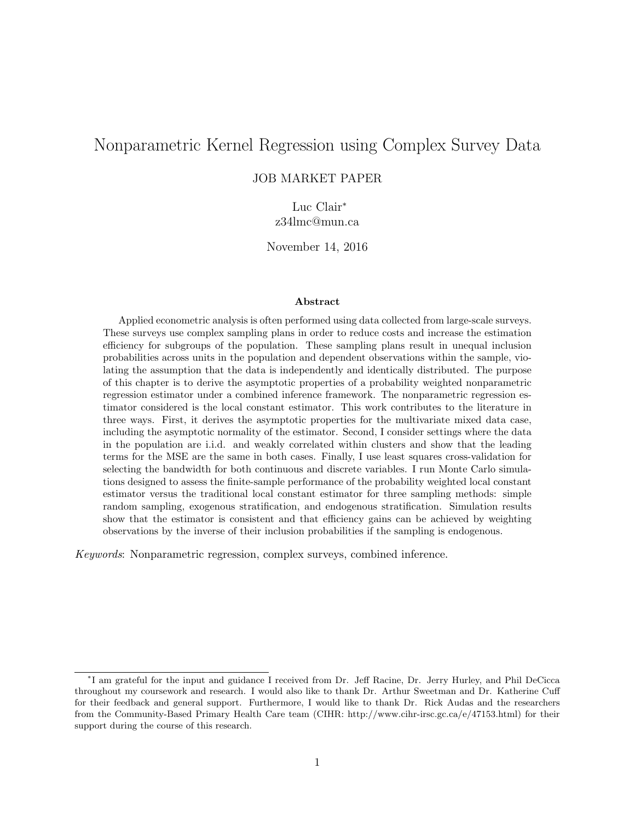# Nonparametric Kernel Regression using Complex Survey Data

### JOB MARKET PAPER

Luc Clair<sup>∗</sup> z34lmc@mun.ca

November 14, 2016

#### Abstract

Applied econometric analysis is often performed using data collected from large-scale surveys. These surveys use complex sampling plans in order to reduce costs and increase the estimation efficiency for subgroups of the population. These sampling plans result in unequal inclusion probabilities across units in the population and dependent observations within the sample, violating the assumption that the data is independently and identically distributed. The purpose of this chapter is to derive the asymptotic properties of a probability weighted nonparametric regression estimator under a combined inference framework. The nonparametric regression estimator considered is the local constant estimator. This work contributes to the literature in three ways. First, it derives the asymptotic properties for the multivariate mixed data case, including the asymptotic normality of the estimator. Second, I consider settings where the data in the population are i.i.d. and weakly correlated within clusters and show that the leading terms for the MSE are the same in both cases. Finally, I use least squares cross-validation for selecting the bandwidth for both continuous and discrete variables. I run Monte Carlo simulations designed to assess the finite-sample performance of the probability weighted local constant estimator versus the traditional local constant estimator for three sampling methods: simple random sampling, exogenous stratification, and endogenous stratification. Simulation results show that the estimator is consistent and that efficiency gains can be achieved by weighting observations by the inverse of their inclusion probabilities if the sampling is endogenous.

Keywords: Nonparametric regression, complex surveys, combined inference.

<sup>∗</sup> I am grateful for the input and guidance I received from Dr. Jeff Racine, Dr. Jerry Hurley, and Phil DeCicca throughout my coursework and research. I would also like to thank Dr. Arthur Sweetman and Dr. Katherine Cuff for their feedback and general support. Furthermore, I would like to thank Dr. Rick Audas and the researchers from the Community-Based Primary Health Care team (CIHR: http://www.cihr-irsc.gc.ca/e/47153.html) for their support during the course of this research.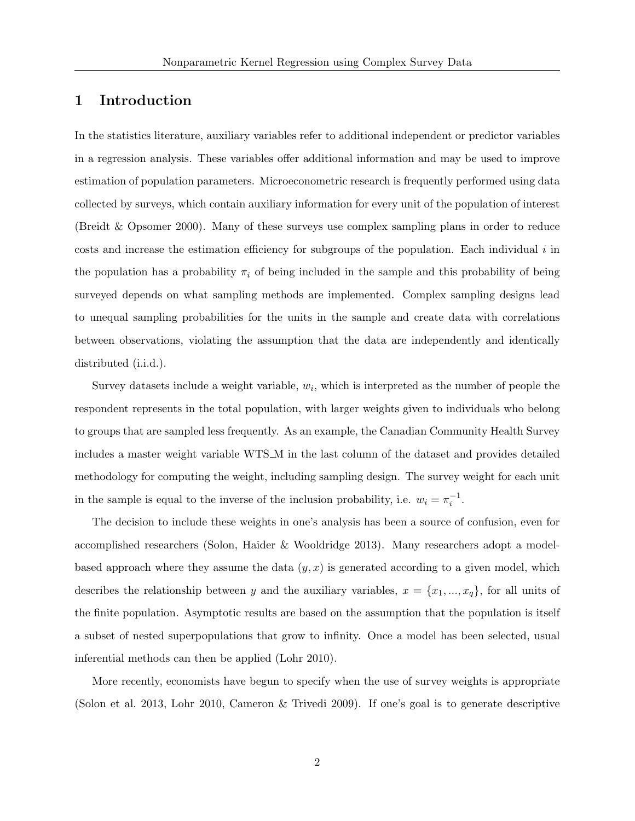# 1 Introduction

In the statistics literature, auxiliary variables refer to additional independent or predictor variables in a regression analysis. These variables offer additional information and may be used to improve estimation of population parameters. Microeconometric research is frequently performed using data collected by surveys, which contain auxiliary information for every unit of the population of interest (Breidt & Opsomer 2000). Many of these surveys use complex sampling plans in order to reduce costs and increase the estimation efficiency for subgroups of the population. Each individual  $i$  in the population has a probability  $\pi_i$  of being included in the sample and this probability of being surveyed depends on what sampling methods are implemented. Complex sampling designs lead to unequal sampling probabilities for the units in the sample and create data with correlations between observations, violating the assumption that the data are independently and identically distributed (i.i.d.).

Survey datasets include a weight variable,  $w_i$ , which is interpreted as the number of people the respondent represents in the total population, with larger weights given to individuals who belong to groups that are sampled less frequently. As an example, the Canadian Community Health Survey includes a master weight variable WTS M in the last column of the dataset and provides detailed methodology for computing the weight, including sampling design. The survey weight for each unit in the sample is equal to the inverse of the inclusion probability, i.e.  $w_i = \pi_i^{-1}$ .

The decision to include these weights in one's analysis has been a source of confusion, even for accomplished researchers (Solon, Haider & Wooldridge 2013). Many researchers adopt a modelbased approach where they assume the data  $(y, x)$  is generated according to a given model, which describes the relationship between y and the auxiliary variables,  $x = \{x_1, ..., x_q\}$ , for all units of the finite population. Asymptotic results are based on the assumption that the population is itself a subset of nested superpopulations that grow to infinity. Once a model has been selected, usual inferential methods can then be applied (Lohr 2010).

More recently, economists have begun to specify when the use of survey weights is appropriate (Solon et al. 2013, Lohr 2010, Cameron & Trivedi 2009). If one's goal is to generate descriptive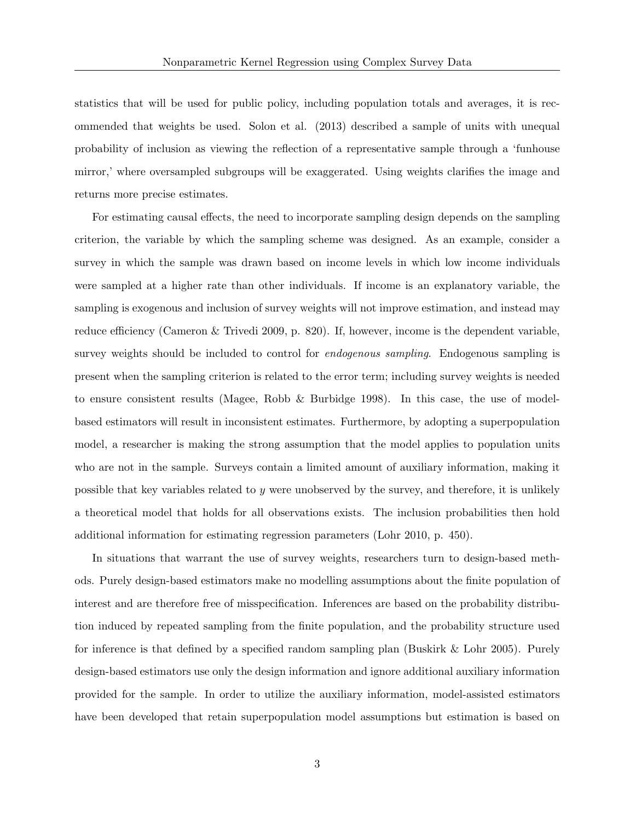statistics that will be used for public policy, including population totals and averages, it is recommended that weights be used. Solon et al. (2013) described a sample of units with unequal probability of inclusion as viewing the reflection of a representative sample through a 'funhouse mirror,' where oversampled subgroups will be exaggerated. Using weights clarifies the image and returns more precise estimates.

For estimating causal effects, the need to incorporate sampling design depends on the sampling criterion, the variable by which the sampling scheme was designed. As an example, consider a survey in which the sample was drawn based on income levels in which low income individuals were sampled at a higher rate than other individuals. If income is an explanatory variable, the sampling is exogenous and inclusion of survey weights will not improve estimation, and instead may reduce efficiency (Cameron & Trivedi 2009, p. 820). If, however, income is the dependent variable, survey weights should be included to control for *endogenous sampling*. Endogenous sampling is present when the sampling criterion is related to the error term; including survey weights is needed to ensure consistent results (Magee, Robb & Burbidge 1998). In this case, the use of modelbased estimators will result in inconsistent estimates. Furthermore, by adopting a superpopulation model, a researcher is making the strong assumption that the model applies to population units who are not in the sample. Surveys contain a limited amount of auxiliary information, making it possible that key variables related to y were unobserved by the survey, and therefore, it is unlikely a theoretical model that holds for all observations exists. The inclusion probabilities then hold additional information for estimating regression parameters (Lohr 2010, p. 450).

In situations that warrant the use of survey weights, researchers turn to design-based methods. Purely design-based estimators make no modelling assumptions about the finite population of interest and are therefore free of misspecification. Inferences are based on the probability distribution induced by repeated sampling from the finite population, and the probability structure used for inference is that defined by a specified random sampling plan (Buskirk & Lohr 2005). Purely design-based estimators use only the design information and ignore additional auxiliary information provided for the sample. In order to utilize the auxiliary information, model-assisted estimators have been developed that retain superpopulation model assumptions but estimation is based on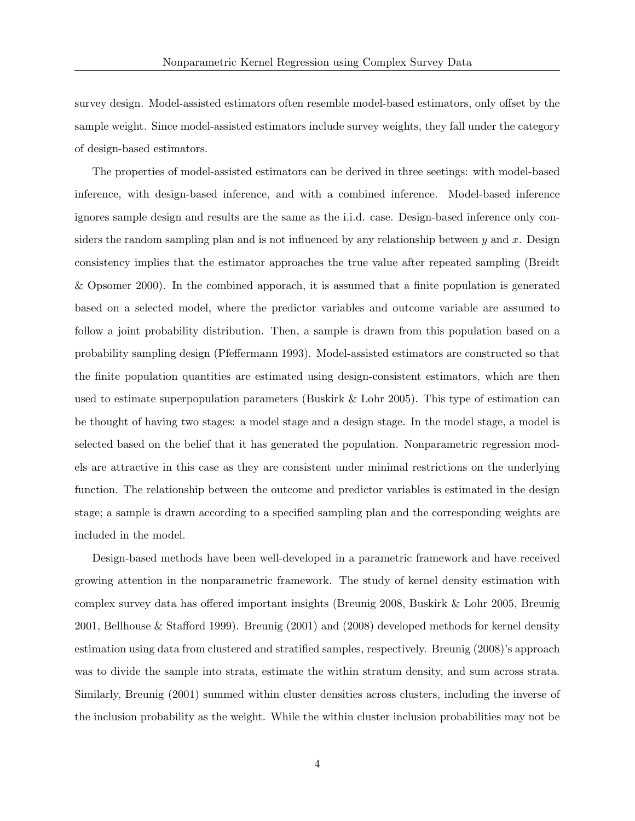survey design. Model-assisted estimators often resemble model-based estimators, only offset by the sample weight. Since model-assisted estimators include survey weights, they fall under the category of design-based estimators.

The properties of model-assisted estimators can be derived in three seetings: with model-based inference, with design-based inference, and with a combined inference. Model-based inference ignores sample design and results are the same as the i.i.d. case. Design-based inference only considers the random sampling plan and is not influenced by any relationship between  $y$  and  $x$ . Design consistency implies that the estimator approaches the true value after repeated sampling (Breidt & Opsomer 2000). In the combined apporach, it is assumed that a finite population is generated based on a selected model, where the predictor variables and outcome variable are assumed to follow a joint probability distribution. Then, a sample is drawn from this population based on a probability sampling design (Pfeffermann 1993). Model-assisted estimators are constructed so that the finite population quantities are estimated using design-consistent estimators, which are then used to estimate superpopulation parameters (Buskirk  $&$  Lohr 2005). This type of estimation can be thought of having two stages: a model stage and a design stage. In the model stage, a model is selected based on the belief that it has generated the population. Nonparametric regression models are attractive in this case as they are consistent under minimal restrictions on the underlying function. The relationship between the outcome and predictor variables is estimated in the design stage; a sample is drawn according to a specified sampling plan and the corresponding weights are included in the model.

Design-based methods have been well-developed in a parametric framework and have received growing attention in the nonparametric framework. The study of kernel density estimation with complex survey data has offered important insights (Breunig 2008, Buskirk & Lohr 2005, Breunig 2001, Bellhouse & Stafford 1999). Breunig (2001) and (2008) developed methods for kernel density estimation using data from clustered and stratified samples, respectively. Breunig (2008)'s approach was to divide the sample into strata, estimate the within stratum density, and sum across strata. Similarly, Breunig (2001) summed within cluster densities across clusters, including the inverse of the inclusion probability as the weight. While the within cluster inclusion probabilities may not be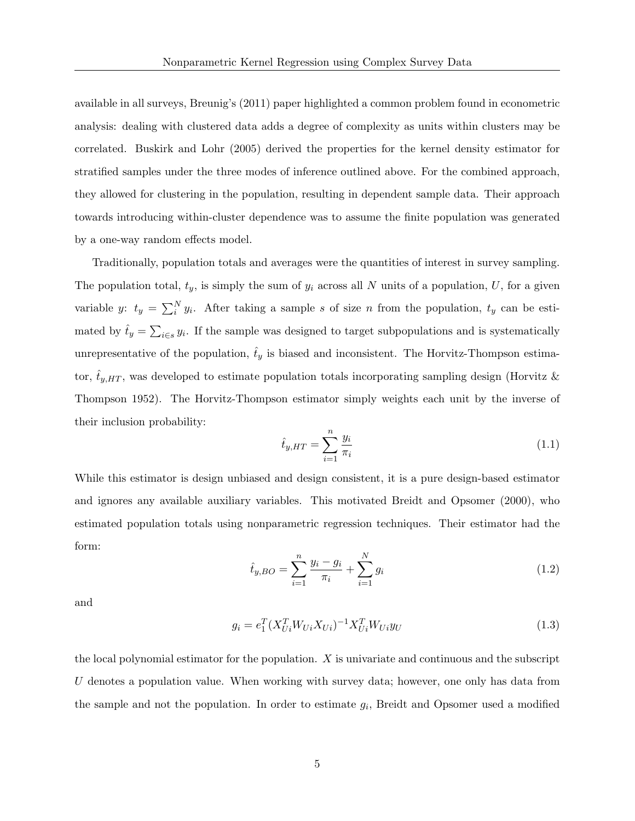available in all surveys, Breunig's (2011) paper highlighted a common problem found in econometric analysis: dealing with clustered data adds a degree of complexity as units within clusters may be correlated. Buskirk and Lohr (2005) derived the properties for the kernel density estimator for stratified samples under the three modes of inference outlined above. For the combined approach, they allowed for clustering in the population, resulting in dependent sample data. Their approach towards introducing within-cluster dependence was to assume the finite population was generated by a one-way random effects model.

Traditionally, population totals and averages were the quantities of interest in survey sampling. The population total,  $t_y$ , is simply the sum of  $y_i$  across all N units of a population, U, for a given variable y:  $t_y = \sum_i^N y_i$ . After taking a sample s of size n from the population,  $t_y$  can be estimated by  $\hat{t}_y = \sum_{i \in s} y_i$ . If the sample was designed to target subpopulations and is systematically unrepresentative of the population,  $\hat{t}_y$  is biased and inconsistent. The Horvitz-Thompson estimator,  $t_{y,HT}$ , was developed to estimate population totals incorporating sampling design (Horvitz & Thompson 1952). The Horvitz-Thompson estimator simply weights each unit by the inverse of their inclusion probability:

$$
\hat{t}_{y,HT} = \sum_{i=1}^{n} \frac{y_i}{\pi_i} \tag{1.1}
$$

While this estimator is design unbiased and design consistent, it is a pure design-based estimator and ignores any available auxiliary variables. This motivated Breidt and Opsomer (2000), who estimated population totals using nonparametric regression techniques. Their estimator had the form:

$$
\hat{t}_{y,BO} = \sum_{i=1}^{n} \frac{y_i - g_i}{\pi_i} + \sum_{i=1}^{N} g_i
$$
\n(1.2)

and

$$
g_i = e_1^T (X_{Ui}^T W_{Ui} X_{Ui})^{-1} X_{Ui}^T W_{Ui} y_U
$$
\n(1.3)

the local polynomial estimator for the population.  $X$  is univariate and continuous and the subscript U denotes a population value. When working with survey data; however, one only has data from the sample and not the population. In order to estimate  $g_i$ , Breidt and Opsomer used a modified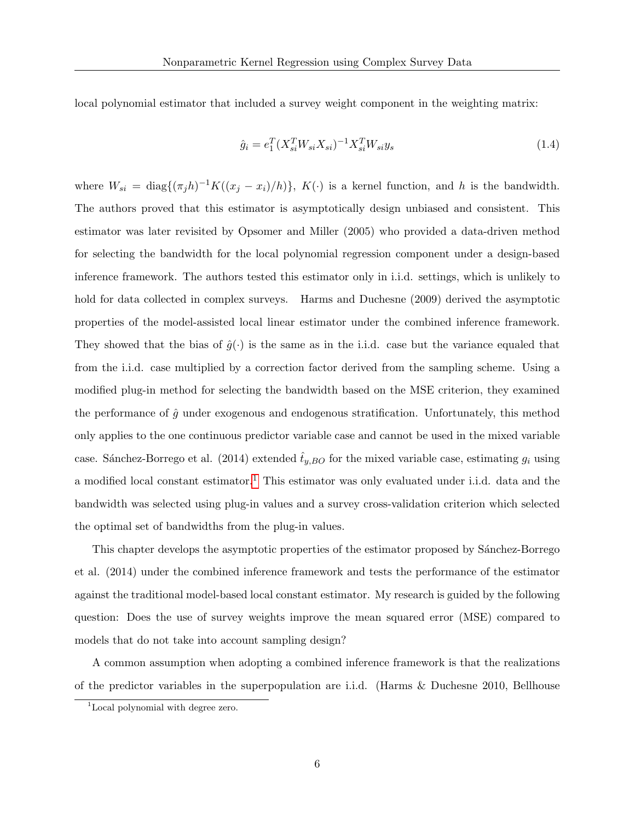local polynomial estimator that included a survey weight component in the weighting matrix:

$$
\hat{g}_i = e_1^T (X_{si}^T W_{si} X_{si})^{-1} X_{si}^T W_{si} y_s \tag{1.4}
$$

where  $W_{si} = \text{diag}\{(\pi_j h)^{-1} K((x_j - x_i)/h)\}, K(\cdot)$  is a kernel function, and h is the bandwidth. The authors proved that this estimator is asymptotically design unbiased and consistent. This estimator was later revisited by Opsomer and Miller (2005) who provided a data-driven method for selecting the bandwidth for the local polynomial regression component under a design-based inference framework. The authors tested this estimator only in i.i.d. settings, which is unlikely to hold for data collected in complex surveys. Harms and Duchesne (2009) derived the asymptotic properties of the model-assisted local linear estimator under the combined inference framework. They showed that the bias of  $\hat{g}(\cdot)$  is the same as in the i.i.d. case but the variance equaled that from the i.i.d. case multiplied by a correction factor derived from the sampling scheme. Using a modified plug-in method for selecting the bandwidth based on the MSE criterion, they examined the performance of  $\hat{g}$  under exogenous and endogenous stratification. Unfortunately, this method only applies to the one continuous predictor variable case and cannot be used in the mixed variable case. Sánchez-Borrego et al. (2014) extended  $\hat{t}_{y,BO}$  for the mixed variable case, estimating  $g_i$  using a modified local constant estimator.[1](#page-5-0) This estimator was only evaluated under i.i.d. data and the bandwidth was selected using plug-in values and a survey cross-validation criterion which selected the optimal set of bandwidths from the plug-in values.

This chapter develops the asymptotic properties of the estimator proposed by Sánchez-Borrego et al. (2014) under the combined inference framework and tests the performance of the estimator against the traditional model-based local constant estimator. My research is guided by the following question: Does the use of survey weights improve the mean squared error (MSE) compared to models that do not take into account sampling design?

A common assumption when adopting a combined inference framework is that the realizations of the predictor variables in the superpopulation are i.i.d. (Harms & Duchesne 2010, Bellhouse

<span id="page-5-0"></span><sup>&</sup>lt;sup>1</sup>Local polynomial with degree zero.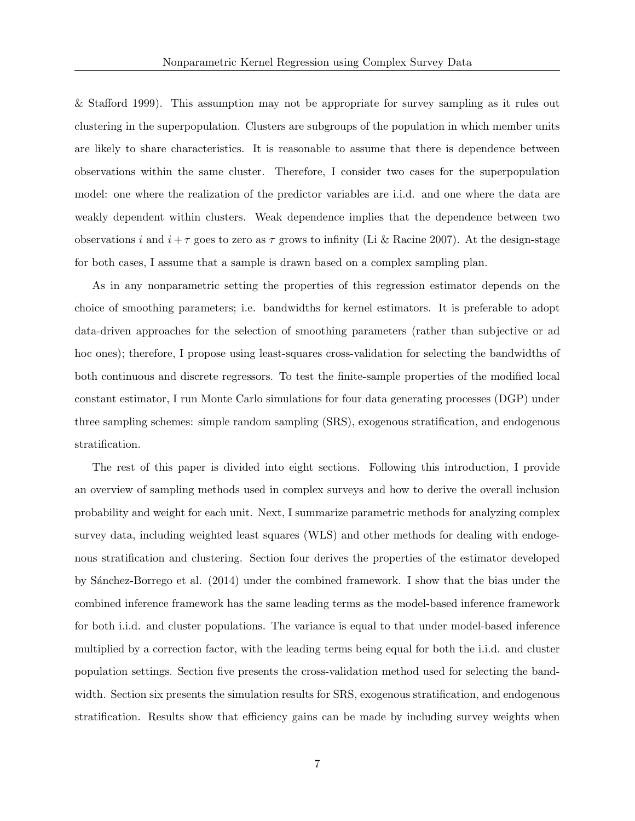& Stafford 1999). This assumption may not be appropriate for survey sampling as it rules out clustering in the superpopulation. Clusters are subgroups of the population in which member units are likely to share characteristics. It is reasonable to assume that there is dependence between observations within the same cluster. Therefore, I consider two cases for the superpopulation model: one where the realization of the predictor variables are i.i.d. and one where the data are weakly dependent within clusters. Weak dependence implies that the dependence between two observations i and  $i + \tau$  goes to zero as  $\tau$  grows to infinity (Li & Racine 2007). At the design-stage for both cases, I assume that a sample is drawn based on a complex sampling plan.

As in any nonparametric setting the properties of this regression estimator depends on the choice of smoothing parameters; i.e. bandwidths for kernel estimators. It is preferable to adopt data-driven approaches for the selection of smoothing parameters (rather than subjective or ad hoc ones); therefore, I propose using least-squares cross-validation for selecting the bandwidths of both continuous and discrete regressors. To test the finite-sample properties of the modified local constant estimator, I run Monte Carlo simulations for four data generating processes (DGP) under three sampling schemes: simple random sampling (SRS), exogenous stratification, and endogenous stratification.

The rest of this paper is divided into eight sections. Following this introduction, I provide an overview of sampling methods used in complex surveys and how to derive the overall inclusion probability and weight for each unit. Next, I summarize parametric methods for analyzing complex survey data, including weighted least squares (WLS) and other methods for dealing with endogenous stratification and clustering. Section four derives the properties of the estimator developed by S´anchez-Borrego et al. (2014) under the combined framework. I show that the bias under the combined inference framework has the same leading terms as the model-based inference framework for both i.i.d. and cluster populations. The variance is equal to that under model-based inference multiplied by a correction factor, with the leading terms being equal for both the i.i.d. and cluster population settings. Section five presents the cross-validation method used for selecting the bandwidth. Section six presents the simulation results for SRS, exogenous stratification, and endogenous stratification. Results show that efficiency gains can be made by including survey weights when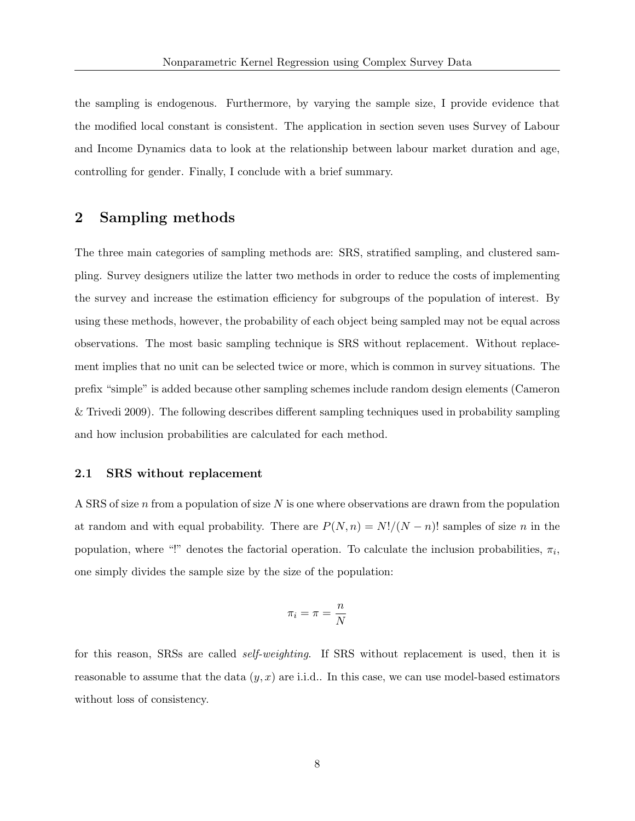the sampling is endogenous. Furthermore, by varying the sample size, I provide evidence that the modified local constant is consistent. The application in section seven uses Survey of Labour and Income Dynamics data to look at the relationship between labour market duration and age, controlling for gender. Finally, I conclude with a brief summary.

# 2 Sampling methods

The three main categories of sampling methods are: SRS, stratified sampling, and clustered sampling. Survey designers utilize the latter two methods in order to reduce the costs of implementing the survey and increase the estimation efficiency for subgroups of the population of interest. By using these methods, however, the probability of each object being sampled may not be equal across observations. The most basic sampling technique is SRS without replacement. Without replacement implies that no unit can be selected twice or more, which is common in survey situations. The prefix "simple" is added because other sampling schemes include random design elements (Cameron & Trivedi 2009). The following describes different sampling techniques used in probability sampling and how inclusion probabilities are calculated for each method.

#### 2.1 SRS without replacement

A SRS of size  $n$  from a population of size  $N$  is one where observations are drawn from the population at random and with equal probability. There are  $P(N, n) = N!/(N - n)!$  samples of size n in the population, where "!" denotes the factorial operation. To calculate the inclusion probabilities,  $\pi_i$ , one simply divides the sample size by the size of the population:

$$
\pi_i = \pi = \frac{n}{N}
$$

<span id="page-7-0"></span>for this reason, SRSs are called self-weighting. If SRS without replacement is used, then it is reasonable to assume that the data  $(y, x)$  are i.i.d.. In this case, we can use model-based estimators without loss of consistency.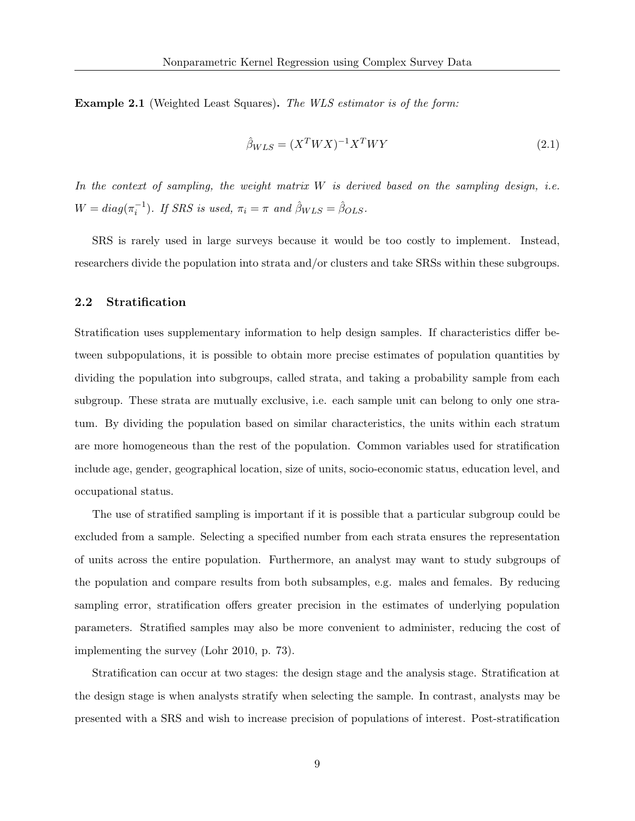Example 2.1 (Weighted Least Squares). The WLS estimator is of the form:

$$
\hat{\beta}_{WLS} = (X^T W X)^{-1} X^T W Y \tag{2.1}
$$

In the context of sampling, the weight matrix  $W$  is derived based on the sampling design, i.e.  $W = diag(\pi_i^{-1})$ . If SRS is used,  $\pi_i = \pi$  and  $\hat{\beta}_{WLS} = \hat{\beta}_{OLS}$ .

SRS is rarely used in large surveys because it would be too costly to implement. Instead, researchers divide the population into strata and/or clusters and take SRSs within these subgroups.

#### 2.2 Stratification

Stratification uses supplementary information to help design samples. If characteristics differ between subpopulations, it is possible to obtain more precise estimates of population quantities by dividing the population into subgroups, called strata, and taking a probability sample from each subgroup. These strata are mutually exclusive, i.e. each sample unit can belong to only one stratum. By dividing the population based on similar characteristics, the units within each stratum are more homogeneous than the rest of the population. Common variables used for stratification include age, gender, geographical location, size of units, socio-economic status, education level, and occupational status.

The use of stratified sampling is important if it is possible that a particular subgroup could be excluded from a sample. Selecting a specified number from each strata ensures the representation of units across the entire population. Furthermore, an analyst may want to study subgroups of the population and compare results from both subsamples, e.g. males and females. By reducing sampling error, stratification offers greater precision in the estimates of underlying population parameters. Stratified samples may also be more convenient to administer, reducing the cost of implementing the survey (Lohr 2010, p. 73).

Stratification can occur at two stages: the design stage and the analysis stage. Stratification at the design stage is when analysts stratify when selecting the sample. In contrast, analysts may be presented with a SRS and wish to increase precision of populations of interest. Post-stratification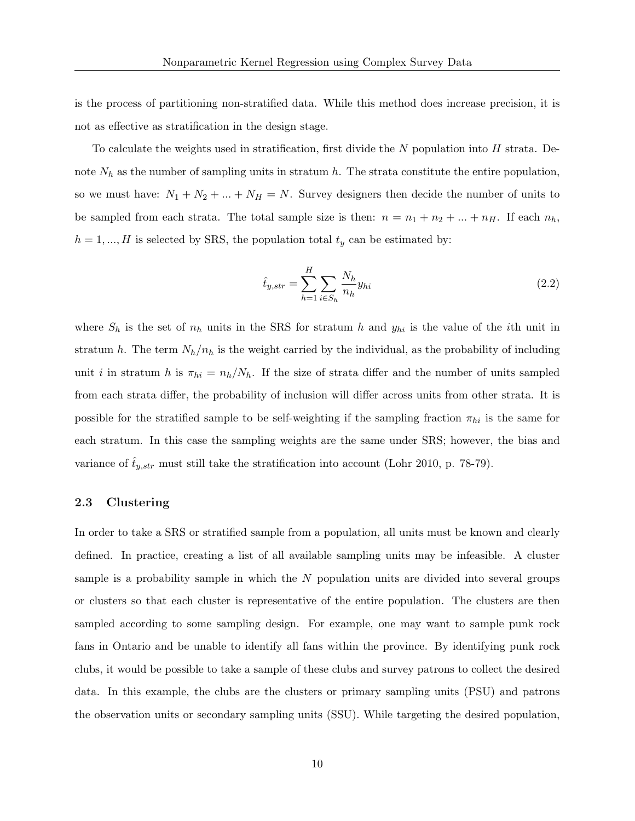is the process of partitioning non-stratified data. While this method does increase precision, it is not as effective as stratification in the design stage.

To calculate the weights used in stratification, first divide the N population into  $H$  strata. Denote  $N_h$  as the number of sampling units in stratum h. The strata constitute the entire population, so we must have:  $N_1 + N_2 + ... + N_H = N$ . Survey designers then decide the number of units to be sampled from each strata. The total sample size is then:  $n = n_1 + n_2 + ... + n_H$ . If each  $n_h$ ,  $h = 1, ..., H$  is selected by SRS, the population total  $t<sub>y</sub>$  can be estimated by:

$$
\hat{t}_{y,str} = \sum_{h=1}^{H} \sum_{i \in S_h} \frac{N_h}{n_h} y_{hi}
$$
\n(2.2)

where  $S_h$  is the set of  $n_h$  units in the SRS for stratum h and  $y_{hi}$  is the value of the ith unit in stratum h. The term  $N_h/n_h$  is the weight carried by the individual, as the probability of including unit i in stratum h is  $\pi_{hi} = n_h/N_h$ . If the size of strata differ and the number of units sampled from each strata differ, the probability of inclusion will differ across units from other strata. It is possible for the stratified sample to be self-weighting if the sampling fraction  $\pi_{hi}$  is the same for each stratum. In this case the sampling weights are the same under SRS; however, the bias and variance of  $\hat{t}_{y,str}$  must still take the stratification into account (Lohr 2010, p. 78-79).

#### 2.3 Clustering

In order to take a SRS or stratified sample from a population, all units must be known and clearly defined. In practice, creating a list of all available sampling units may be infeasible. A cluster sample is a probability sample in which the  $N$  population units are divided into several groups or clusters so that each cluster is representative of the entire population. The clusters are then sampled according to some sampling design. For example, one may want to sample punk rock fans in Ontario and be unable to identify all fans within the province. By identifying punk rock clubs, it would be possible to take a sample of these clubs and survey patrons to collect the desired data. In this example, the clubs are the clusters or primary sampling units (PSU) and patrons the observation units or secondary sampling units (SSU). While targeting the desired population,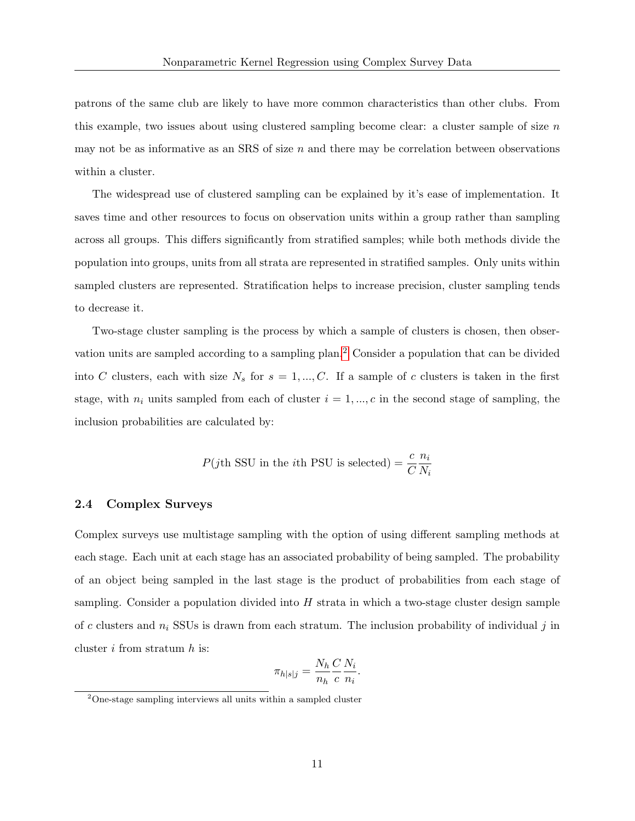patrons of the same club are likely to have more common characteristics than other clubs. From this example, two issues about using clustered sampling become clear: a cluster sample of size  $n$ may not be as informative as an SRS of size  $n$  and there may be correlation between observations within a cluster.

The widespread use of clustered sampling can be explained by it's ease of implementation. It saves time and other resources to focus on observation units within a group rather than sampling across all groups. This differs significantly from stratified samples; while both methods divide the population into groups, units from all strata are represented in stratified samples. Only units within sampled clusters are represented. Stratification helps to increase precision, cluster sampling tends to decrease it.

Two-stage cluster sampling is the process by which a sample of clusters is chosen, then observation units are sampled according to a sampling plan.[2](#page-10-0) Consider a population that can be divided into C clusters, each with size  $N_s$  for  $s = 1, ..., C$ . If a sample of c clusters is taken in the first stage, with  $n_i$  units sampled from each of cluster  $i = 1, ..., c$  in the second stage of sampling, the inclusion probabilities are calculated by:

$$
P(j\text{th} \text{ SSU}
$$
 in the *i*th PSU is selected) =  $\frac{c}{C}\frac{n_i}{N_i}$ 

#### 2.4 Complex Surveys

Complex surveys use multistage sampling with the option of using different sampling methods at each stage. Each unit at each stage has an associated probability of being sampled. The probability of an object being sampled in the last stage is the product of probabilities from each stage of sampling. Consider a population divided into  $H$  strata in which a two-stage cluster design sample of c clusters and  $n_i$  SSUs is drawn from each stratum. The inclusion probability of individual j in cluster  $i$  from stratum  $h$  is:

$$
\pi_{h|s|j} = \frac{N_h}{n_h} \frac{C}{c} \frac{N_i}{n_i}.
$$

<span id="page-10-0"></span><sup>2</sup>One-stage sampling interviews all units within a sampled cluster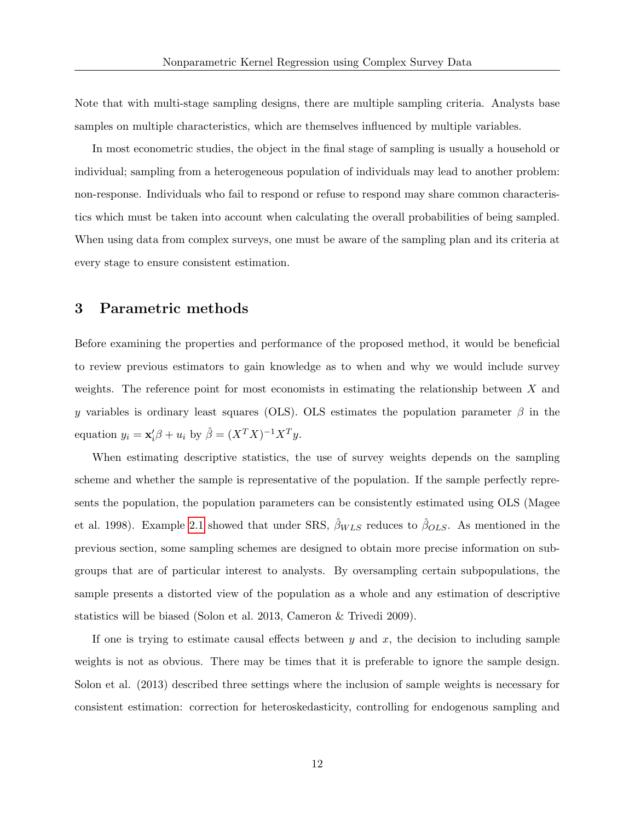Note that with multi-stage sampling designs, there are multiple sampling criteria. Analysts base samples on multiple characteristics, which are themselves influenced by multiple variables.

In most econometric studies, the object in the final stage of sampling is usually a household or individual; sampling from a heterogeneous population of individuals may lead to another problem: non-response. Individuals who fail to respond or refuse to respond may share common characteristics which must be taken into account when calculating the overall probabilities of being sampled. When using data from complex surveys, one must be aware of the sampling plan and its criteria at every stage to ensure consistent estimation.

### 3 Parametric methods

Before examining the properties and performance of the proposed method, it would be beneficial to review previous estimators to gain knowledge as to when and why we would include survey weights. The reference point for most economists in estimating the relationship between  $X$  and y variables is ordinary least squares (OLS). OLS estimates the population parameter  $\beta$  in the equation  $y_i = \mathbf{x}'_i \beta + u_i$  by  $\hat{\beta} = (X^T X)^{-1} X^T y$ .

When estimating descriptive statistics, the use of survey weights depends on the sampling scheme and whether the sample is representative of the population. If the sample perfectly represents the population, the population parameters can be consistently estimated using OLS (Magee et al. 1998). Example [2.1](#page-7-0) showed that under SRS,  $\hat{\beta}_{WLS}$  reduces to  $\hat{\beta}_{OLS}$ . As mentioned in the previous section, some sampling schemes are designed to obtain more precise information on subgroups that are of particular interest to analysts. By oversampling certain subpopulations, the sample presents a distorted view of the population as a whole and any estimation of descriptive statistics will be biased (Solon et al. 2013, Cameron & Trivedi 2009).

If one is trying to estimate causal effects between  $y$  and  $x$ , the decision to including sample weights is not as obvious. There may be times that it is preferable to ignore the sample design. Solon et al. (2013) described three settings where the inclusion of sample weights is necessary for consistent estimation: correction for heteroskedasticity, controlling for endogenous sampling and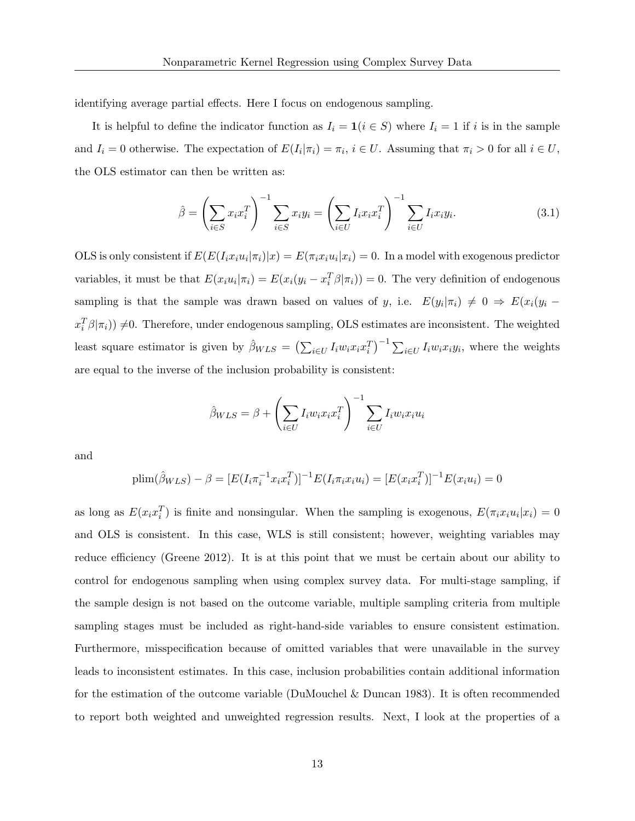identifying average partial effects. Here I focus on endogenous sampling.

It is helpful to define the indicator function as  $I_i = \mathbf{1}(i \in S)$  where  $I_i = 1$  if i is in the sample and  $I_i = 0$  otherwise. The expectation of  $E(I_i|\pi_i) = \pi_i$ ,  $i \in U$ . Assuming that  $\pi_i > 0$  for all  $i \in U$ , the OLS estimator can then be written as:

$$
\hat{\beta} = \left(\sum_{i \in S} x_i x_i^T\right)^{-1} \sum_{i \in S} x_i y_i = \left(\sum_{i \in U} I_i x_i x_i^T\right)^{-1} \sum_{i \in U} I_i x_i y_i.
$$
\n(3.1)

OLS is only consistent if  $E(E(I_ix_iu_i|\pi_i)|x) = E(\pi_ix_iu_i|x_i) = 0$ . In a model with exogenous predictor variables, it must be that  $E(x_i u_i | \pi_i) = E(x_i(y_i - x_i^T \beta | \pi_i)) = 0$ . The very definition of endogenous sampling is that the sample was drawn based on values of y, i.e.  $E(y_i|\pi_i) \neq 0 \Rightarrow E(x_i|y_i$  $x_i^T \beta |\pi_i)$   $\neq$  0. Therefore, under endogenous sampling, OLS estimates are inconsistent. The weighted least square estimator is given by  $\hat{\beta}_{WLS} = \left(\sum_{i \in U} I_i w_i x_i x_i^T\right)^{-1} \sum_{i \in U} I_i w_i x_i y_i$ , where the weights are equal to the inverse of the inclusion probability is consistent:

$$
\hat{\beta}_{WLS} = \beta + \left(\sum_{i \in U} I_i w_i x_i x_i^T\right)^{-1} \sum_{i \in U} I_i w_i x_i u_i
$$

and

$$
\text{plim}(\hat{\beta}_{WLS}) - \beta = [E(I_i \pi_i^{-1} x_i x_i^T)]^{-1} E(I_i \pi_i x_i u_i) = [E(x_i x_i^T)]^{-1} E(x_i u_i) = 0
$$

as long as  $E(x_ix_i^T)$  is finite and nonsingular. When the sampling is exogenous,  $E(\pi_ix_iu_i|x_i) = 0$ and OLS is consistent. In this case, WLS is still consistent; however, weighting variables may reduce efficiency (Greene 2012). It is at this point that we must be certain about our ability to control for endogenous sampling when using complex survey data. For multi-stage sampling, if the sample design is not based on the outcome variable, multiple sampling criteria from multiple sampling stages must be included as right-hand-side variables to ensure consistent estimation. Furthermore, misspecification because of omitted variables that were unavailable in the survey leads to inconsistent estimates. In this case, inclusion probabilities contain additional information for the estimation of the outcome variable (DuMouchel & Duncan 1983). It is often recommended to report both weighted and unweighted regression results. Next, I look at the properties of a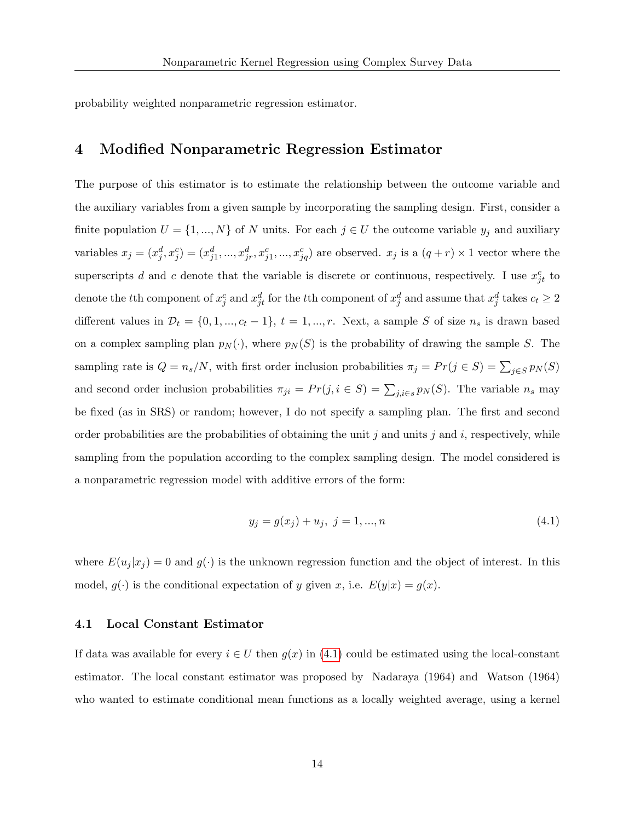probability weighted nonparametric regression estimator.

# 4 Modified Nonparametric Regression Estimator

The purpose of this estimator is to estimate the relationship between the outcome variable and the auxiliary variables from a given sample by incorporating the sampling design. First, consider a finite population  $U = \{1, ..., N\}$  of N units. For each  $j \in U$  the outcome variable  $y_j$  and auxiliary variables  $x_j = (x_j^d, x_j^c) = (x_{j1}^d, ..., x_{jr}^d, x_{j1}^c, ..., x_{jq}^c)$  are observed.  $x_j$  is a  $(q+r) \times 1$  vector where the superscripts d and c denote that the variable is discrete or continuous, respectively. I use  $x_{jt}^c$  to denote the tth component of  $x_j^c$  and  $x_{jt}^d$  for the tth component of  $x_j^d$  and assume that  $x_j^d$  takes  $c_t \geq 2$ different values in  $\mathcal{D}_t = \{0, 1, ..., c_t - 1\}, t = 1, ..., r$ . Next, a sample S of size  $n_s$  is drawn based on a complex sampling plan  $p_N(\cdot)$ , where  $p_N(S)$  is the probability of drawing the sample S. The sampling rate is  $Q = n_s/N$ , with first order inclusion probabilities  $\pi_j = Pr(j \in S) = \sum_{j \in S} p_N(S)$ and second order inclusion probabilities  $\pi_{ji} = Pr(j, i \in S) = \sum_{j,i \in S} p_N(S)$ . The variable  $n_s$  may be fixed (as in SRS) or random; however, I do not specify a sampling plan. The first and second order probabilities are the probabilities of obtaining the unit j and units j and i, respectively, while sampling from the population according to the complex sampling design. The model considered is a nonparametric regression model with additive errors of the form:

<span id="page-13-0"></span>
$$
y_j = g(x_j) + u_j, \ j = 1, ..., n \tag{4.1}
$$

where  $E(u_j | x_j) = 0$  and  $g(\cdot)$  is the unknown regression function and the object of interest. In this model,  $g(\cdot)$  is the conditional expectation of y given x, i.e.  $E(y|x) = g(x)$ .

#### 4.1 Local Constant Estimator

If data was available for every  $i \in U$  then  $g(x)$  in [\(4](#page-13-0).1) could be estimated using the local-constant estimator. The local constant estimator was proposed by Nadaraya (1964) and Watson (1964) who wanted to estimate conditional mean functions as a locally weighted average, using a kernel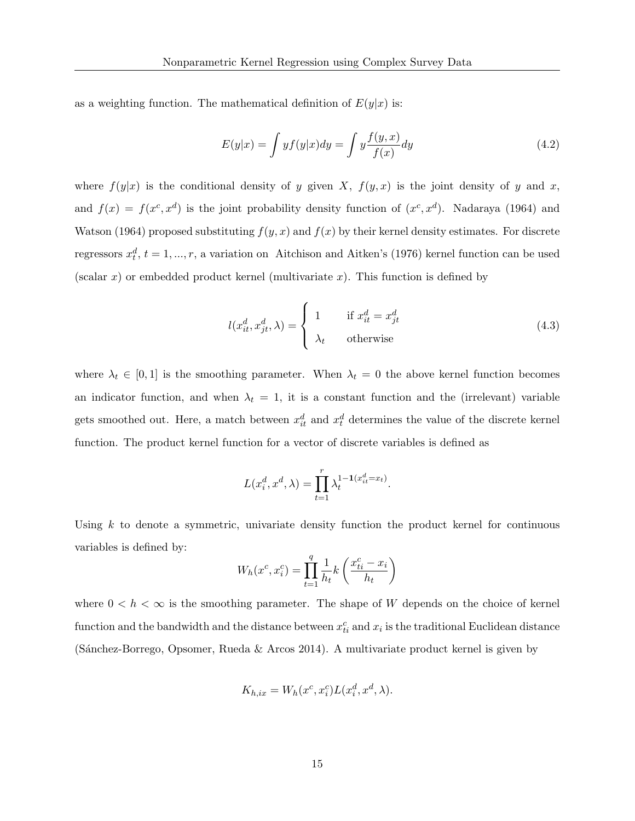as a weighting function. The mathematical definition of  $E(y|x)$  is:

<span id="page-14-0"></span>
$$
E(y|x) = \int y f(y|x) dy = \int y \frac{f(y,x)}{f(x)} dy
$$
\n(4.2)

where  $f(y|x)$  is the conditional density of y given X,  $f(y, x)$  is the joint density of y and x, and  $f(x) = f(x^c, x^d)$  is the joint probability density function of  $(x^c, x^d)$ . Nadaraya (1964) and Watson (1964) proposed substituting  $f(y, x)$  and  $f(x)$  by their kernel density estimates. For discrete regressors  $x_t^d$ ,  $t = 1, ..., r$ , a variation on Aitchison and Aitken's (1976) kernel function can be used (scalar x) or embedded product kernel (multivariate x). This function is defined by

<span id="page-14-1"></span>
$$
l(x_{it}^d, x_{jt}^d, \lambda) = \begin{cases} 1 & \text{if } x_{it}^d = x_{jt}^d \\ \lambda_t & \text{otherwise} \end{cases}
$$
 (4.3)

where  $\lambda_t \in [0,1]$  is the smoothing parameter. When  $\lambda_t = 0$  the above kernel function becomes an indicator function, and when  $\lambda_t = 1$ , it is a constant function and the (irrelevant) variable gets smoothed out. Here, a match between  $x_{it}^d$  and  $x_t^d$  determines the value of the discrete kernel function. The product kernel function for a vector of discrete variables is defined as

$$
L(x_i^d, x^d, \lambda) = \prod_{t=1}^r \lambda_t^{1 - \mathbf{1}(x_{it}^d = x_t)}.
$$

Using  $k$  to denote a symmetric, univariate density function the product kernel for continuous variables is defined by:

$$
W_h(x^c, x_i^c) = \prod_{t=1}^q \frac{1}{h_t} k\left(\frac{x_{ti}^c - x_i}{h_t}\right)
$$

where  $0 < h < \infty$  is the smoothing parameter. The shape of W depends on the choice of kernel function and the bandwidth and the distance between  $x_{ti}^c$  and  $x_i$  is the traditional Euclidean distance (Sánchez-Borrego, Opsomer, Rueda & Arcos 2014). A multivariate product kernel is given by

$$
K_{h,ix} = W_h(x^c, x_i^c) L(x_i^d, x^d, \lambda).
$$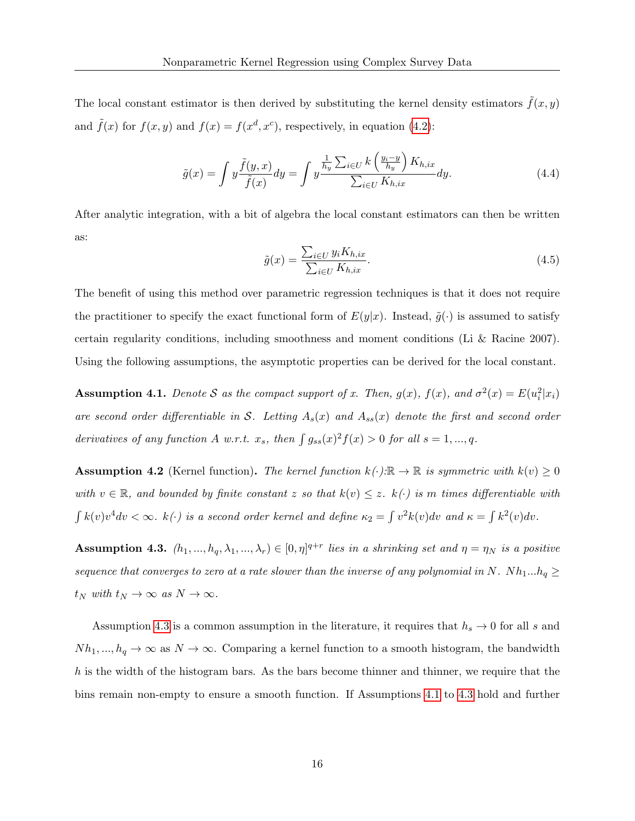The local constant estimator is then derived by substituting the kernel density estimators  $\tilde{f}(x, y)$ and  $\tilde{f}(x)$  for  $f(x, y)$  and  $f(x) = f(x^d, x^c)$ , respectively, in equation [\(4](#page-14-0).2):

$$
\tilde{g}(x) = \int y \frac{\tilde{f}(y,x)}{\tilde{f}(x)} dy = \int y \frac{\frac{1}{h_y} \sum_{i \in U} k \left(\frac{y_i - y}{h_y}\right) K_{h,ix}}{\sum_{i \in U} K_{h,ix}} dy.
$$
\n(4.4)

After analytic integration, with a bit of algebra the local constant estimators can then be written as:

<span id="page-15-2"></span>
$$
\tilde{g}(x) = \frac{\sum_{i \in U} y_i K_{h, ix}}{\sum_{i \in U} K_{h, ix}}.
$$
\n(4.5)

The benefit of using this method over parametric regression techniques is that it does not require the practitioner to specify the exact functional form of  $E(y|x)$ . Instead,  $\tilde{q}(\cdot)$  is assumed to satisfy certain regularity conditions, including smoothness and moment conditions (Li & Racine 2007). Using the following assumptions, the asymptotic properties can be derived for the local constant.

<span id="page-15-1"></span>**Assumption 4.1.** Denote S as the compact support of x. Then,  $g(x)$ ,  $f(x)$ , and  $\sigma^2(x) = E(u_i^2|x_i)$ are second order differentiable in S. Letting  $A_s(x)$  and  $A_{ss}(x)$  denote the first and second order derivatives of any function A w.r.t.  $x_s$ , then  $\int g_{ss}(x)^2 f(x) > 0$  for all  $s = 1, ..., q$ .

**Assumption 4.2** (Kernel function). The kernel function  $k(\cdot):\mathbb{R} \to \mathbb{R}$  is symmetric with  $k(v) \geq 0$ with  $v \in \mathbb{R}$ , and bounded by finite constant z so that  $k(v) \leq z$ .  $k(\cdot)$  is m times differentiable with  $\int k(v)v^4 dv < \infty$ .  $k(\cdot)$  is a second order kernel and define  $\kappa_2 = \int v^2k(v)dv$  and  $\kappa = \int k^2(v)dv$ .

<span id="page-15-0"></span>**Assumption 4.3.**  $(h_1, ..., h_q, \lambda_1, ..., \lambda_r) \in [0, \eta]^{q+r}$  lies in a shrinking set and  $\eta = \eta_N$  is a positive sequence that converges to zero at a rate slower than the inverse of any polynomial in N.  $Nh_1...h_q \ge$  $t_N$  with  $t_N \to \infty$  as  $N \to \infty$ .

Assumption [4.3](#page-15-0) is a common assumption in the literature, it requires that  $h_s \to 0$  for all s and  $Nh_1, ..., h_q \to \infty$  as  $N \to \infty$ . Comparing a kernel function to a smooth histogram, the bandwidth  $h$  is the width of the histogram bars. As the bars become thinner and thinner, we require that the bins remain non-empty to ensure a smooth function. If Assumptions [4.1](#page-15-1) to [4.3](#page-15-0) hold and further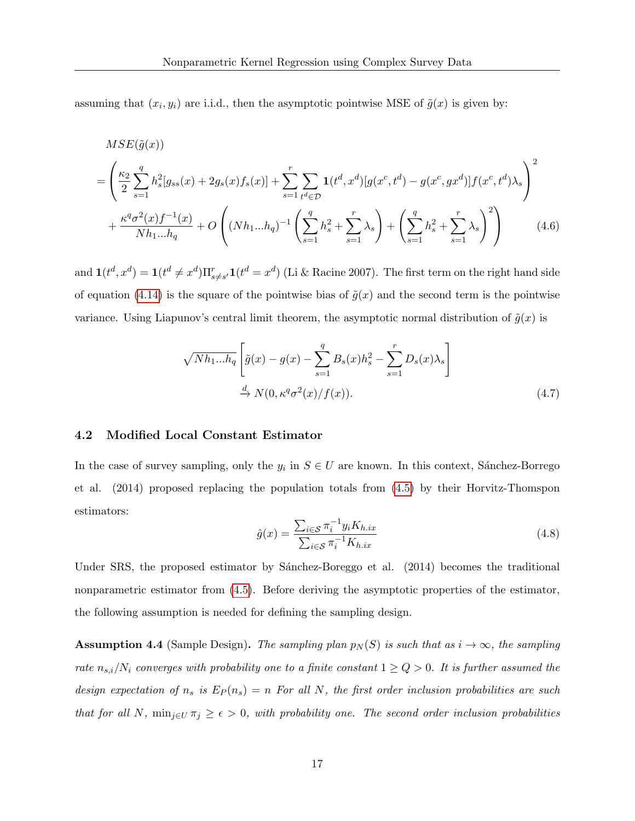assuming that  $(x_i, y_i)$  are i.i.d., then the asymptotic pointwise MSE of  $\tilde{g}(x)$  is given by:

$$
MSE(\tilde{g}(x))
$$
\n
$$
= \left(\frac{\kappa_2}{2} \sum_{s=1}^q h_s^2 [g_{ss}(x) + 2g_s(x)f_s(x)] + \sum_{s=1}^r \sum_{t^d \in \mathcal{D}} \mathbf{1}(t^d, x^d) [g(x^c, t^d) - g(x^c, gx^d)] f(x^c, t^d) \lambda_s \right)^2
$$
\n
$$
+ \frac{\kappa^q \sigma^2(x) f^{-1}(x)}{N h_1 ... h_q} + O\left( (Nh_1 ... h_q)^{-1} \left( \sum_{s=1}^q h_s^2 + \sum_{s=1}^r \lambda_s \right) + \left( \sum_{s=1}^q h_s^2 + \sum_{s=1}^r \lambda_s \right)^2 \right)
$$
\n(4.6)

and  $\mathbf{1}(t^d, x^d) = \mathbf{1}(t^d \neq x^d) \prod_{s \neq s'}^r \mathbf{1}(t^d = x^d)$  (Li & Racine 2007). The first term on the right hand side of equation (4.[14\)](#page-20-0) is the square of the pointwise bias of  $\tilde{g}(x)$  and the second term is the pointwise variance. Using Liapunov's central limit theorem, the asymptotic normal distribution of  $\tilde{g}(x)$  is

$$
\sqrt{Nh_{1}...h_q} \left[ \tilde{g}(x) - g(x) - \sum_{s=1}^q B_s(x)h_s^2 - \sum_{s=1}^r D_s(x)\lambda_s \right]
$$
  

$$
\stackrel{d}{\to} N(0, \kappa^q \sigma^2(x)/f(x)).
$$
 (4.7)

#### 4.2 Modified Local Constant Estimator

In the case of survey sampling, only the  $y_i$  in  $S \in U$  are known. In this context, Sánchez-Borrego et al. (2014) proposed replacing the population totals from (4.[5\)](#page-15-2) by their Horvitz-Thomspon estimators:

<span id="page-16-0"></span>
$$
\hat{g}(x) = \frac{\sum_{i \in \mathcal{S}} \pi_i^{-1} y_i K_{h. ix}}{\sum_{i \in \mathcal{S}} \pi_i^{-1} K_{h. ix}} \tag{4.8}
$$

Under SRS, the proposed estimator by Sánchez-Boreggo et al. (2014) becomes the traditional nonparametric estimator from [\(4](#page-15-2).5). Before deriving the asymptotic properties of the estimator, the following assumption is needed for defining the sampling design.

<span id="page-16-1"></span>**Assumption 4.4** (Sample Design). The sampling plan  $p_N(S)$  is such that as  $i \to \infty$ , the sampling rate  $n_{s,i}/N_i$  converges with probability one to a finite constant  $1 \ge Q > 0$ . It is further assumed the design expectation of  $n_s$  is  $E_P(n_s) = n$  For all N, the first order inclusion probabilities are such that for all N,  $\min_{j\in U} \pi_j \geq \epsilon > 0$ , with probability one. The second order inclusion probabilities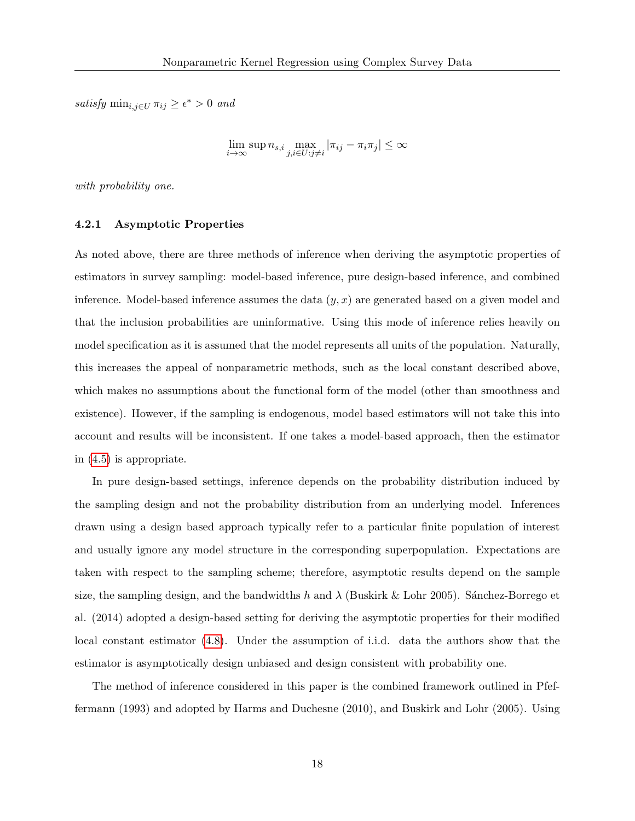satisfy  $\min_{i,j\in U} \pi_{ij} \geq \epsilon^* > 0$  and

$$
\lim_{i \to \infty} \sup n_{s,i} \max_{j,i \in U : j \neq i} |\pi_{ij} - \pi_i \pi_j| \le \infty
$$

with probability one.

#### 4.2.1 Asymptotic Properties

As noted above, there are three methods of inference when deriving the asymptotic properties of estimators in survey sampling: model-based inference, pure design-based inference, and combined inference. Model-based inference assumes the data  $(y, x)$  are generated based on a given model and that the inclusion probabilities are uninformative. Using this mode of inference relies heavily on model specification as it is assumed that the model represents all units of the population. Naturally, this increases the appeal of nonparametric methods, such as the local constant described above, which makes no assumptions about the functional form of the model (other than smoothness and existence). However, if the sampling is endogenous, model based estimators will not take this into account and results will be inconsistent. If one takes a model-based approach, then the estimator in (4.[5\)](#page-15-2) is appropriate.

In pure design-based settings, inference depends on the probability distribution induced by the sampling design and not the probability distribution from an underlying model. Inferences drawn using a design based approach typically refer to a particular finite population of interest and usually ignore any model structure in the corresponding superpopulation. Expectations are taken with respect to the sampling scheme; therefore, asymptotic results depend on the sample size, the sampling design, and the bandwidths h and  $\lambda$  (Buskirk & Lohr 2005). Sánchez-Borrego et al. (2014) adopted a design-based setting for deriving the asymptotic properties for their modified local constant estimator [\(4](#page-16-0).8). Under the assumption of i.i.d. data the authors show that the estimator is asymptotically design unbiased and design consistent with probability one.

The method of inference considered in this paper is the combined framework outlined in Pfeffermann (1993) and adopted by Harms and Duchesne (2010), and Buskirk and Lohr (2005). Using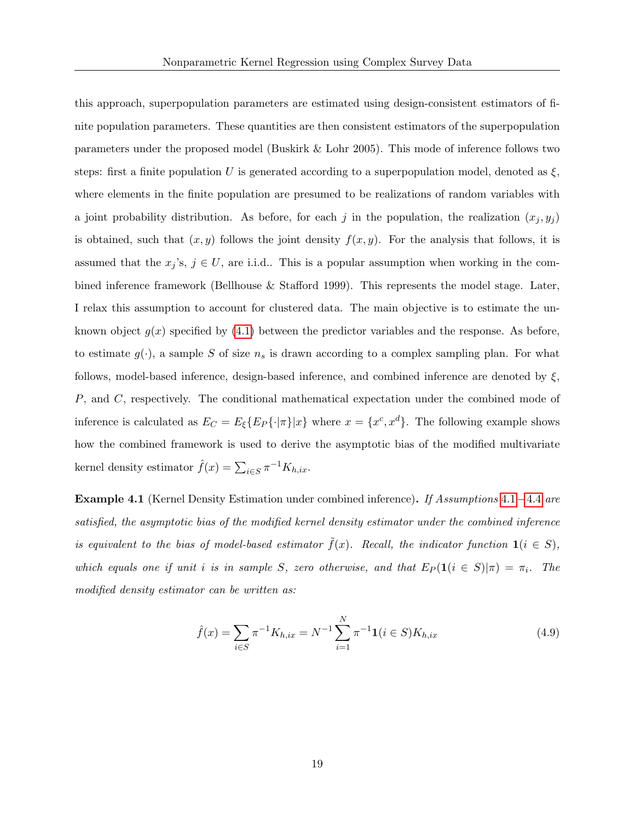this approach, superpopulation parameters are estimated using design-consistent estimators of finite population parameters. These quantities are then consistent estimators of the superpopulation parameters under the proposed model (Buskirk & Lohr 2005). This mode of inference follows two steps: first a finite population U is generated according to a superpopulation model, denoted as  $\xi$ , where elements in the finite population are presumed to be realizations of random variables with a joint probability distribution. As before, for each j in the population, the realization  $(x_i, y_i)$ is obtained, such that  $(x, y)$  follows the joint density  $f(x, y)$ . For the analysis that follows, it is assumed that the  $x_j$ 's,  $j \in U$ , are i.i.d.. This is a popular assumption when working in the combined inference framework (Bellhouse & Stafford 1999). This represents the model stage. Later, I relax this assumption to account for clustered data. The main objective is to estimate the unknown object  $g(x)$  specified by  $(4.1)$  $(4.1)$  between the predictor variables and the response. As before, to estimate  $g(\cdot)$ , a sample S of size  $n_s$  is drawn according to a complex sampling plan. For what follows, model-based inference, design-based inference, and combined inference are denoted by  $\xi$ , P, and C, respectively. The conditional mathematical expectation under the combined mode of inference is calculated as  $E_C = E_{\xi} \{ E_P \{\cdot | \pi \} | x \}$  where  $x = \{ x^c, x^d \}$ . The following example shows how the combined framework is used to derive the asymptotic bias of the modified multivariate kernel density estimator  $\hat{f}(x) = \sum_{i \in S} \pi^{-1} K_{h, ix}$ .

**Example [4](#page-16-1).1** (Kernel Density Estimation under combined inference). If Assumptions  $4.1-4.4$  are satisfied, the asymptotic bias of the modified kernel density estimator under the combined inference is equivalent to the bias of model-based estimator  $\tilde{f}(x)$ . Recall, the indicator function  $\mathbf{1}(i \in S)$ , which equals one if unit i is in sample S, zero otherwise, and that  $E_P(1(i \in S)|\pi) = \pi_i$ . The modified density estimator can be written as:

<span id="page-18-0"></span>
$$
\hat{f}(x) = \sum_{i \in S} \pi^{-1} K_{h,ix} = N^{-1} \sum_{i=1}^{N} \pi^{-1} \mathbf{1}(i \in S) K_{h,ix}
$$
\n(4.9)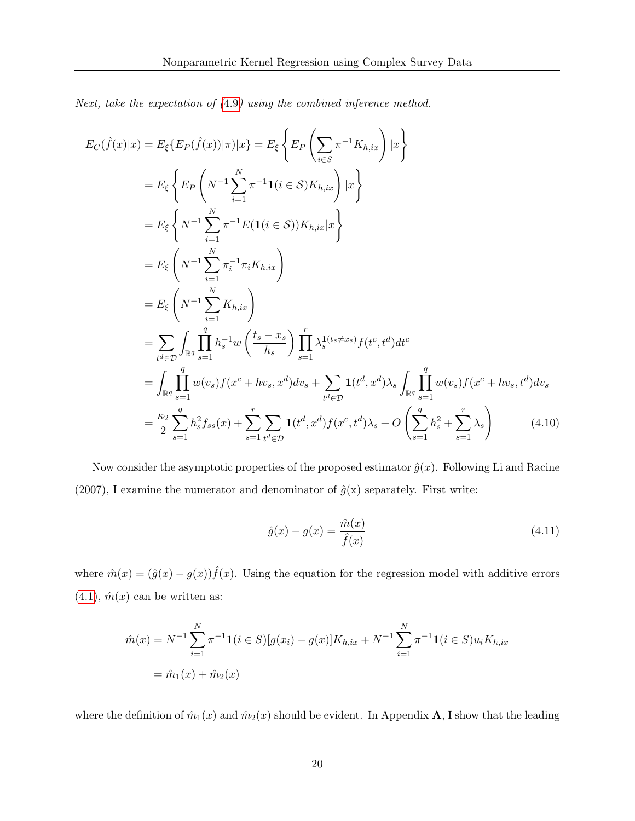Next, take the expectation of ([4](#page-18-0).9) using the combined inference method.

$$
E_C(\hat{f}(x)|x) = E_{\xi} \{ E_P(\hat{f}(x))|\pi\} |x\} = E_{\xi} \left\{ E_P \left( \sum_{i \in S} \pi^{-1} K_{h, ix} \right) |x \right\}
$$
  
\n
$$
= E_{\xi} \left\{ E_P \left( N^{-1} \sum_{i=1}^N \pi^{-1} \mathbf{1}(i \in S) K_{h, ix} \right) |x \right\}
$$
  
\n
$$
= E_{\xi} \left\{ N^{-1} \sum_{i=1}^N \pi^{-1} E(\mathbf{1}(i \in S)) K_{h, ix} |x \right\}
$$
  
\n
$$
= E_{\xi} \left( N^{-1} \sum_{i=1}^N \pi_i^{-1} \pi_i K_{h, ix} \right)
$$
  
\n
$$
= E_{\xi} \left( N^{-1} \sum_{i=1}^N K_{h, ix} \right)
$$
  
\n
$$
= \sum_{t^d \in \mathcal{D}} \int_{\mathbb{R}^q} \prod_{s=1}^q h_s^{-1} w \left( \frac{t_s - x_s}{h_s} \right) \prod_{s=1}^r \lambda_s^{1(t_s \neq x_s)} f(t^c, t^d) dt^c
$$
  
\n
$$
= \int_{\mathbb{R}^q} \prod_{s=1}^q w(v_s) f(x^c + hv_s, x^d) dv_s + \sum_{t^d \in \mathcal{D}} \mathbf{1}(t^d, x^d) \lambda_s \int_{\mathbb{R}^q} \prod_{s=1}^q w(v_s) f(x^c + hv_s, t^d) dv_s
$$
  
\n
$$
= \frac{\kappa_2}{2} \sum_{s=1}^q h_s^2 f_{ss}(x) + \sum_{s=1}^r \sum_{t^d \in \mathcal{D}} \mathbf{1}(t^d, x^d) f(x^c, t^d) \lambda_s + O \left( \sum_{s=1}^q h_s^2 + \sum_{s=1}^r \lambda_s \right) \tag{4.10}
$$

Now consider the asymptotic properties of the proposed estimator  $\hat{g}(x)$ . Following Li and Racine (2007), I examine the numerator and denominator of  $\hat{g}(x)$  separately. First write:

$$
\hat{g}(x) - g(x) = \frac{\hat{m}(x)}{\hat{f}(x)}
$$
\n(4.11)

where  $\hat{m}(x) = (\hat{g}(x) - g(x))\hat{f}(x)$ . Using the equation for the regression model with additive errors  $(4.1), \hat{m}(x)$  $(4.1), \hat{m}(x)$  can be written as:

$$
\hat{m}(x) = N^{-1} \sum_{i=1}^{N} \pi^{-1} \mathbf{1}(i \in S) [g(x_i) - g(x)] K_{h, ix} + N^{-1} \sum_{i=1}^{N} \pi^{-1} \mathbf{1}(i \in S) u_i K_{h, ix}
$$

$$
= \hat{m}_1(x) + \hat{m}_2(x)
$$

where the definition of  $\hat{m}_1(x)$  and  $\hat{m}_2(x)$  should be evident. In Appendix **A**, I show that the leading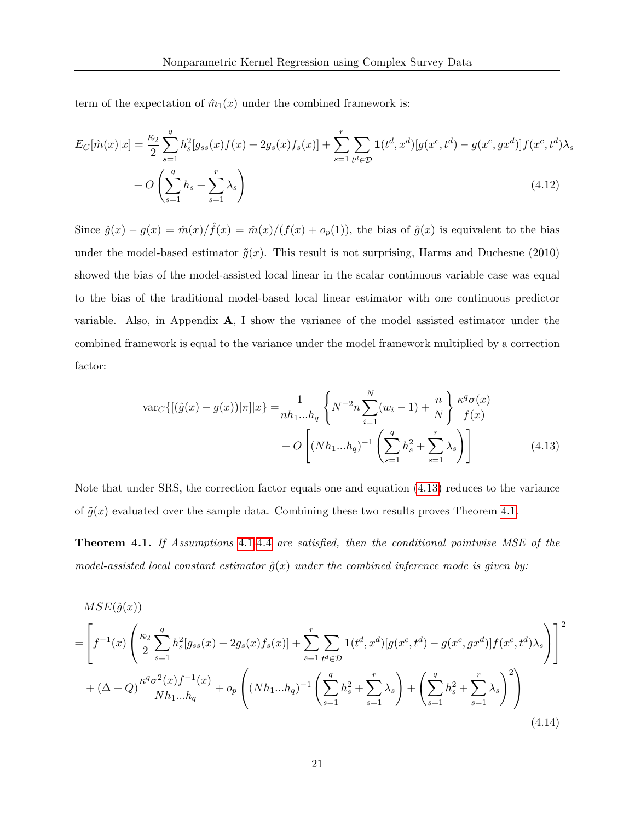term of the expectation of  $\hat{m}_1(x)$  under the combined framework is:

$$
E_C[\hat{m}(x)|x] = \frac{\kappa_2}{2} \sum_{s=1}^q h_s^2[g_{ss}(x)f(x) + 2g_s(x)f_s(x)] + \sum_{s=1}^r \sum_{t^d \in \mathcal{D}} \mathbf{1}(t^d, x^d) [g(x^c, t^d) - g(x^c, gx^d)]f(x^c, t^d) \lambda_s
$$
  
+  $O\left(\sum_{s=1}^q h_s + \sum_{s=1}^r \lambda_s\right)$  (4.12)

Since  $\hat{g}(x) - g(x) = \hat{m}(x)/\hat{f}(x) = \hat{m}(x)/(f(x) + o_p(1))$ , the bias of  $\hat{g}(x)$  is equivalent to the bias under the model-based estimator  $\tilde{g}(x)$ . This result is not surprising, Harms and Duchesne (2010) showed the bias of the model-assisted local linear in the scalar continuous variable case was equal to the bias of the traditional model-based local linear estimator with one continuous predictor variable. Also, in Appendix  $A$ , I show the variance of the model assisted estimator under the combined framework is equal to the variance under the model framework multiplied by a correction factor:

<span id="page-20-1"></span>
$$
\text{var}_{C}\{[(\hat{g}(x) - g(x))|\pi]|x\} = \frac{1}{nh_1...h_q} \left\{ N^{-2}n \sum_{i=1}^{N} (w_i - 1) + \frac{n}{N} \right\} \frac{\kappa^q \sigma(x)}{f(x)} + O\left[ (Nh_1...h_q)^{-1} \left( \sum_{s=1}^{q} h_s^2 + \sum_{s=1}^{r} \lambda_s \right) \right]
$$
(4.13)

Note that under SRS, the correction factor equals one and equation (4.[13\)](#page-20-1) reduces to the variance of  $\tilde{g}(x)$  evaluated over the sample data. Combining these two results proves Theorem [4](#page-20-2).1.

<span id="page-20-2"></span>Theorem 4.1. If Assumptions [4](#page-15-1).1-4.[4](#page-16-1) are satisfied, then the conditional pointwise MSE of the model-assisted local constant estimator  $\hat{q}(x)$  under the combined inference mode is given by:

<span id="page-20-0"></span>
$$
MSE(\hat{g}(x))
$$
\n
$$
= \left[ f^{-1}(x) \left( \frac{\kappa_2}{2} \sum_{s=1}^q h_s^2 [g_{ss}(x) + 2g_s(x)f_s(x)] + \sum_{s=1}^r \sum_{t^d \in \mathcal{D}} \mathbf{1}(t^d, x^d) [g(x^c, t^d) - g(x^c, gx^d)] f(x^c, t^d) \lambda_s \right) \right]^2
$$
\n
$$
+ (\Delta + Q) \frac{\kappa^q \sigma^2(x) f^{-1}(x)}{N h_1 ... h_q} + o_p \left( (Nh_1 ... h_q)^{-1} \left( \sum_{s=1}^q h_s^2 + \sum_{s=1}^r \lambda_s \right) + \left( \sum_{s=1}^q h_s^2 + \sum_{s=1}^r \lambda_s \right)^2 \right)
$$
\n(4.14)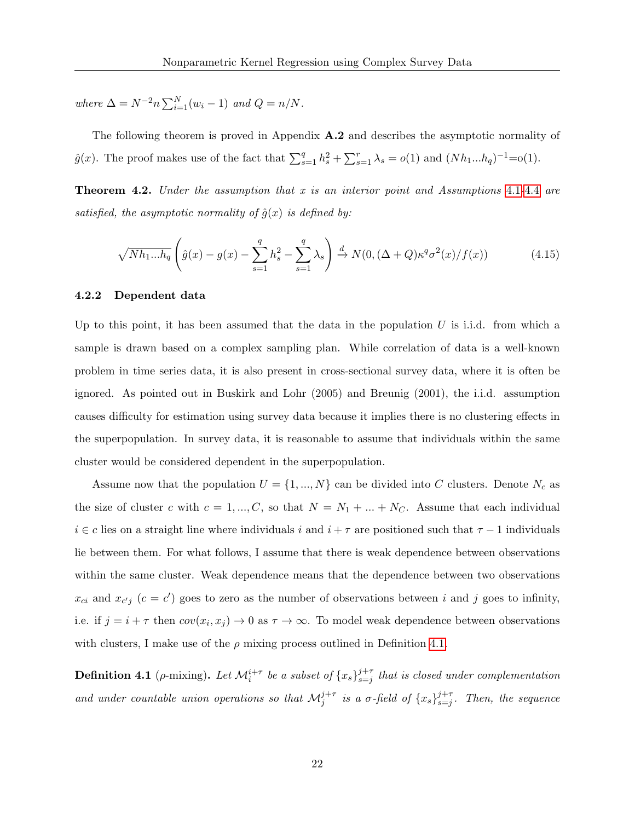where  $\Delta = N^{-2}n \sum_{i=1}^{N} (w_i - 1)$  and  $Q = n/N$ .

The following theorem is proved in Appendix A.2 and describes the asymptotic normality of  $\hat{g}(x)$ . The proof makes use of the fact that  $\sum_{s=1}^{q} h_s^2 + \sum_{s=1}^{r} \lambda_s = o(1)$  and  $(Nh_1...h_q)^{-1} = o(1)$ .

**Theorem [4](#page-16-1).2.** Under the assumption that x is an interior point and Assumptions 4.1-4.4 are satisfied, the asymptotic normality of  $\hat{g}(x)$  is defined by:

$$
\sqrt{Nh_1...h_q}\left(\hat{g}(x) - g(x) - \sum_{s=1}^q h_s^2 - \sum_{s=1}^q \lambda_s\right) \xrightarrow{d} N(0, (\Delta + Q)\kappa^q \sigma^2(x)/f(x))\tag{4.15}
$$

#### 4.2.2 Dependent data

Up to this point, it has been assumed that the data in the population  $U$  is i.i.d. from which a sample is drawn based on a complex sampling plan. While correlation of data is a well-known problem in time series data, it is also present in cross-sectional survey data, where it is often be ignored. As pointed out in Buskirk and Lohr (2005) and Breunig (2001), the i.i.d. assumption causes difficulty for estimation using survey data because it implies there is no clustering effects in the superpopulation. In survey data, it is reasonable to assume that individuals within the same cluster would be considered dependent in the superpopulation.

Assume now that the population  $U = \{1, ..., N\}$  can be divided into C clusters. Denote  $N_c$  as the size of cluster c with  $c = 1, ..., C$ , so that  $N = N_1 + ... + N_C$ . Assume that each individual  $i \in c$  lies on a straight line where individuals i and  $i + \tau$  are positioned such that  $\tau - 1$  individuals lie between them. For what follows, I assume that there is weak dependence between observations within the same cluster. Weak dependence means that the dependence between two observations  $x_{ci}$  and  $x_{c'j}$  ( $c = c'$ ) goes to zero as the number of observations between i and j goes to infinity, i.e. if  $j = i + \tau$  then  $cov(x_i, x_j) \to 0$  as  $\tau \to \infty$ . To model weak dependence between observations with clusters, I make use of the  $\rho$  mixing process outlined in Definition 4.[1.](#page-21-0)

<span id="page-21-0"></span>**Definition 4.1** (*ρ*-mixing). Let  $\mathcal{M}^{i+\tau}_i$  be a subset of  $\{x_s\}_{s=j}^{j+\tau}$  $s=j+t$  that is closed under complementation and under countable union operations so that  $\mathcal{M}_j^{j+\tau}$  is a  $\sigma$ -field of  $\{x_s\}_{s=j}^{j+\tau}$  $_{s=j}^{j+\tau}$ . Then, the sequence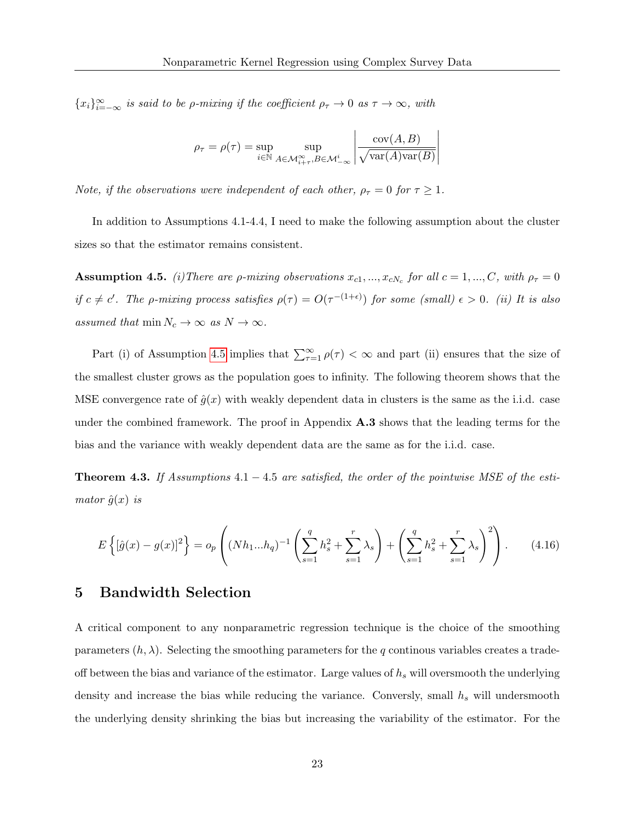${x_i}_{i=-\infty}^{\infty}$  is said to be *ρ*-mixing if the coefficient  $\rho_{\tau} \to 0$  as  $\tau \to \infty$ , with

$$
\rho_{\tau} = \rho(\tau) = \sup_{i \in \mathbb{N}} \sup_{A \in \mathcal{M}_{i+\tau}^{\infty}, B \in \mathcal{M}_{-\infty}^{i}} \left| \frac{\text{cov}(A, B)}{\sqrt{\text{var}(A)\text{var}(B)}} \right|
$$

Note, if the observations were independent of each other,  $\rho_{\tau} = 0$  for  $\tau \geq 1$ .

In addition to Assumptions 4.1-4.4, I need to make the following assumption about the cluster sizes so that the estimator remains consistent.

<span id="page-22-0"></span>**Assumption 4.5.** (i) There are  $\rho$ -mixing observations  $x_{c1},...,x_{cN_c}$  for all  $c = 1,...,C$ , with  $\rho_{\tau} = 0$ if  $c \neq c'$ . The *ρ*-mixing process satisfies  $\rho(\tau) = O(\tau^{-(1+\epsilon)})$  for some (small)  $\epsilon > 0$ . (ii) It is also assumed that  $\min N_c \to \infty$  as  $N \to \infty$ .

Part (i) of Assumption [4](#page-22-0).5 implies that  $\sum_{\tau=1}^{\infty} \rho(\tau) < \infty$  and part (ii) ensures that the size of the smallest cluster grows as the population goes to infinity. The following theorem shows that the MSE convergence rate of  $\hat{q}(x)$  with weakly dependent data in clusters is the same as the i.i.d. case under the combined framework. The proof in Appendix A.3 shows that the leading terms for the bias and the variance with weakly dependent data are the same as for the i.i.d. case.

**Theorem 4.3.** If Assumptions  $4.1 - 4.5$  are satisfied, the order of the pointwise MSE of the estimator  $\hat{g}(x)$  is

$$
E\left\{[\hat{g}(x) - g(x)]^2\right\} = o_p\left((Nh_1...h_q)^{-1}\left(\sum_{s=1}^q h_s^2 + \sum_{s=1}^r \lambda_s\right) + \left(\sum_{s=1}^q h_s^2 + \sum_{s=1}^r \lambda_s\right)^2\right).
$$
 (4.16)

## 5 Bandwidth Selection

A critical component to any nonparametric regression technique is the choice of the smoothing parameters  $(h, \lambda)$ . Selecting the smoothing parameters for the q continous variables creates a tradeoff between the bias and variance of the estimator. Large values of  $h<sub>s</sub>$  will oversmooth the underlying density and increase the bias while reducing the variance. Conversly, small  $h_s$  will undersmooth the underlying density shrinking the bias but increasing the variability of the estimator. For the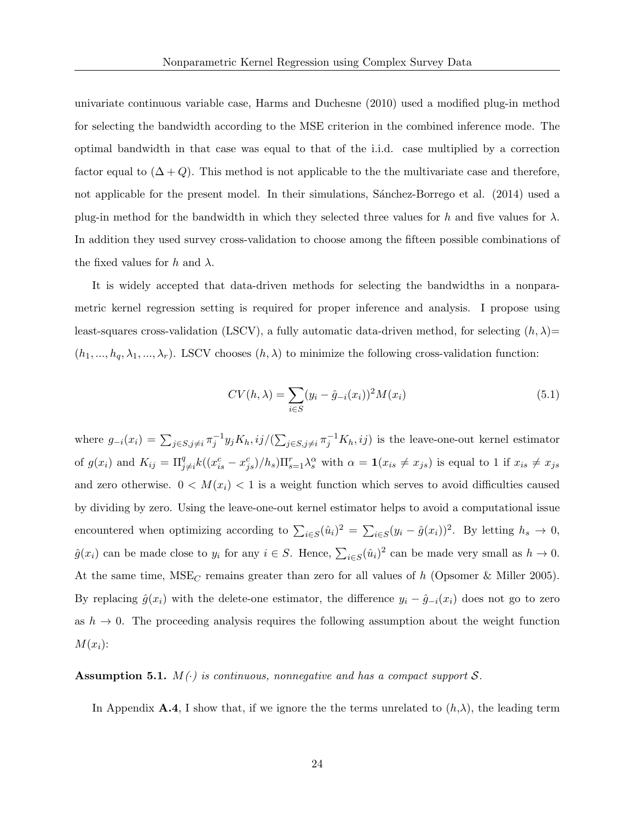univariate continuous variable case, Harms and Duchesne (2010) used a modified plug-in method for selecting the bandwidth according to the MSE criterion in the combined inference mode. The optimal bandwidth in that case was equal to that of the i.i.d. case multiplied by a correction factor equal to  $(\Delta + Q)$ . This method is not applicable to the the multivariate case and therefore, not applicable for the present model. In their simulations, Sanchez-Borrego et al. (2014) used a plug-in method for the bandwidth in which they selected three values for h and five values for  $\lambda$ . In addition they used survey cross-validation to choose among the fifteen possible combinations of the fixed values for h and  $\lambda$ .

It is widely accepted that data-driven methods for selecting the bandwidths in a nonparametric kernel regression setting is required for proper inference and analysis. I propose using least-squares cross-validation (LSCV), a fully automatic data-driven method, for selecting  $(h, \lambda)$ =  $(h_1, ..., h_q, \lambda_1, ..., \lambda_r)$ . LSCV chooses  $(h, \lambda)$  to minimize the following cross-validation function:

$$
CV(h, \lambda) = \sum_{i \in S} (y_i - \hat{g}_{-i}(x_i))^2 M(x_i)
$$
\n(5.1)

where  $g_{-i}(x_i) = \sum_{j \in S, j \neq i} \pi_j^{-1} y_j K_h, ij / (\sum_{j \in S, j \neq i} \pi_j^{-1} K_h, ij)$  is the leave-one-out kernel estimator of  $g(x_i)$  and  $K_{ij} = \prod_{j\neq i}^q k((x_{is}^c - x_{js}^c)/h_s) \prod_{s=1}^r \lambda_s^\alpha$  with  $\alpha = \mathbf{1}(x_{is} \neq x_{js})$  is equal to 1 if  $x_{is} \neq x_{js}$ and zero otherwise.  $0 < M(x_i) < 1$  is a weight function which serves to avoid difficulties caused by dividing by zero. Using the leave-one-out kernel estimator helps to avoid a computational issue encountered when optimizing according to  $\sum_{i \in S} (\hat{u}_i)^2 = \sum_{i \in S} (y_i - \hat{g}(x_i))^2$ . By letting  $h_s \to 0$ ,  $\hat{g}(x_i)$  can be made close to  $y_i$  for any  $i \in S$ . Hence,  $\sum_{i \in S} (\hat{u}_i)^2$  can be made very small as  $h \to 0$ . At the same time,  $MSE_C$  remains greater than zero for all values of h (Opsomer & Miller 2005). By replacing  $\hat{g}(x_i)$  with the delete-one estimator, the difference  $y_i - \hat{g}_{-i}(x_i)$  does not go to zero as  $h \to 0$ . The proceeding analysis requires the following assumption about the weight function  $M(x_i)$ :

### Assumption 5.1.  $M(\cdot)$  is continuous, nonnegative and has a compact support S.

In Appendix A.4, I show that, if we ignore the the terms unrelated to  $(h,\lambda)$ , the leading term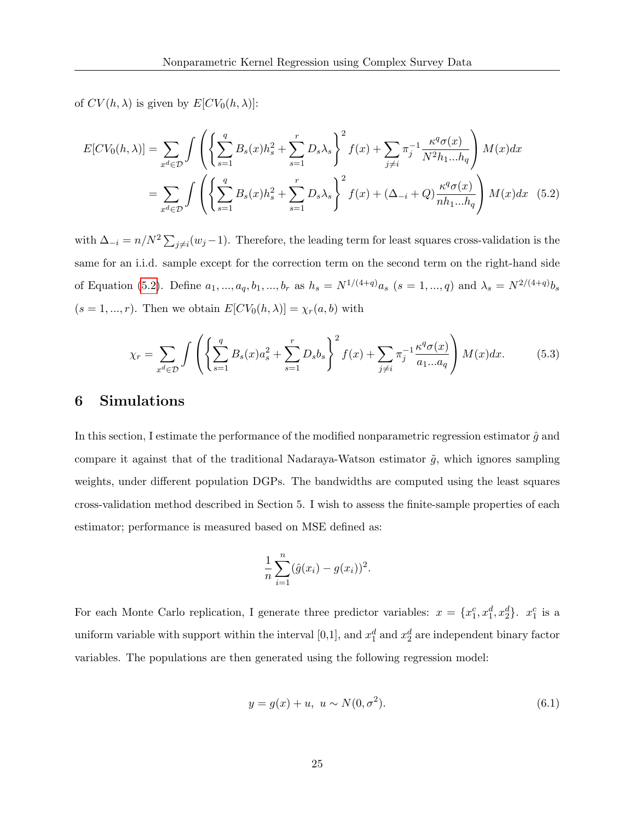of  $CV(h, \lambda)$  is given by  $E[CV_0(h, \lambda)]$ :

$$
E[CV_0(h,\lambda)] = \sum_{x^d \in \mathcal{D}} \int \left( \left\{ \sum_{s=1}^q B_s(x) h_s^2 + \sum_{s=1}^r D_s \lambda_s \right\}^2 f(x) + \sum_{j \neq i} \pi_j^{-1} \frac{\kappa^q \sigma(x)}{N^2 h_1 ... h_q} \right) M(x) dx
$$
  
= 
$$
\sum_{x^d \in \mathcal{D}} \int \left( \left\{ \sum_{s=1}^q B_s(x) h_s^2 + \sum_{s=1}^r D_s \lambda_s \right\}^2 f(x) + (\Delta_{-i} + Q) \frac{\kappa^q \sigma(x)}{nh_1 ... h_q} \right) M(x) dx
$$
 (5.2)

with  $\Delta_{-i} = n/N^2 \sum_{j \neq i} (w_j - 1)$ . Therefore, the leading term for least squares cross-validation is the same for an i.i.d. sample except for the correction term on the second term on the right-hand side of Equation [\(5.2\)](#page-24-0). Define  $a_1, ..., a_q, b_1, ..., b_r$  as  $h_s = N^{1/(4+q)}a_s$   $(s = 1, ..., q)$  and  $\lambda_s = N^{2/(4+q)}b_s$  $(s = 1, ..., r)$ . Then we obtain  $E[CV_0(h, \lambda)] = \chi_r(a, b)$  with

<span id="page-24-0"></span>
$$
\chi_r = \sum_{x^d \in \mathcal{D}} \int \left( \left\{ \sum_{s=1}^q B_s(x) a_s^2 + \sum_{s=1}^r D_s b_s \right\}^2 f(x) + \sum_{j \neq i} \pi_j^{-1} \frac{\kappa^q \sigma(x)}{a_1 \dots a_q} \right) M(x) dx. \tag{5.3}
$$

# 6 Simulations

In this section, I estimate the performance of the modified nonparametric regression estimator  $\hat{g}$  and compare it against that of the traditional Nadaraya-Watson estimator  $\tilde{g}$ , which ignores sampling weights, under different population DGPs. The bandwidths are computed using the least squares cross-validation method described in Section 5. I wish to assess the finite-sample properties of each estimator; performance is measured based on MSE defined as:

$$
\frac{1}{n}\sum_{i=1}^{n}(\hat{g}(x_i)-g(x_i))^2.
$$

For each Monte Carlo replication, I generate three predictor variables:  $x = \{x_1^c, x_1^d, x_2^d\}$ .  $x_1^c$  is a uniform variable with support within the interval [0,1], and  $x_1^d$  and  $x_2^d$  are independent binary factor variables. The populations are then generated using the following regression model:

$$
y = g(x) + u, \ u \sim N(0, \sigma^2). \tag{6.1}
$$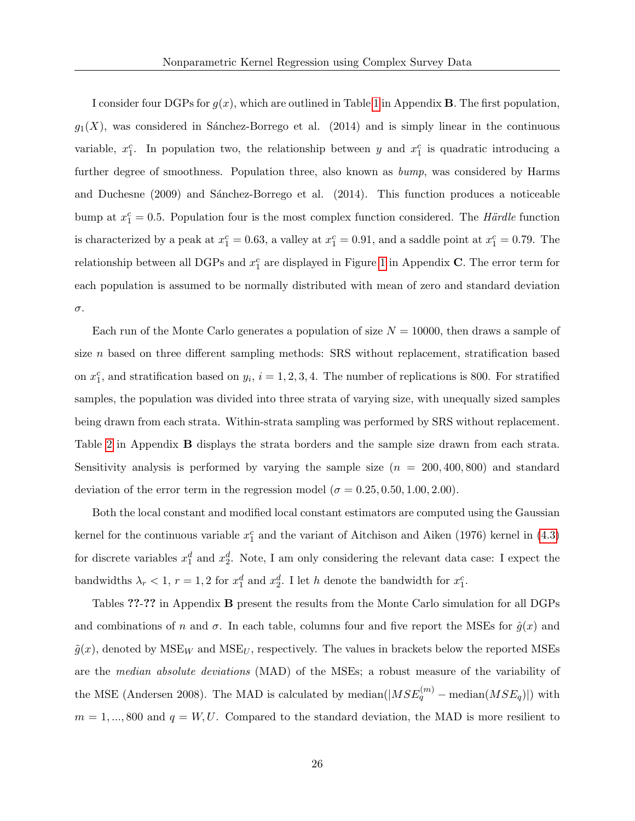I consider four DGPs for  $g(x)$ , which are outlined in Table [1](#page-41-0) in Appendix **B**. The first population,  $g_1(X)$ , was considered in Sánchez-Borrego et al. (2014) and is simply linear in the continuous variable,  $x_1^c$ . In population two, the relationship between y and  $x_1^c$  is quadratic introducing a further degree of smoothness. Population three, also known as bump, was considered by Harms and Duchesne (2009) and Sánchez-Borrego et al. (2014). This function produces a noticeable bump at  $x_1^c = 0.5$ . Population four is the most complex function considered. The Härdle function is characterized by a peak at  $x_1^c = 0.63$ , a valley at  $x_1^c = 0.91$ , and a saddle point at  $x_1^c = 0.79$ . The relationship between all DGPs and  $x_1^c$  are displayed in Figure [1](#page-51-0) in Appendix C. The error term for each population is assumed to be normally distributed with mean of zero and standard deviation σ.

Each run of the Monte Carlo generates a population of size  $N = 10000$ , then draws a sample of size *n* based on three different sampling methods: SRS without replacement, stratification based on  $x_1^c$ , and stratification based on  $y_i$ ,  $i = 1, 2, 3, 4$ . The number of replications is 800. For stratified samples, the population was divided into three strata of varying size, with unequally sized samples being drawn from each strata. Within-strata sampling was performed by SRS without replacement. Table [2](#page-41-1) in Appendix B displays the strata borders and the sample size drawn from each strata. Sensitivity analysis is performed by varying the sample size  $(n = 200, 400, 800)$  and standard deviation of the error term in the regression model ( $\sigma = 0.25, 0.50, 1.00, 2.00$ ).

Both the local constant and modified local constant estimators are computed using the Gaussian kernel for the continuous variable  $x_1^c$  and the variant of Aitchison and Aiken (1976) kernel in [\(4.3\)](#page-14-1) for discrete variables  $x_1^d$  and  $x_2^d$ . Note, I am only considering the relevant data case: I expect the bandwidths  $\lambda_r < 1$ ,  $r = 1, 2$  for  $x_1^d$  and  $x_2^d$ . I let h denote the bandwidth for  $x_1^c$ .

Tables ??-?? in Appendix B present the results from the Monte Carlo simulation for all DGPs and combinations of n and  $\sigma$ . In each table, columns four and five report the MSEs for  $\hat{g}(x)$  and  $\tilde{g}(x)$ , denoted by  $MSE_W$  and  $MSE_U$ , respectively. The values in brackets below the reported MSEs are the median absolute deviations (MAD) of the MSEs; a robust measure of the variability of the MSE (Andersen 2008). The MAD is calculated by median $(|MSE_q^{(m)} - \text{median}(MSE_q)|)$  with  $m = 1, ..., 800$  and  $q = W, U$ . Compared to the standard deviation, the MAD is more resilient to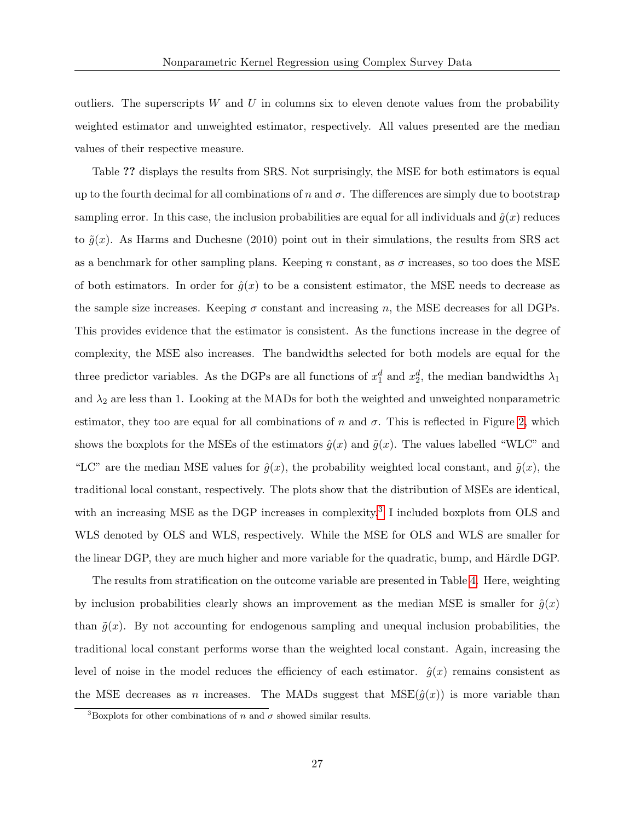outliers. The superscripts  $W$  and  $U$  in columns six to eleven denote values from the probability weighted estimator and unweighted estimator, respectively. All values presented are the median values of their respective measure.

Table ?? displays the results from SRS. Not surprisingly, the MSE for both estimators is equal up to the fourth decimal for all combinations of n and  $\sigma$ . The differences are simply due to bootstrap sampling error. In this case, the inclusion probabilities are equal for all individuals and  $\hat{g}(x)$  reduces to  $\tilde{q}(x)$ . As Harms and Duchesne (2010) point out in their simulations, the results from SRS act as a benchmark for other sampling plans. Keeping n constant, as  $\sigma$  increases, so too does the MSE of both estimators. In order for  $\hat{g}(x)$  to be a consistent estimator, the MSE needs to decrease as the sample size increases. Keeping  $\sigma$  constant and increasing n, the MSE decreases for all DGPs. This provides evidence that the estimator is consistent. As the functions increase in the degree of complexity, the MSE also increases. The bandwidths selected for both models are equal for the three predictor variables. As the DGPs are all functions of  $x_1^d$  and  $x_2^d$ , the median bandwidths  $\lambda_1$ and  $\lambda_2$  are less than 1. Looking at the MADs for both the weighted and unweighted nonparametric estimator, they too are equal for all combinations of n and  $\sigma$ . This is reflected in Figure [2,](#page-52-0) which shows the boxplots for the MSEs of the estimators  $\hat{g}(x)$  and  $\tilde{g}(x)$ . The values labelled "WLC" and "LC" are the median MSE values for  $\hat{g}(x)$ , the probability weighted local constant, and  $\tilde{g}(x)$ , the traditional local constant, respectively. The plots show that the distribution of MSEs are identical, with an increasing MSE as the DGP increases in complexity.<sup>[3](#page-26-0)</sup> I included boxplots from OLS and WLS denoted by OLS and WLS, respectively. While the MSE for OLS and WLS are smaller for the linear DGP, they are much higher and more variable for the quadratic, bump, and Härdle DGP.

The results from stratification on the outcome variable are presented in Table [4.](#page-44-0) Here, weighting by inclusion probabilities clearly shows an improvement as the median MSE is smaller for  $\hat{g}(x)$ than  $\tilde{g}(x)$ . By not accounting for endogenous sampling and unequal inclusion probabilities, the traditional local constant performs worse than the weighted local constant. Again, increasing the level of noise in the model reduces the efficiency of each estimator.  $\hat{g}(x)$  remains consistent as the MSE decreases as n increases. The MADs suggest that  $MSE(\hat{g}(x))$  is more variable than

<span id="page-26-0"></span><sup>&</sup>lt;sup>3</sup>Boxplots for other combinations of n and  $\sigma$  showed similar results.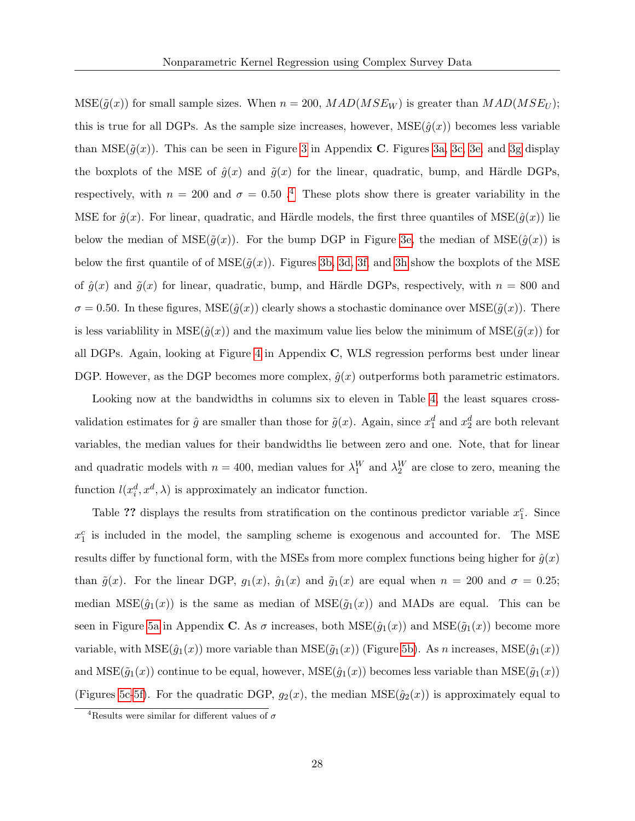$MSE(\tilde{g}(x))$  for small sample sizes. When  $n = 200$ ,  $MAD(MSE_W)$  is greater than  $MAD(MSE_W)$ ; this is true for all DGPs. As the sample size increases, however,  $MSE(\hat{g}(x))$  becomes less variable than  $MSE(\tilde{g}(x))$ . This can be seen in Figure [3](#page-54-0) in Appendix C. Figures [3a,](#page-54-0) [3c,](#page-55-0) [3e,](#page-56-0) and [3g](#page-57-0) display the boxplots of the MSE of  $\hat{g}(x)$  and  $\tilde{g}(x)$  for the linear, quadratic, bump, and Härdle DGPs, respectively, with  $n = 200$  and  $\sigma = 0.50$ .<sup>[4](#page-27-0)</sup> These plots show there is greater variability in the MSE for  $\hat{g}(x)$ . For linear, quadratic, and Härdle models, the first three quantiles of MSE( $\hat{g}(x)$ ) lie below the median of  $MSE(\tilde{g}(x))$ . For the bump DGP in Figure [3e,](#page-56-0) the median of  $MSE(\hat{g}(x))$  is below the first quantile of of  $MSE(\tilde{q}(x))$ . Figures [3b,](#page-54-0) [3d,](#page-55-0) [3f,](#page-56-0) and [3h](#page-57-0) show the boxplots of the MSE of  $\hat{g}(x)$  and  $\tilde{g}(x)$  for linear, quadratic, bump, and Härdle DGPs, respectively, with  $n = 800$  and  $\sigma = 0.50$ . In these figures,  $MSE(\hat{g}(x))$  clearly shows a stochastic dominance over  $MSE(\tilde{g}(x))$ . There is less variablility in  $MSE(\hat{g}(x))$  and the maximum value lies below the minimum of  $MSE(\tilde{g}(x))$  for all DGPs. Again, looking at Figure [4](#page-58-0) in Appendix C, WLS regression performs best under linear DGP. However, as the DGP becomes more complex,  $\hat{g}(x)$  outperforms both parametric estimators.

Looking now at the bandwidths in columns six to eleven in Table [4,](#page-44-0) the least squares crossvalidation estimates for  $\hat{g}$  are smaller than those for  $\tilde{g}(x)$ . Again, since  $x_1^d$  and  $x_2^d$  are both relevant variables, the median values for their bandwidths lie between zero and one. Note, that for linear and quadratic models with  $n = 400$ , median values for  $\lambda_1^W$  and  $\lambda_2^W$  are close to zero, meaning the function  $l(x_i^d, x^d, \lambda)$  is approximately an indicator function.

Table ?? displays the results from stratification on the continuos predictor variable  $x_1^c$ . Since  $x_1^c$  is included in the model, the sampling scheme is exogenous and accounted for. The MSE results differ by functional form, with the MSEs from more complex functions being higher for  $\hat{g}(x)$ than  $\tilde{g}(x)$ . For the linear DGP,  $g_1(x)$ ,  $\hat{g}_1(x)$  and  $\tilde{g}_1(x)$  are equal when  $n = 200$  and  $\sigma = 0.25$ ; median  $MSE(\hat{g}_1(x))$  is the same as median of  $MSE(\tilde{g}_1(x))$  and MADs are equal. This can be seen in Figure [5a](#page-60-0) in Appendix C. As  $\sigma$  increases, both  $MSE(\hat{g}_1(x))$  and  $MSE(\hat{g}_1(x))$  become more variable, with  $MSE(\hat{g}_1(x))$  more variable than  $MSE(\tilde{g}_1(x))$  (Figure [5b\)](#page-60-0). As n increases,  $MSE(\hat{g}_1(x))$ and  $MSE(\tilde{g}_1(x))$  continue to be equal, however,  $MSE(\hat{g}_1(x))$  becomes less variable than  $MSE(\tilde{g}_1(x))$ (Figures [5c](#page-61-0)[-5f\)](#page-62-0). For the quadratic DGP,  $g_2(x)$ , the median  $MSE(\hat{g}_2(x))$  is approximately equal to

<span id="page-27-0"></span><sup>&</sup>lt;sup>4</sup>Results were similar for different values of  $\sigma$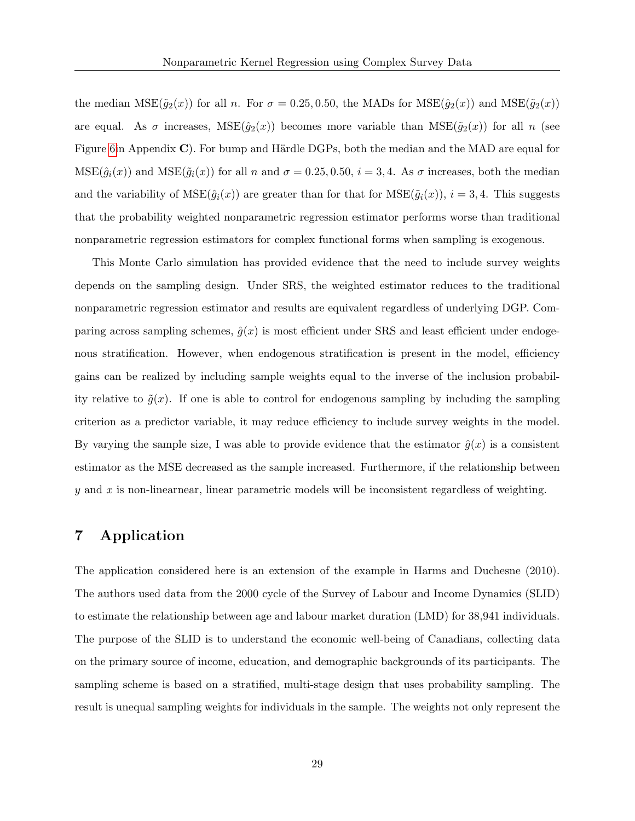the median  $MSE(\tilde{g}_2(x))$  for all n. For  $\sigma = 0.25, 0.50$ , the MADs for  $MSE(\hat{g}_2(x))$  and  $MSE(\tilde{g}_2(x))$ are equal. As  $\sigma$  increases,  $MSE(\hat{g}_2(x))$  becomes more variable than  $MSE(\tilde{g}_2(x))$  for all n (see Figure [6i](#page-63-0)n Appendix C). For bump and Härdle DGPs, both the median and the MAD are equal for  $MSE(\hat{g}_i(x))$  and  $MSE(\tilde{g}_i(x))$  for all n and  $\sigma = 0.25, 0.50, i = 3, 4$ . As  $\sigma$  increases, both the median and the variability of  $MSE(\hat{g}_i(x))$  are greater than for that for  $MSE(\tilde{g}_i(x))$ ,  $i = 3, 4$ . This suggests that the probability weighted nonparametric regression estimator performs worse than traditional nonparametric regression estimators for complex functional forms when sampling is exogenous.

This Monte Carlo simulation has provided evidence that the need to include survey weights depends on the sampling design. Under SRS, the weighted estimator reduces to the traditional nonparametric regression estimator and results are equivalent regardless of underlying DGP. Comparing across sampling schemes,  $\hat{g}(x)$  is most efficient under SRS and least efficient under endogenous stratification. However, when endogenous stratification is present in the model, efficiency gains can be realized by including sample weights equal to the inverse of the inclusion probability relative to  $\tilde{g}(x)$ . If one is able to control for endogenous sampling by including the sampling criterion as a predictor variable, it may reduce efficiency to include survey weights in the model. By varying the sample size, I was able to provide evidence that the estimator  $\hat{g}(x)$  is a consistent estimator as the MSE decreased as the sample increased. Furthermore, if the relationship between  $y$  and  $x$  is non-linearnear, linear parametric models will be inconsistent regardless of weighting.

# 7 Application

The application considered here is an extension of the example in Harms and Duchesne (2010). The authors used data from the 2000 cycle of the Survey of Labour and Income Dynamics (SLID) to estimate the relationship between age and labour market duration (LMD) for 38,941 individuals. The purpose of the SLID is to understand the economic well-being of Canadians, collecting data on the primary source of income, education, and demographic backgrounds of its participants. The sampling scheme is based on a stratified, multi-stage design that uses probability sampling. The result is unequal sampling weights for individuals in the sample. The weights not only represent the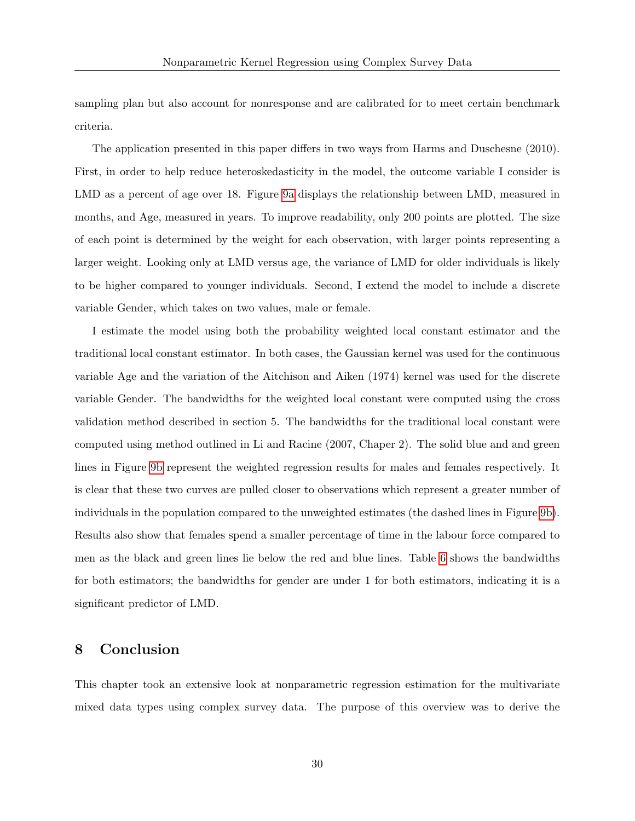sampling plan but also account for nonresponse and are calibrated for to meet certain benchmark criteria.

The application presented in this paper differs in two ways from Harms and Duschesne (2010). First, in order to help reduce heteroskedasticity in the model, the outcome variable I consider is LMD as a percent of age over 18. Figure [9a](#page-72-0) displays the relationship between LMD, measured in months, and Age, measured in years. To improve readability, only 200 points are plotted. The size of each point is determined by the weight for each observation, with larger points representing a larger weight. Looking only at LMD versus age, the variance of LMD for older individuals is likely to be higher compared to younger individuals. Second, I extend the model to include a discrete variable Gender, which takes on two values, male or female.

I estimate the model using both the probability weighted local constant estimator and the traditional local constant estimator. In both cases, the Gaussian kernel was used for the continuous variable Age and the variation of the Aitchison and Aiken (1974) kernel was used for the discrete variable Gender. The bandwidths for the weighted local constant were computed using the cross validation method described in section 5. The bandwidths for the traditional local constant were computed using method outlined in Li and Racine (2007, Chaper 2). The solid blue and and green lines in Figure [9b](#page-72-0) represent the weighted regression results for males and females respectively. It is clear that these two curves are pulled closer to observations which represent a greater number of individuals in the population compared to the unweighted estimates (the dashed lines in Figure [9b\)](#page-72-0). Results also show that females spend a smaller percentage of time in the labour force compared to men as the black and green lines lie below the red and blue lines. Table [6](#page-50-0) shows the bandwidths for both estimators; the bandwidths for gender are under 1 for both estimators, indicating it is a significant predictor of LMD.

# 8 Conclusion

This chapter took an extensive look at nonparametric regression estimation for the multivariate mixed data types using complex survey data. The purpose of this overview was to derive the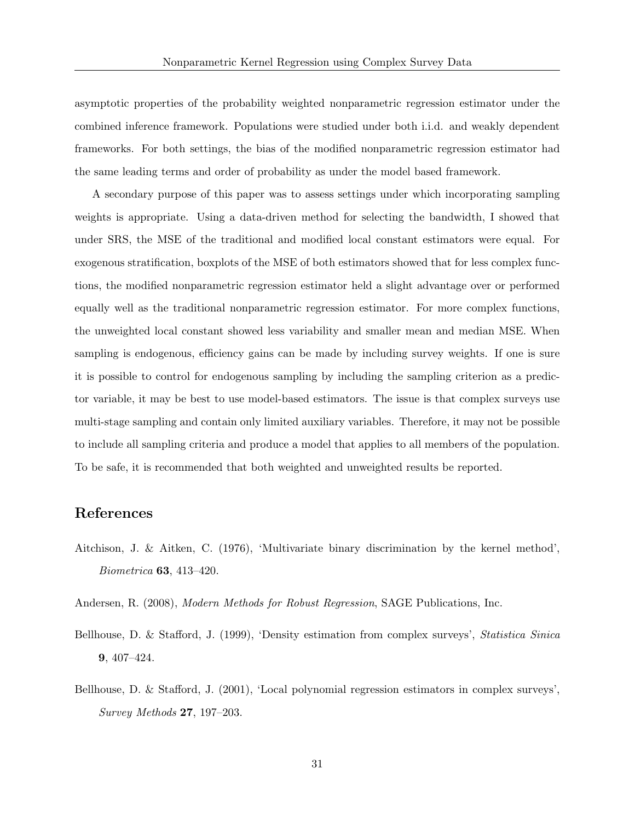asymptotic properties of the probability weighted nonparametric regression estimator under the combined inference framework. Populations were studied under both i.i.d. and weakly dependent frameworks. For both settings, the bias of the modified nonparametric regression estimator had the same leading terms and order of probability as under the model based framework.

A secondary purpose of this paper was to assess settings under which incorporating sampling weights is appropriate. Using a data-driven method for selecting the bandwidth, I showed that under SRS, the MSE of the traditional and modified local constant estimators were equal. For exogenous stratification, boxplots of the MSE of both estimators showed that for less complex functions, the modified nonparametric regression estimator held a slight advantage over or performed equally well as the traditional nonparametric regression estimator. For more complex functions, the unweighted local constant showed less variability and smaller mean and median MSE. When sampling is endogenous, efficiency gains can be made by including survey weights. If one is sure it is possible to control for endogenous sampling by including the sampling criterion as a predictor variable, it may be best to use model-based estimators. The issue is that complex surveys use multi-stage sampling and contain only limited auxiliary variables. Therefore, it may not be possible to include all sampling criteria and produce a model that applies to all members of the population. To be safe, it is recommended that both weighted and unweighted results be reported.

# References

- Aitchison, J. & Aitken, C. (1976), 'Multivariate binary discrimination by the kernel method',  $Biometrica$  **63**, 413–420.
- Andersen, R. (2008), Modern Methods for Robust Regression, SAGE Publications, Inc.
- Bellhouse, D. & Stafford, J. (1999), 'Density estimation from complex surveys', Statistica Sinica 9, 407–424.
- Bellhouse, D. & Stafford, J. (2001), 'Local polynomial regression estimators in complex surveys', Survey Methods 27, 197–203.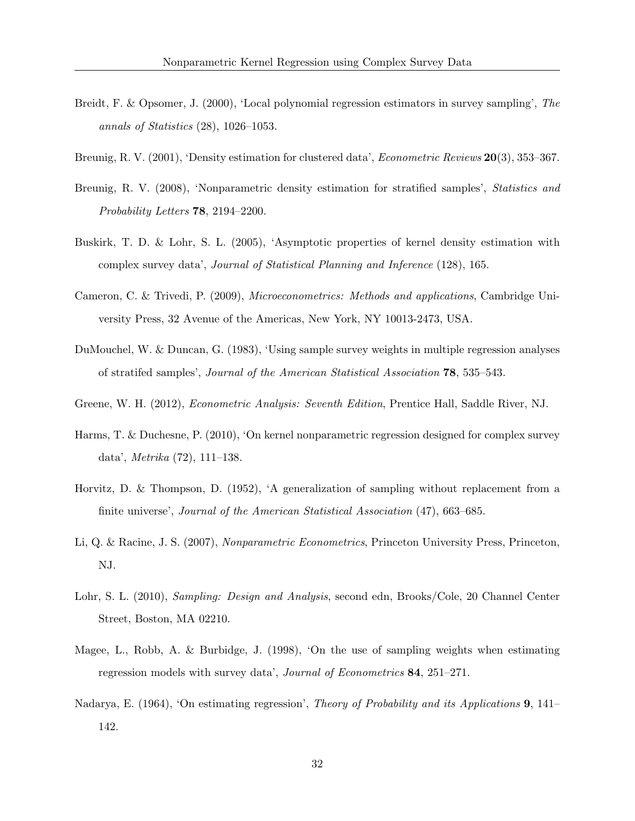- Breidt, F. & Opsomer, J. (2000), 'Local polynomial regression estimators in survey sampling', The annals of Statistics (28), 1026–1053.
- Breunig, R. V. (2001), 'Density estimation for clustered data', *Econometric Reviews* **20**(3), 353–367.
- Breunig, R. V. (2008), 'Nonparametric density estimation for stratified samples', *Statistics and* Probability Letters 78, 2194–2200.
- Buskirk, T. D. & Lohr, S. L. (2005), 'Asymptotic properties of kernel density estimation with complex survey data', Journal of Statistical Planning and Inference (128), 165.
- Cameron, C. & Trivedi, P. (2009), Microeconometrics: Methods and applications, Cambridge University Press, 32 Avenue of the Americas, New York, NY 10013-2473, USA.
- DuMouchel, W. & Duncan, G. (1983), 'Using sample survey weights in multiple regression analyses of stratifed samples', Journal of the American Statistical Association 78, 535–543.
- Greene, W. H. (2012), *Econometric Analysis: Seventh Edition*, Prentice Hall, Saddle River, NJ.
- Harms, T. & Duchesne, P. (2010), 'On kernel nonparametric regression designed for complex survey data', Metrika (72), 111–138.
- Horvitz, D. & Thompson, D. (1952), 'A generalization of sampling without replacement from a finite universe', Journal of the American Statistical Association (47), 663–685.
- Li, Q. & Racine, J. S. (2007), Nonparametric Econometrics, Princeton University Press, Princeton, NJ.
- Lohr, S. L. (2010), Sampling: Design and Analysis, second edn, Brooks/Cole, 20 Channel Center Street, Boston, MA 02210.
- Magee, L., Robb, A. & Burbidge, J. (1998), 'On the use of sampling weights when estimating regression models with survey data', Journal of Econometrics 84, 251–271.
- Nadarya, E. (1964), 'On estimating regression', *Theory of Probability and its Applications* 9, 141– 142.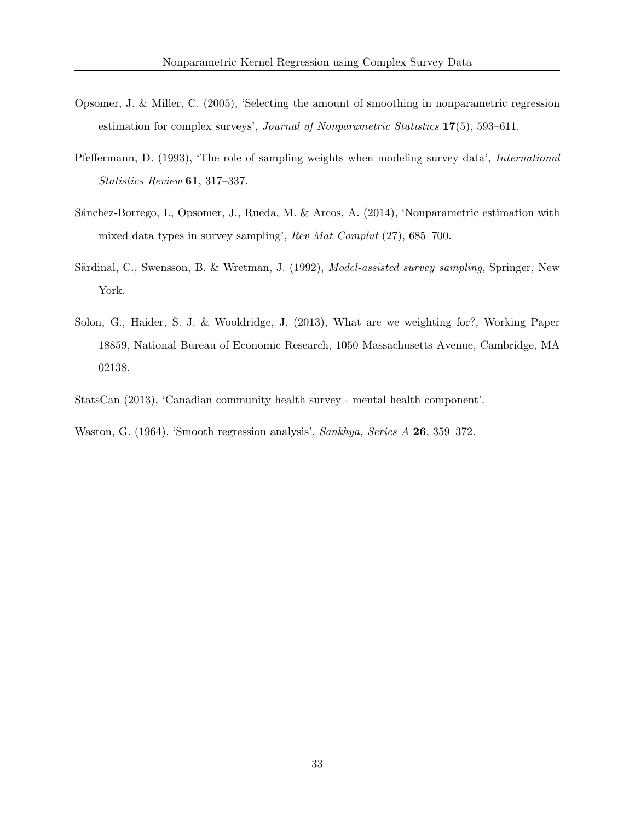- Opsomer, J. & Miller, C. (2005), 'Selecting the amount of smoothing in nonparametric regression estimation for complex surveys', *Journal of Nonparametric Statistics* 17(5), 593–611.
- Pfeffermann, D. (1993), 'The role of sampling weights when modeling survey data', International Statistics Review 61, 317–337.
- Sánchez-Borrego, I., Opsomer, J., Rueda, M. & Arcos, A. (2014), 'Nonparametric estimation with mixed data types in survey sampling', Rev Mat Complut (27), 685–700.
- Särdinal, C., Swensson, B. & Wretman, J. (1992), *Model-assisted survey sampling*, Springer, New York.
- Solon, G., Haider, S. J. & Wooldridge, J. (2013), What are we weighting for?, Working Paper 18859, National Bureau of Economic Research, 1050 Massachusetts Avenue, Cambridge, MA 02138.
- StatsCan (2013), 'Canadian community health survey mental health component'.
- Waston, G. (1964), 'Smooth regression analysis', Sankhya, Series A 26, 359–372.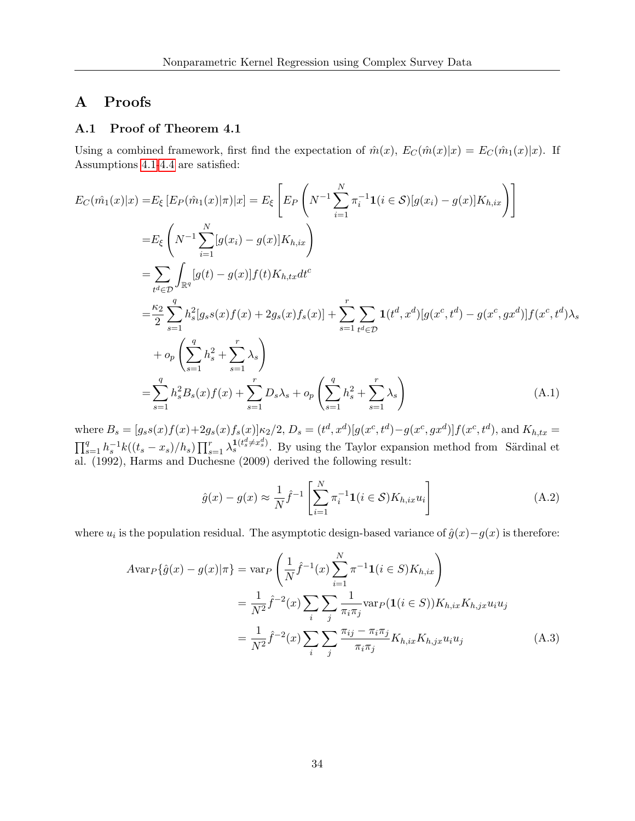# A Proofs

### A.1 Proof of Theorem 4.1

Using a combined framework, first find the expectation of  $\hat{m}(x)$ ,  $E_C(\hat{m}(x)|x) = E_C(\hat{m}_1(x)|x)$ . If Assumptions [4.1-](#page-15-1)[4.4](#page-16-1) are satisfied:

$$
E_C(\hat{m}_1(x)|x) = E_{\xi} \left[ E_P(\hat{m}_1(x)|\pi)|x \right] = E_{\xi} \left[ E_P \left( N^{-1} \sum_{i=1}^N \pi_i^{-1} \mathbf{1}(i \in S) [g(x_i) - g(x)] K_{h, ix} \right) \right]
$$
  
\n
$$
= E_{\xi} \left( N^{-1} \sum_{i=1}^N [g(x_i) - g(x)] K_{h, ix} \right)
$$
  
\n
$$
= \sum_{t^d \in D} \int_{\mathbb{R}^q} [g(t) - g(x)] f(t) K_{h, tx} dt^c
$$
  
\n
$$
= \frac{\kappa_2}{2} \sum_{s=1}^q h_s^2 [g_s s(x) f(x) + 2g_s(x) f_s(x)] + \sum_{s=1}^r \sum_{t^d \in D} \mathbf{1}(t^d, x^d) [g(x^c, t^d) - g(x^c, gx^d)] f(x^c, t^d) \lambda_s
$$
  
\n
$$
+ o_p \left( \sum_{s=1}^q h_s^2 + \sum_{s=1}^r \lambda_s \right)
$$
  
\n
$$
= \sum_{s=1}^q h_s^2 B_s(x) f(x) + \sum_{s=1}^r D_s \lambda_s + o_p \left( \sum_{s=1}^q h_s^2 + \sum_{s=1}^r \lambda_s \right)
$$
  
\n(A.1)

where  $B_s = [g_s s(x) f(x) + 2g_s(x) f_s(x)] \kappa_2/2$ ,  $D_s = (t^d, x^d) [g(x^c, t^d) - g(x^c, gx^d)] f(x^c, t^d)$ , and  $K_{h, tx} =$  $\prod_{s=1}^q h_s^{-1}k((t_s-x_s)/h_s)\prod_{s=1}^r \lambda_s^{1(t_s^d\neq x_s^d)}$ . By using the Taylor expansion method from Särdinal et al. (1992), Harms and Duchesne (2009) derived the following result:

$$
\hat{g}(x) - g(x) \approx \frac{1}{N} \hat{f}^{-1} \left[ \sum_{i=1}^{N} \pi_i^{-1} \mathbf{1}(i \in \mathcal{S}) K_{h, ix} u_i \right]
$$
\n(A.2)

where  $u_i$  is the population residual. The asymptotic design-based variance of  $\hat{g}(x) - g(x)$  is therefore:

$$
Avar_P\{\hat{g}(x) - g(x)|\pi\} = \operatorname{var}_P\left(\frac{1}{N}\hat{f}^{-1}(x)\sum_{i=1}^N \pi^{-1}\mathbf{1}(i \in S)K_{h,ix}\right)
$$
  

$$
= \frac{1}{N^2}\hat{f}^{-2}(x)\sum_i \sum_j \frac{1}{\pi_i \pi_j} \operatorname{var}_P(\mathbf{1}(i \in S))K_{h,ix}K_{h,jx}u_iu_j
$$
  

$$
= \frac{1}{N^2}\hat{f}^{-2}(x)\sum_i \sum_j \frac{\pi_{ij} - \pi_i \pi_j}{\pi_i \pi_j}K_{h,ix}K_{h,jx}u_iu_j
$$
(A.3)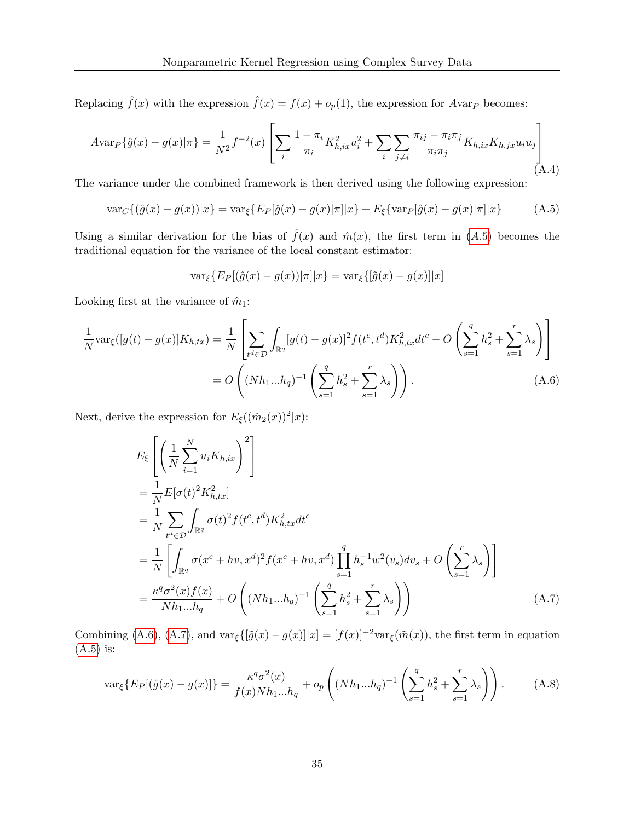Replacing  $\hat{f}(x)$  with the expression  $\hat{f}(x) = f(x) + o_p(1)$ , the expression for Avar<sub>P</sub> becomes:

<span id="page-34-3"></span>
$$
Avar_{P}\{\hat{g}(x) - g(x)|\pi\} = \frac{1}{N^2}f^{-2}(x)\left[\sum_{i}\frac{1-\pi_{i}}{\pi_{i}}K_{h,ix}^{2}u_{i}^{2} + \sum_{i}\sum_{j\neq i}\frac{\pi_{ij} - \pi_{i}\pi_{j}}{\pi_{i}\pi_{j}}K_{h,ix}K_{h,jx}u_{i}u_{j}\right]
$$
(A.4)

The variance under the combined framework is then derived using the following expression:

$$
\text{var}_C\{(\hat{g}(x) - g(x))|x\} = \text{var}_{\xi}\{E_P[\hat{g}(x) - g(x)|\pi]|x\} + E_{\xi}\{\text{var}_P[\hat{g}(x) - g(x)|\pi]|x\} \tag{A.5}
$$

Using a similar derivation for the bias of  $\hat{f}(x)$  and  $\hat{m}(x)$ , the first term in ([A.](#page-34-0)5) becomes the traditional equation for the variance of the local constant estimator:

<span id="page-34-1"></span><span id="page-34-0"></span>
$$
\text{var}_{\xi}\{E_P[(\hat{g}(x) - g(x))|\pi]|x\} = \text{var}_{\xi}\{[\tilde{g}(x) - g(x)]|x\}
$$

Looking first at the variance of  $\hat{m}_1$ :

$$
\frac{1}{N} \text{var}_{\xi}([g(t) - g(x)] K_{h,tx}) = \frac{1}{N} \left[ \sum_{t^d \in \mathcal{D}} \int_{\mathbb{R}^q} [g(t) - g(x)]^2 f(t^c, t^d) K_{h,tx}^2 dt^c - O\left( \sum_{s=1}^q h_s^2 + \sum_{s=1}^r \lambda_s \right) \right]
$$
\n
$$
= O\left( (Nh_1...h_q)^{-1} \left( \sum_{s=1}^q h_s^2 + \sum_{s=1}^r \lambda_s \right) \right). \tag{A.6}
$$

Next, derive the expression for  $E_{\xi}((\hat{m}_2(x))^2|x)$ :

<span id="page-34-2"></span>
$$
E_{\xi} \left[ \left( \frac{1}{N} \sum_{i=1}^{N} u_{i} K_{h, ix} \right)^{2} \right]
$$
  
\n
$$
= \frac{1}{N} E[\sigma(t)^{2} K_{h, tx}^{2}]
$$
  
\n
$$
= \frac{1}{N} \sum_{t^{d} \in \mathcal{D}} \int_{\mathbb{R}^{q}} \sigma(t)^{2} f(t^{c}, t^{d}) K_{h, tx}^{2} dt^{c}
$$
  
\n
$$
= \frac{1}{N} \left[ \int_{\mathbb{R}^{q}} \sigma(x^{c} + hv, x^{d})^{2} f(x^{c} + hv, x^{d}) \prod_{s=1}^{q} h_{s}^{-1} w^{2}(v_{s}) dv_{s} + O\left(\sum_{s=1}^{r} \lambda_{s}\right) \right]
$$
  
\n
$$
= \frac{\kappa^{q} \sigma^{2}(x) f(x)}{N h_{1} ... h_{q}} + O\left( (Nh_{1} ... h_{q})^{-1} \left( \sum_{s=1}^{q} h_{s}^{2} + \sum_{s=1}^{r} \lambda_{s} \right) \right)
$$
 (A.7)

Combining [\(A.6\)](#page-34-1), [\(A.7\)](#page-34-2), and  $\text{var}_{\xi}([\tilde{g}(x) - g(x)]|x] = [f(x)]^{-2} \text{var}_{\xi}(\tilde{m}(x))$ , the first term in equation [\(A.5\)](#page-34-0) is:

<span id="page-34-4"></span>
$$
\text{var}_{\xi}\{E_P[(\hat{g}(x) - g(x)]\} = \frac{\kappa^q \sigma^2(x)}{f(x) N h_1 ... h_q} + o_p\left( (N h_1 ... h_q)^{-1} \left( \sum_{s=1}^q h_s^2 + \sum_{s=1}^r \lambda_s \right) \right). \tag{A.8}
$$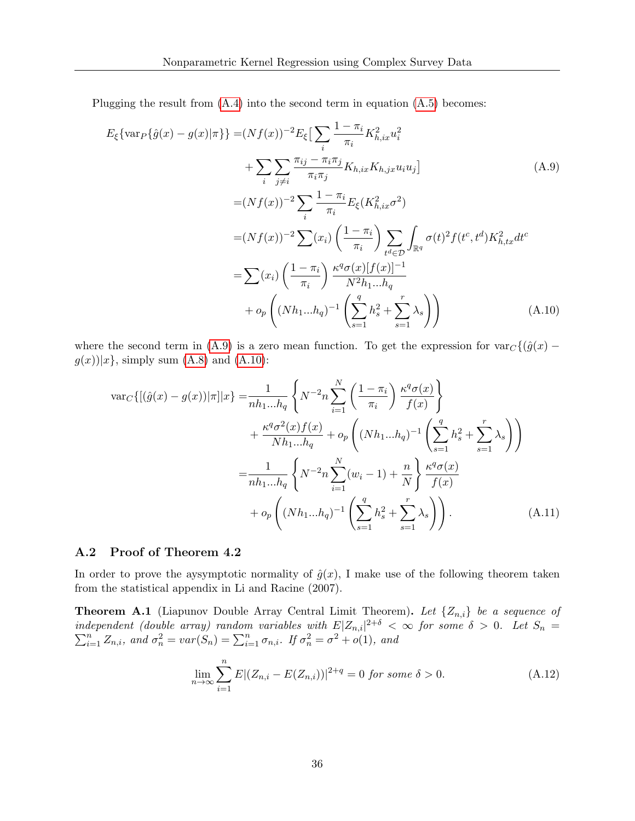Plugging the result from  $(A.4)$  into the second term in equation  $(A.5)$  becomes:

<span id="page-35-0"></span>
$$
E_{\xi}\{\text{var}_{P}\{\hat{g}(x) - g(x)|\pi\}\} = (Nf(x))^{-2}E_{\xi}\left[\sum_{i}\frac{1-\pi_{i}}{\pi_{i}}K_{h,ix}^{2}u_{i}^{2} + \sum_{i}\sum_{j\neq i}\frac{\pi_{ij} - \pi_{i}\pi_{j}}{\pi_{i}\pi_{j}}K_{h,ix}K_{h,jx}u_{i}u_{j}\right]
$$
(A.9)  

$$
= (Nf(x))^{-2}\sum_{i}\frac{1-\pi_{i}}{\pi_{i}}E_{\xi}(K_{h,ix}^{2}\sigma^{2})
$$

$$
= (Nf(x))^{-2}\sum_{i}(x_{i})\left(\frac{1-\pi_{i}}{\pi_{i}}\right)\sum_{t^{d}\in\mathcal{D}}\int_{\mathbb{R}^{q}}\sigma(t)^{2}f(t^{c},t^{d})K_{h,tx}^{2}dt^{c}
$$

$$
= \sum(x_{i})\left(\frac{1-\pi_{i}}{\pi_{i}}\right)\frac{\kappa^{q}\sigma(x)[f(x)]^{-1}}{N^{2}h_{1}...h_{q}}
$$

$$
+ o_{p}\left((Nh_{1}...h_{q})^{-1}\left(\sum_{s=1}^{q}h_{s}^{2}+\sum_{s=1}^{r}\lambda_{s}\right)\right)
$$
(A.10)

where the second term in [\(A.9\)](#page-35-0) is a zero mean function. To get the expression for  $var_{C}\{\hat{g}(x)$  –  $g(x)|x\}$ , simply sum [\(A.8\)](#page-34-4) and [\(A.10\)](#page-35-1):

<span id="page-35-1"></span>
$$
\begin{split} \text{var}_{C}\{[(\hat{g}(x) - g(x))|\pi]|x\} &= \frac{1}{nh_{1}...h_{q}} \left\{ N^{-2}n \sum_{i=1}^{N} \left( \frac{1 - \pi_{i}}{\pi_{i}} \right) \frac{\kappa^{q} \sigma(x)}{f(x)} \right\} \\ &+ \frac{\kappa^{q} \sigma^{2}(x)f(x)}{Nh_{1}...h_{q}} + o_{p} \left( (Nh_{1}...h_{q})^{-1} \left( \sum_{s=1}^{q} h_{s}^{2} + \sum_{s=1}^{r} \lambda_{s} \right) \right) \\ &= \frac{1}{nh_{1}...h_{q}} \left\{ N^{-2}n \sum_{i=1}^{N} (w_{i} - 1) + \frac{n}{N} \right\} \frac{\kappa^{q} \sigma(x)}{f(x)} \\ &+ o_{p} \left( (Nh_{1}...h_{q})^{-1} \left( \sum_{s=1}^{q} h_{s}^{2} + \sum_{s=1}^{r} \lambda_{s} \right) \right). \end{split} \tag{A.11}
$$

#### A.2 Proof of Theorem 4.2

In order to prove the aysymptotic normality of  $\hat{g}(x)$ , I make use of the following theorem taken from the statistical appendix in Li and Racine (2007).

**Theorem A.1** (Liapunov Double Array Central Limit Theorem). Let  $\{Z_{n,i}\}\$ be a sequence of independent (double array) random variables with  $E|Z_{n,i}|$  $\sum$ dependent (double array) random variables with  $E|Z_{n,i}|^{2+\delta} < \infty$  for some  $\delta > 0$ . Let  $S_n = \sum_{i=1}^n Z_{n,i}$ , and  $\sigma_n^2 = \text{var}(S_n) = \sum_{i=1}^n \sigma_{n,i}$ . If  $\sigma_n^2 = \sigma^2 + o(1)$ , and

$$
\lim_{n \to \infty} \sum_{i=1}^{n} E|(Z_{n,i} - E(Z_{n,i}))|^{2+q} = 0 \text{ for some } \delta > 0.
$$
 (A.12)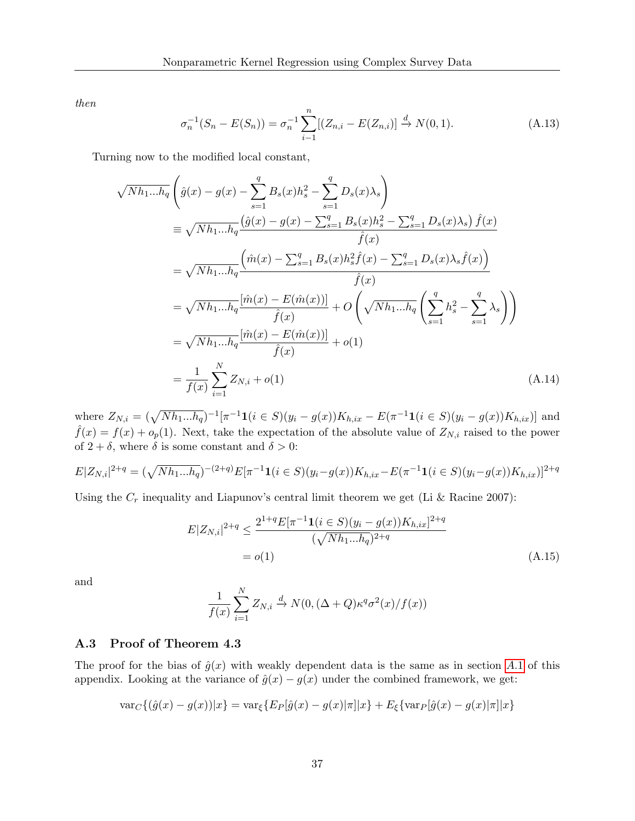then

$$
\sigma_n^{-1}(S_n - E(S_n)) = \sigma_n^{-1} \sum_{i=1}^n [(Z_{n,i} - E(Z_{n,i})] \xrightarrow{d} N(0,1). \tag{A.13}
$$

Turning now to the modified local constant,

$$
\sqrt{Nh_{1}...h_{q}}\left(\hat{g}(x)-g(x)-\sum_{s=1}^{q}B_{s}(x)h_{s}^{2}-\sum_{s=1}^{q}D_{s}(x)\lambda_{s}\right)
$$
\n
$$
\equiv \sqrt{Nh_{1}...h_{q}}\frac{(\hat{g}(x)-g(x)-\sum_{s=1}^{q}B_{s}(x)h_{s}^{2}-\sum_{s=1}^{q}D_{s}(x)\lambda_{s})\hat{f}(x)}{\hat{f}(x)}
$$
\n
$$
=\sqrt{Nh_{1}...h_{q}}\frac{(\hat{m}(x)-\sum_{s=1}^{q}B_{s}(x)h_{s}^{2}\hat{f}(x)-\sum_{s=1}^{q}D_{s}(x)\lambda_{s}\hat{f}(x))}{\hat{f}(x)}
$$
\n
$$
=\sqrt{Nh_{1}...h_{q}}\frac{[\hat{m}(x)-E(\hat{m}(x))]}{\hat{f}(x)}+O\left(\sqrt{Nh_{1}...h_{q}}\left(\sum_{s=1}^{q}h_{s}^{2}-\sum_{s=1}^{q}\lambda_{s}\right)\right)
$$
\n
$$
=\sqrt{Nh_{1}...h_{q}}\frac{[\hat{m}(x)-E(\hat{m}(x))]}{\hat{f}(x)}+o(1)
$$
\n
$$
=\frac{1}{f(x)}\sum_{i=1}^{N}Z_{N,i}+o(1) \tag{A.14}
$$

where  $Z_{N,i} = (\sqrt{N h_1 ... h_q})^{-1} [\pi^{-1} \mathbf{1}(i \in S)(y_i - g(x)) K_{h, ix} - E(\pi^{-1} \mathbf{1}(i \in S)(y_i - g(x)) K_{h, ix})]$  and  $\hat{f}(x) = f(x) + o_p(1)$ . Next, take the expectation of the absolute value of  $Z_{N,i}$  raised to the power of  $2 + \delta$ , where  $\delta$  is some constant and  $\delta > 0$ :

$$
E|Z_{N,i}|^{2+q} = (\sqrt{N h_1 ... h_q})^{-(2+q)} E[\pi^{-1} \mathbf{1}(i \in S)(y_i - g(x)) K_{h, ix} - E(\pi^{-1} \mathbf{1}(i \in S)(y_i - g(x)) K_{h, ix})]^{2+q}
$$

Using the  $C_r$  inequality and Liapunov's central limit theorem we get (Li & Racine 2007):

$$
E|Z_{N,i}|^{2+q} \le \frac{2^{1+q} E[\pi^{-1} \mathbf{1}(i \in S)(y_i - g(x)) K_{h,ix}]^{2+q}}{(\sqrt{N h_1 ... h_q})^{2+q}}
$$
  
=  $o(1)$  (A.15)

and

$$
\frac{1}{f(x)}\sum_{i=1}^{N}Z_{N,i} \xrightarrow{d} N(0, (\Delta+Q)\kappa^q\sigma^2(x)/f(x))
$$

#### A.3 Proof of Theorem 4.3

The proof for the bias of  $\hat{g}(x)$  with weakly dependent data is the same as in section [A.](#page-33-0)1 of this appendix. Looking at the variance of  $\hat{g}(x) - g(x)$  under the combined framework, we get:

$$
\text{var}_C\{(\hat{g}(x) - g(x))|x\} = \text{var}_{\xi}\{E_P[\hat{g}(x) - g(x)|\pi]|x\} + E_{\xi}\{\text{var}_P[\hat{g}(x) - g(x)|\pi]|x\}
$$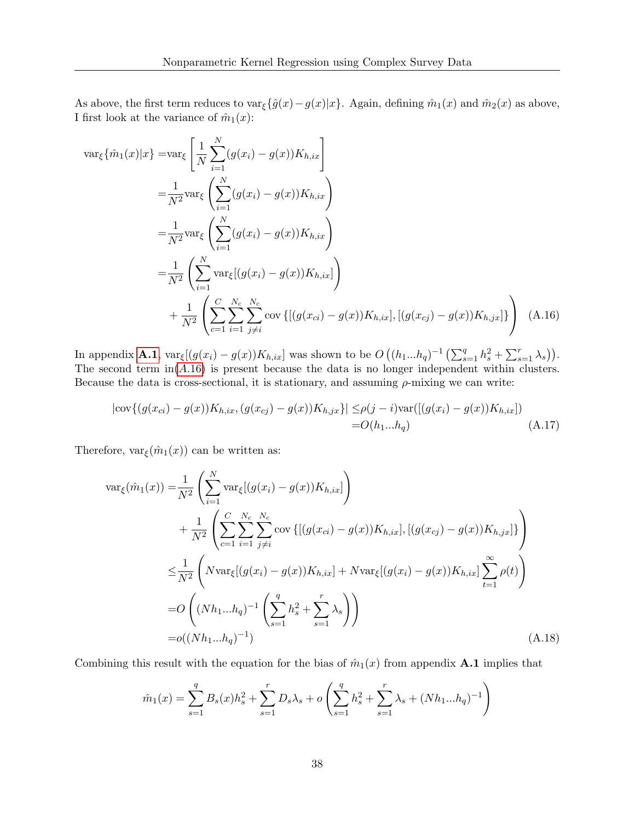As above, the first term reduces to var<sub>ξ</sub>{ $\hat{g}(x) - g(x)|x$ }. Again, defining  $\hat{m}_1(x)$  and  $\hat{m}_2(x)$  as above, I first look at the variance of  $\hat{m}_1(x)$ :

$$
\begin{split}\n\text{var}_{\xi}\{\hat{m}_{1}(x)|x\} &= \text{var}_{\xi}\left[\frac{1}{N}\sum_{i=1}^{N}(g(x_{i})-g(x))K_{h,ix}\right] \\
&= \frac{1}{N^{2}}\text{var}_{\xi}\left(\sum_{i=1}^{N}(g(x_{i})-g(x))K_{h,ix}\right) \\
&= \frac{1}{N^{2}}\text{var}_{\xi}\left(\sum_{i=1}^{N}(g(x_{i})-g(x))K_{h,ix}\right) \\
&= \frac{1}{N^{2}}\left(\sum_{i=1}^{N}\text{var}_{\xi}[(g(x_{i})-g(x))K_{h,ix}]\right) \\
&\quad + \frac{1}{N^{2}}\left(\sum_{c=1}^{C}\sum_{i=1}^{N_{c}}\sum_{j\neq i}^{N_{c}}\text{cov}\left\{[(g(x_{ci})-g(x))K_{h,ix}],[(g(x_{cj})-g(x))K_{h,ix}]\right\}\right)\n\end{split} \tag{A.16}
$$

In appendix **[A.1](#page-33-0)**,  $\text{var}_{\xi}[(g(x_i) - g(x))K_{h,ix}]$  was shown to be  $O((h_1...h_q)^{-1} \left(\sum_{s=1}^q h_s^2 + \sum_{s=1}^r \lambda_s)\right)$ . The second term  $in(A.16)$  $in(A.16)$  is present because the data is no longer independent within clusters. Because the data is cross-sectional, it is stationary, and assuming  $\rho$ -mixing we can write:

<span id="page-37-0"></span>
$$
|\text{cov}\{(g(x_{ci}) - g(x))K_{h,ix}, (g(x_{cj}) - g(x))K_{h,jx}\}| \leq \rho(j-i)\text{var}([g(x_i) - g(x))K_{h,ix}])
$$
  
= O(h<sub>1</sub>...h<sub>q</sub>) (A.17)

Therefore,  $var_{\xi}(\hat{m}_1(x))$  can be written as:

$$
\begin{split}\n\text{var}_{\xi}(\hat{m}_{1}(x)) &= \frac{1}{N^{2}} \left( \sum_{i=1}^{N} \text{var}_{\xi}[(g(x_{i}) - g(x))K_{h,ix}] \right) \\
&+ \frac{1}{N^{2}} \left( \sum_{c=1}^{C} \sum_{i=1}^{N_{c}} \sum_{j \neq i}^{N_{c}} \text{cov}\left\{[(g(x_{ci}) - g(x))K_{h,ix}], [(g(x_{cj}) - g(x))K_{h,ix}] \right\} \right) \\
&\leq \frac{1}{N^{2}} \left( N \text{var}_{\xi}[(g(x_{i}) - g(x))K_{h,ix}] + N \text{var}_{\xi}[(g(x_{i}) - g(x))K_{h,ix}] \sum_{t=1}^{\infty} \rho(t) \right) \\
&= O\left( (Nh_{1}...h_{q})^{-1} \left( \sum_{s=1}^{q} h_{s}^{2} + \sum_{s=1}^{r} \lambda_{s} \right) \right) \\
&= o((Nh_{1}...h_{q})^{-1})\n\end{split} \tag{A.18}
$$

Combining this result with the equation for the bias of  $\hat{m}_1(x)$  from appendix **A.1** implies that

$$
\hat{m}_1(x) = \sum_{s=1}^q B_s(x)h_s^2 + \sum_{s=1}^r D_s\lambda_s + o\left(\sum_{s=1}^q h_s^2 + \sum_{s=1}^r \lambda_s + (Nh_1...h_q)^{-1}\right)
$$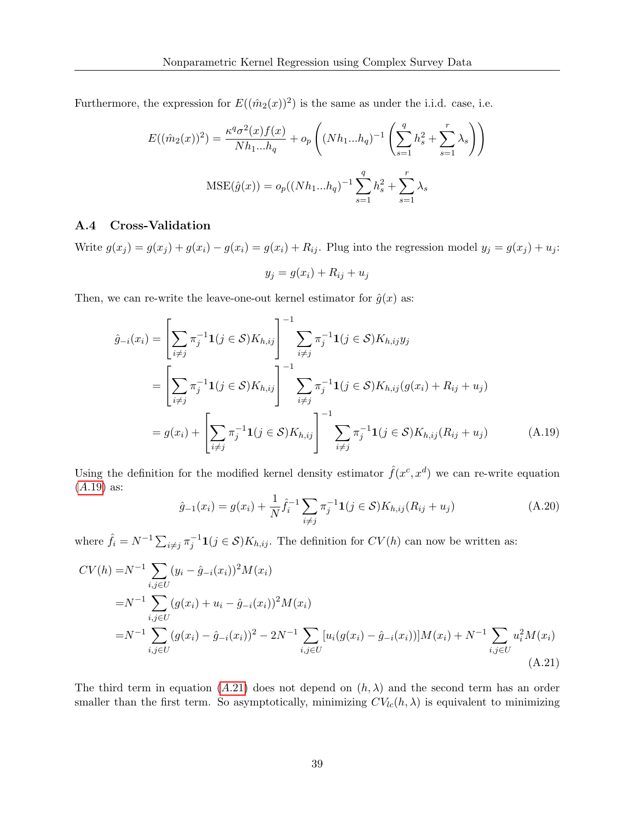Furthermore, the expression for  $E((\hat{m}_2(x))^2)$  is the same as under the i.i.d. case, i.e.

$$
E((\hat{m}_2(x))^2) = \frac{\kappa^q \sigma^2(x) f(x)}{N h_1 ... h_q} + o_p \left( (N h_1 ... h_q)^{-1} \left( \sum_{s=1}^q h_s^2 + \sum_{s=1}^r \lambda_s \right) \right)
$$
  
MSE( $\hat{g}(x)$ ) =  $o_p((N h_1 ... h_q)^{-1} \sum_{s=1}^q h_s^2 + \sum_{s=1}^r \lambda_s$ 

### A.4 Cross-Validation

Write  $g(x_j) = g(x_j) + g(x_i) - g(x_i) = g(x_i) + R_{ij}$ . Plug into the regression model  $y_j = g(x_j) + u_j$ :

<span id="page-38-0"></span>
$$
y_j = g(x_i) + R_{ij} + u_j
$$

Then, we can re-write the leave-one-out kernel estimator for  $\hat{g}(x)$  as:

$$
\hat{g}_{-i}(x_i) = \left[\sum_{i \neq j} \pi_j^{-1} \mathbf{1}(j \in S) K_{h,ij}\right]^{-1} \sum_{i \neq j} \pi_j^{-1} \mathbf{1}(j \in S) K_{h,ij} y_j
$$
\n
$$
= \left[\sum_{i \neq j} \pi_j^{-1} \mathbf{1}(j \in S) K_{h,ij}\right]^{-1} \sum_{i \neq j} \pi_j^{-1} \mathbf{1}(j \in S) K_{h,ij} (g(x_i) + R_{ij} + u_j)
$$
\n
$$
= g(x_i) + \left[\sum_{i \neq j} \pi_j^{-1} \mathbf{1}(j \in S) K_{h,ij}\right]^{-1} \sum_{i \neq j} \pi_j^{-1} \mathbf{1}(j \in S) K_{h,ij} (R_{ij} + u_j) \tag{A.19}
$$

Using the definition for the modified kernel density estimator  $\hat{f}(x^c, x^d)$  we can re-write equation  $(A.19)$  $(A.19)$  as:

<span id="page-38-1"></span>
$$
\hat{g}_{-1}(x_i) = g(x_i) + \frac{1}{N} \hat{f}_i^{-1} \sum_{i \neq j} \pi_j^{-1} \mathbf{1}(j \in \mathcal{S}) K_{h,ij}(R_{ij} + u_j)
$$
\n(A.20)

where  $\hat{f}_i = N^{-1} \sum_{i \neq j} \pi_j^{-1} \mathbf{1}(j \in \mathcal{S}) K_{h,ij}$ . The definition for  $CV(h)$  can now be written as:

$$
CV(h) = N^{-1} \sum_{i,j \in U} (y_i - \hat{g}_{-i}(x_i))^2 M(x_i)
$$
  
= N^{-1} \sum\_{i,j \in U} (g(x\_i) + u\_i - \hat{g}\_{-i}(x\_i))^2 M(x\_i)  
= N^{-1} \sum\_{i,j \in U} (g(x\_i) - \hat{g}\_{-i}(x\_i))^2 - 2N^{-1} \sum\_{i,j \in U} [u\_i(g(x\_i) - \hat{g}\_{-i}(x\_i))] M(x\_i) + N^{-1} \sum\_{i,j \in U} u\_i^2 M(x\_i) \tag{A.21}

The third term in equation (A.[21\)](#page-38-1) does not depend on  $(h, \lambda)$  and the second term has an order smaller than the first term. So asymptotically, minimizing  $CV<sub>lc</sub>(h, \lambda)$  is equivalent to minimizing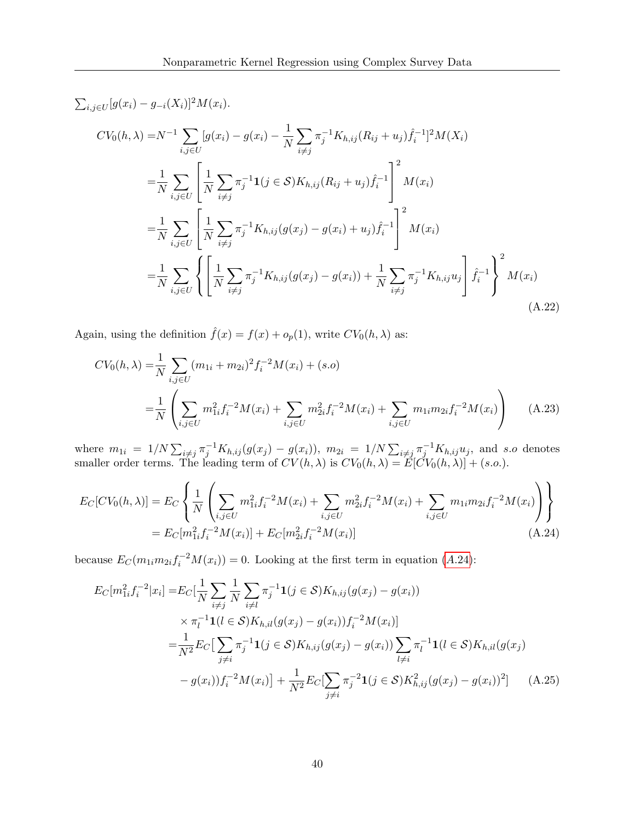$\sum_{i,j\in U}[g(x_i) - g_{-i}(X_i)]^2 M(x_i).$ 

$$
CV_0(h, \lambda) = N^{-1} \sum_{i,j \in U} [g(x_i) - g(x_i) - \frac{1}{N} \sum_{i \neq j} \pi_j^{-1} K_{h,ij} (R_{ij} + u_j) \hat{f}_i^{-1}]^2 M(X_i)
$$
  
\n
$$
= \frac{1}{N} \sum_{i,j \in U} \left[ \frac{1}{N} \sum_{i \neq j} \pi_j^{-1} \mathbf{1}(j \in S) K_{h,ij} (R_{ij} + u_j) \hat{f}_i^{-1} \right]^2 M(x_i)
$$
  
\n
$$
= \frac{1}{N} \sum_{i,j \in U} \left[ \frac{1}{N} \sum_{i \neq j} \pi_j^{-1} K_{h,ij} (g(x_j) - g(x_i) + u_j) \hat{f}_i^{-1} \right]^2 M(x_i)
$$
  
\n
$$
= \frac{1}{N} \sum_{i,j \in U} \left\{ \left[ \frac{1}{N} \sum_{i \neq j} \pi_j^{-1} K_{h,ij} (g(x_j) - g(x_i)) + \frac{1}{N} \sum_{i \neq j} \pi_j^{-1} K_{h,ij} u_j \right] \hat{f}_i^{-1} \right\}^2 M(x_i)
$$
  
\n(A.22)

Again, using the definition  $\hat{f}(x) = f(x) + o_p(1)$ , write  $CV_0(h, \lambda)$  as:

<span id="page-39-2"></span>
$$
CV_0(h, \lambda) = \frac{1}{N} \sum_{i,j \in U} (m_{1i} + m_{2i})^2 f_i^{-2} M(x_i) + (s.o)
$$
  
= 
$$
\frac{1}{N} \left( \sum_{i,j \in U} m_{1i}^2 f_i^{-2} M(x_i) + \sum_{i,j \in U} m_{2i}^2 f_i^{-2} M(x_i) + \sum_{i,j \in U} m_{1i} m_{2i} f_i^{-2} M(x_i) \right)
$$
 (A.23)

where  $m_{1i} = 1/N \sum_{i \neq j} \pi_j^{-1} K_{h,ij}(g(x_j) - g(x_i))$ ,  $m_{2i} = 1/N \sum_{i \neq j} \pi_j^{-1} K_{h,ij} u_j$ , and s.o denotes smaller order terms. The leading term of  $CV(h, \lambda)$  is  $CV_0(h, \lambda) = E[CV_0(h, \lambda)] + (s.o.).$ 

$$
E_C[CV_0(h,\lambda)] = E_C \left\{ \frac{1}{N} \left( \sum_{i,j \in U} m_{1i}^2 f_i^{-2} M(x_i) + \sum_{i,j \in U} m_{2i}^2 f_i^{-2} M(x_i) + \sum_{i,j \in U} m_{1i} m_{2i} f_i^{-2} M(x_i) \right) \right\}
$$
  
=  $E_C[m_{1i}^2 f_i^{-2} M(x_i)] + E_C[m_{2i}^2 f_i^{-2} M(x_i)]$  (A.24)

because  $E_C(m_{1i}m_{2i}f_i^{-2}M(x_i)) = 0$ . Looking at the first term in equation (A.[24\)](#page-39-0):

<span id="page-39-1"></span><span id="page-39-0"></span>
$$
E_C[m_{1i}^2 f_i^{-2} | x_i] = E_C[\frac{1}{N} \sum_{i \neq j} \frac{1}{N} \sum_{i \neq l} \pi_j^{-1} \mathbf{1}(j \in S) K_{h,ij}(g(x_j) - g(x_i))
$$
  
\n
$$
\times \pi_l^{-1} \mathbf{1}(l \in S) K_{h,il}(g(x_j) - g(x_i)) f_i^{-2} M(x_i)]
$$
  
\n
$$
= \frac{1}{N^2} E_C[\sum_{j \neq i} \pi_j^{-1} \mathbf{1}(j \in S) K_{h,ij}(g(x_j) - g(x_i)) \sum_{l \neq i} \pi_l^{-1} \mathbf{1}(l \in S) K_{h,il}(g(x_j) - g(x_i)) f_i^{-2} M(x_i)] + \frac{1}{N^2} E_C[\sum_{j \neq i} \pi_j^{-2} \mathbf{1}(j \in S) K_{h,ij}^2 (g(x_j) - g(x_i))^2]
$$
 (A.25)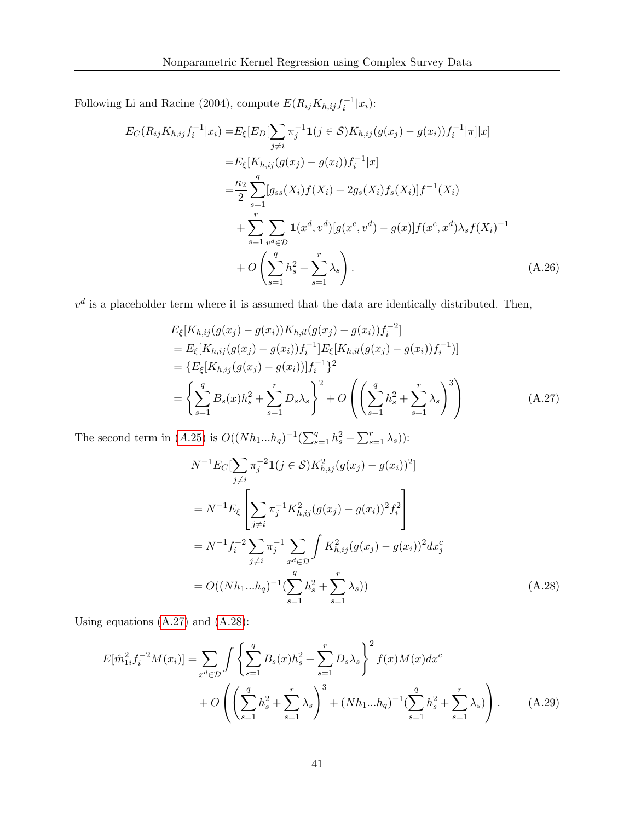Following Li and Racine (2004), compute  $E(R_{ij}K_{h,ij}f_i^{-1}|x_i)$ :

$$
E_C(R_{ij}K_{h,ij}f_i^{-1}|x_i) = E_{\xi}[E_D[\sum_{j\neq i} \pi_j^{-1}\mathbf{1}(j \in S)K_{h,ij}(g(x_j) - g(x_i))f_i^{-1}|\pi]|x]
$$
  
\n
$$
= E_{\xi}[K_{h,ij}(g(x_j) - g(x_i))f_i^{-1}|x]
$$
  
\n
$$
= \frac{\kappa_2}{2} \sum_{s=1}^q [g_{ss}(X_i)f(X_i) + 2g_s(X_i)f_s(X_i)]f^{-1}(X_i)
$$
  
\n
$$
+ \sum_{s=1}^r \sum_{v^d \in \mathcal{D}} \mathbf{1}(x^d, v^d)[g(x^c, v^d) - g(x)]f(x^c, x^d)\lambda_s f(X_i)^{-1}
$$
  
\n
$$
+ O\left(\sum_{s=1}^q h_s^2 + \sum_{s=1}^r \lambda_s\right).
$$
 (A.26)

 $v<sup>d</sup>$  is a placeholder term where it is assumed that the data are identically distributed. Then,

$$
E_{\xi}[K_{h,ij}(g(x_j) - g(x_i))K_{h,il}(g(x_j) - g(x_i))f_i^{-2}]
$$
  
=  $E_{\xi}[K_{h,ij}(g(x_j) - g(x_i))f_i^{-1}]E_{\xi}[K_{h,il}(g(x_j) - g(x_i))f_i^{-1})]$   
=  $\{E_{\xi}[K_{h,ij}(g(x_j) - g(x_i))]f_i^{-1}\}^2$   
=  $\left\{\sum_{s=1}^q B_s(x)h_s^2 + \sum_{s=1}^r D_s\lambda_s\right\}^2 + O\left(\left(\sum_{s=1}^q h_s^2 + \sum_{s=1}^r \lambda_s\right)^3\right)$  (A.27)

The second term in (A.[25\)](#page-39-1) is  $O((Nh_1...h_q)^{-1}(\sum_{s=1}^q h_s^2 + \sum_{s=1}^r \lambda_s))$ :

<span id="page-40-1"></span><span id="page-40-0"></span>
$$
N^{-1}E_C[\sum_{j\neq i} \pi_j^{-2} \mathbf{1}(j \in S) K_{h,ij}^2 (g(x_j) - g(x_i))^2]
$$
  
\n
$$
= N^{-1}E_{\xi} \left[ \sum_{j\neq i} \pi_j^{-1} K_{h,ij}^2 (g(x_j) - g(x_i))^2 f_i^2 \right]
$$
  
\n
$$
= N^{-1}f_i^{-2} \sum_{j\neq i} \pi_j^{-1} \sum_{x^d \in \mathcal{D}} \int K_{h,ij}^2 (g(x_j) - g(x_i))^2 dx_j^c
$$
  
\n
$$
= O((Nh_1...h_q)^{-1}(\sum_{s=1}^q h_s^2 + \sum_{s=1}^r \lambda_s))
$$
 (A.28)

Using equations  $(A.27)$  and  $(A.28)$ :

$$
E[\hat{m}_{1i}^2 f_i^{-2} M(x_i)] = \sum_{x^d \in \mathcal{D}} \int \left\{ \sum_{s=1}^q B_s(x) h_s^2 + \sum_{s=1}^r D_s \lambda_s \right\}^2 f(x) M(x) dx^c
$$
  
+  $O \left( \left( \sum_{s=1}^q h_s^2 + \sum_{s=1}^r \lambda_s \right)^3 + (N h_1 ... h_q)^{-1} (\sum_{s=1}^q h_s^2 + \sum_{s=1}^r \lambda_s) \right).$  (A.29)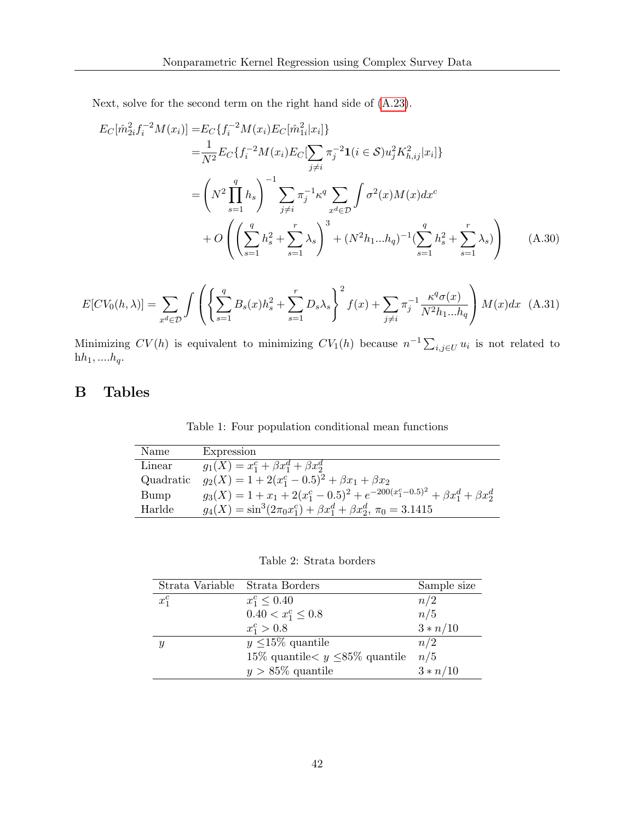Next, solve for the second term on the right hand side of [\(A.23\)](#page-39-2).

$$
E_C[\hat{m}_{2i}^2 f_i^{-2} M(x_i)] = E_C\{f_i^{-2} M(x_i) E_C[\hat{m}_{1i}^2 | x_i]\}
$$
  
\n
$$
= \frac{1}{N^2} E_C\{f_i^{-2} M(x_i) E_C[\sum_{j \neq i} \pi_j^{-2} \mathbf{1}(i \in S) u_j^2 K_{h,ij}^2 | x_i]\}
$$
  
\n
$$
= \left(N^2 \prod_{s=1}^q h_s\right)^{-1} \sum_{j \neq i} \pi_j^{-1} \kappa^q \sum_{x^d \in \mathcal{D}} \int \sigma^2(x) M(x) dx^c
$$
  
\n
$$
+ O\left(\left(\sum_{s=1}^q h_s^2 + \sum_{s=1}^r \lambda_s\right)^3 + (N^2 h_1 ... h_q)^{-1} (\sum_{s=1}^q h_s^2 + \sum_{s=1}^r \lambda_s)\right) \tag{A.30}
$$

$$
E[CV_0(h, \lambda)] = \sum_{x^d \in \mathcal{D}} \int \left( \left\{ \sum_{s=1}^q B_s(x) h_s^2 + \sum_{s=1}^r D_s \lambda_s \right\}^2 f(x) + \sum_{j \neq i} \pi_j^{-1} \frac{\kappa^q \sigma(x)}{N^2 h_1 ... h_q} \right) M(x) dx \tag{A.31}
$$

Minimizing  $CV(h)$  is equivalent to minimizing  $CV_1(h)$  because  $n^{-1} \sum_{i,j \in U} u_i$  is not related to  $\mathbf{h}h_1,....h_q.$ 

## B Tables

Table 1: Four population conditional mean functions

| Name      | Expression                                                                                  |
|-----------|---------------------------------------------------------------------------------------------|
| Linear    | $g_1(X) = x_1^c + \beta x_1^d + \beta x_2^d$                                                |
| Quadratic | $g_2(X) = 1 + 2(x_1^c - 0.5)^2 + \beta x_1 + \beta x_2$                                     |
| Bump      | $g_3(X) = 1 + x_1 + 2(x_1^c - 0.5)^2 + e^{-200(x_1^c - 0.5)^2} + \beta x_1^d + \beta x_2^d$ |
| Harlde    | $g_4(X) = \sin^3(2\pi_0 x_1^c) + \beta x_1^d + \beta x_2^d, \pi_0 = 3.1415$                 |

Table 2: Strata borders

| Strata Variable Strata Borders |                                          | Sample size |
|--------------------------------|------------------------------------------|-------------|
| $x_1^c$                        | $x_1^c \leq 0.40$                        | n/2         |
|                                | $0.40 < x_1^c \leq 0.8$                  | n/5         |
|                                | $x_1^c > 0.8$                            | $3 * n/10$  |
| Y                              | $y \leq 15\%$ quantile                   | n/2         |
|                                | 15\% quantile $\lt y \leq 85\%$ quantile | n/5         |
|                                | $y > 85\%$ quantile                      | $3 * n/10$  |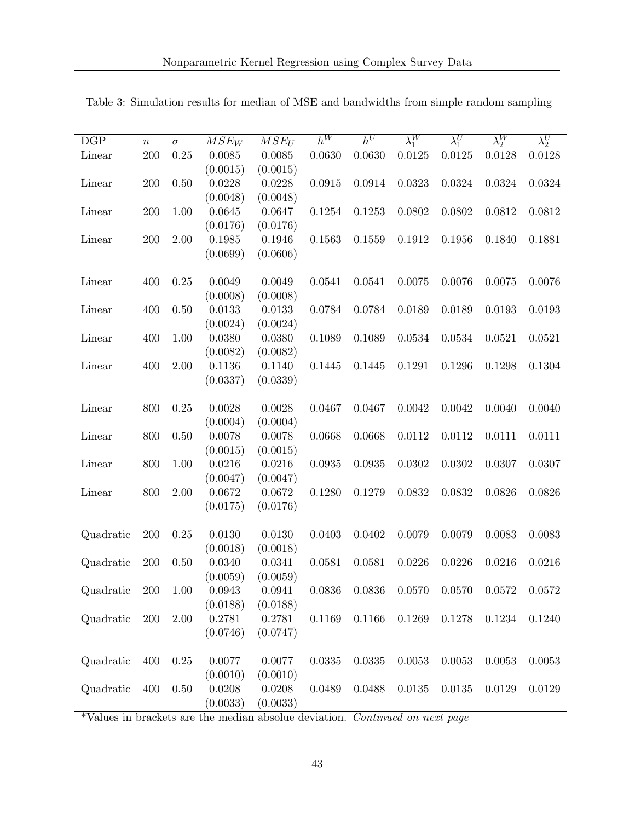| DGP       | $\, n$ | $\sigma$ | $MSE_W$  | $MSE_U$    | $h^W$  | $h^U$  | $\lambda_1^W$ | $\lambda_1^U$ | $\lambda_2^W$ | $\lambda_2^U$ |
|-----------|--------|----------|----------|------------|--------|--------|---------------|---------------|---------------|---------------|
| Linear    | 200    | $0.25\,$ | 0.0085   | 0.0085     | 0.0630 | 0.0630 | 0.0125        | 0.0125        | 0.0128        | 0.0128        |
|           |        |          | (0.0015) | (0.0015)   |        |        |               |               |               |               |
| Linear    | 200    | 0.50     | 0.0228   | 0.0228     | 0.0915 | 0.0914 | 0.0323        | 0.0324        | 0.0324        | 0.0324        |
|           |        |          | (0.0048) | (0.0048)   |        |        |               |               |               |               |
| Linear    | 200    | $1.00\,$ | 0.0645   | 0.0647     | 0.1254 | 0.1253 | 0.0802        | 0.0802        | 0.0812        | 0.0812        |
|           |        |          | (0.0176) | (0.0176)   |        |        |               |               |               |               |
| Linear    | 200    | 2.00     | 0.1985   | 0.1946     | 0.1563 | 0.1559 | 0.1912        | 0.1956        | 0.1840        | 0.1881        |
|           |        |          | (0.0699) | (0.0606)   |        |        |               |               |               |               |
|           |        |          |          |            |        |        |               |               |               |               |
| Linear    | 400    | 0.25     | 0.0049   | 0.0049     | 0.0541 | 0.0541 | 0.0075        | 0.0076        | 0.0075        | 0.0076        |
|           |        |          | (0.0008) | (0.0008)   |        |        |               |               |               |               |
| Linear    | 400    | 0.50     | 0.0133   | 0.0133     | 0.0784 | 0.0784 | 0.0189        | 0.0189        | 0.0193        | 0.0193        |
|           |        |          | (0.0024) | (0.0024)   |        |        |               |               |               |               |
| Linear    | 400    | $1.00\,$ | 0.0380   | 0.0380     | 0.1089 | 0.1089 | 0.0534        | 0.0534        | 0.0521        | 0.0521        |
|           |        |          | (0.0082) | (0.0082)   |        |        |               |               |               |               |
| Linear    | 400    | 2.00     | 0.1136   | 0.1140     | 0.1445 | 0.1445 | 0.1291        | 0.1296        | 0.1298        | 0.1304        |
|           |        |          | (0.0337) | (0.0339)   |        |        |               |               |               |               |
| Linear    | 800    | 0.25     | 0.0028   | 0.0028     | 0.0467 | 0.0467 | 0.0042        | 0.0042        | 0.0040        | 0.0040        |
|           |        |          | (0.0004) | (0.0004)   |        |        |               |               |               |               |
| Linear    | 800    | 0.50     | 0.0078   | $0.0078\,$ | 0.0668 | 0.0668 | 0.0112        | 0.0112        | 0.0111        | 0.0111        |
|           |        |          | (0.0015) | (0.0015)   |        |        |               |               |               |               |
| Linear    | 800    | $1.00\,$ | 0.0216   | 0.0216     | 0.0935 | 0.0935 | 0.0302        | 0.0302        | 0.0307        | 0.0307        |
|           |        |          | (0.0047) | (0.0047)   |        |        |               |               |               |               |
| Linear    | 800    | $2.00\,$ | 0.0672   | 0.0672     | 0.1280 | 0.1279 | 0.0832        | 0.0832        | 0.0826        | 0.0826        |
|           |        |          | (0.0175) | (0.0176)   |        |        |               |               |               |               |
|           |        |          |          |            |        |        |               |               |               |               |
| Quadratic | 200    | 0.25     | 0.0130   | 0.0130     | 0.0403 | 0.0402 | 0.0079        | 0.0079        | 0.0083        | 0.0083        |
|           |        |          | (0.0018) | (0.0018)   |        |        |               |               |               |               |
| Quadratic | 200    | 0.50     | 0.0340   | 0.0341     | 0.0581 | 0.0581 | 0.0226        | 0.0226        | 0.0216        | 0.0216        |
|           |        |          | (0.0059) | (0.0059)   |        |        |               |               |               |               |
| Quadratic | 200    | 1.00     | 0.0943   | 0.0941     | 0.0836 | 0.0836 | 0.0570        | 0.0570        | 0.0572        | 0.0572        |
|           |        |          | (0.0188) | (0.0188)   |        |        |               |               |               |               |
| Quadratic | 200    | 2.00     | 0.2781   | 0.2781     | 0.1169 | 0.1166 | 0.1269        | 0.1278        | 0.1234        | 0.1240        |
|           |        |          | (0.0746) | (0.0747)   |        |        |               |               |               |               |
|           |        |          |          |            |        |        |               |               |               |               |
| Quadratic | 400    | 0.25     | 0.0077   | 0.0077     | 0.0335 | 0.0335 | 0.0053        | 0.0053        | 0.0053        | 0.0053        |
|           |        |          | (0.0010) | (0.0010)   |        |        |               |               |               |               |
| Quadratic | 400    | 0.50     | 0.0208   | 0.0208     | 0.0489 | 0.0488 | 0.0135        | 0.0135        | 0.0129        | 0.0129        |
|           |        |          | (0.0033) | (0.0033)   |        |        |               |               |               |               |

Table 3: Simulation results for median of MSE and bandwidths from simple random sampling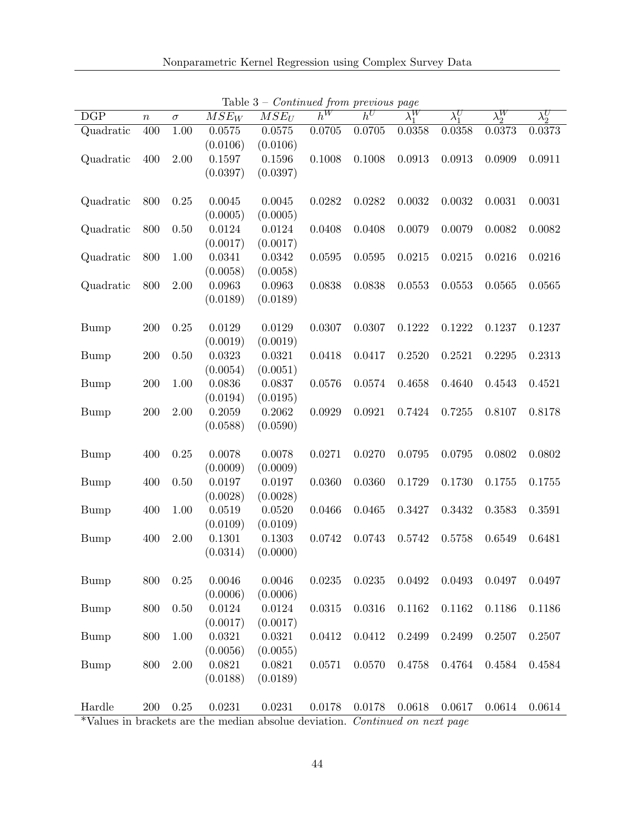| DGP         | $\boldsymbol{n}$ | $\sigma$ | $\overline{M}\overline{S}E_W$ | $MSE_U$            | $h^W$  | $h^U$  | $\lambda_1^W$ | $\lambda_1^U$ | $\lambda_2^W$ | $\lambda_2^U$ |
|-------------|------------------|----------|-------------------------------|--------------------|--------|--------|---------------|---------------|---------------|---------------|
| Quadratic   | 400              | $1.00\,$ | 0.0575                        | 0.0575             | 0.0705 | 0.0705 | 0.0358        | 0.0358        | 0.0373        | 0.0373        |
|             |                  |          | (0.0106)                      | (0.0106)           |        |        |               |               |               |               |
| Quadratic   | 400              | 2.00     | 0.1597                        | 0.1596             | 0.1008 | 0.1008 | 0.0913        | 0.0913        | 0.0909        | 0.0911        |
|             |                  |          | (0.0397)                      | (0.0397)           |        |        |               |               |               |               |
|             |                  |          |                               |                    |        |        |               |               |               |               |
| Quadratic   | 800              | 0.25     | 0.0045                        | 0.0045             | 0.0282 | 0.0282 | 0.0032        | 0.0032        | 0.0031        | 0.0031        |
|             |                  |          | (0.0005)                      | (0.0005)           |        |        |               |               |               |               |
| Quadratic   | 800              | 0.50     | 0.0124                        | 0.0124             | 0.0408 | 0.0408 | 0.0079        | 0.0079        | 0.0082        | 0.0082        |
|             |                  |          | (0.0017)                      | (0.0017)           |        |        |               |               |               |               |
| Quadratic   | 800              | 1.00     | 0.0341                        | 0.0342             | 0.0595 | 0.0595 | 0.0215        | 0.0215        | 0.0216        | 0.0216        |
|             |                  |          | (0.0058)                      | (0.0058)           |        |        |               |               |               |               |
| Quadratic   | 800              | 2.00     | 0.0963                        | 0.0963             | 0.0838 | 0.0838 | 0.0553        | 0.0553        | 0.0565        | 0.0565        |
|             |                  |          | (0.0189)                      | (0.0189)           |        |        |               |               |               |               |
|             |                  |          |                               |                    |        |        |               |               |               |               |
| <b>Bump</b> | 200              | 0.25     | 0.0129                        | 0.0129             | 0.0307 | 0.0307 | 0.1222        | 0.1222        | 0.1237        | 0.1237        |
|             |                  |          | (0.0019)                      | (0.0019)           |        |        |               |               |               |               |
| <b>Bump</b> | $200\,$          | $0.50\,$ | 0.0323                        | 0.0321             | 0.0418 | 0.0417 | 0.2520        | 0.2521        | 0.2295        | 0.2313        |
|             |                  |          | (0.0054)                      | (0.0051)           |        |        |               |               |               |               |
| <b>Bump</b> | 200              | 1.00     | 0.0836                        | 0.0837             | 0.0576 | 0.0574 | 0.4658        | 0.4640        | 0.4543        | 0.4521        |
|             |                  |          | (0.0194)                      | (0.0195)           |        |        |               |               |               |               |
| <b>Bump</b> | 200              | $2.00\,$ | 0.2059                        | 0.2062             | 0.0929 | 0.0921 | 0.7424        | 0.7255        | 0.8107        | 0.8178        |
|             |                  |          | (0.0588)                      | (0.0590)           |        |        |               |               |               |               |
|             |                  |          |                               |                    |        |        |               |               |               |               |
| <b>Bump</b> | 400              | 0.25     | 0.0078                        | 0.0078             | 0.0271 | 0.0270 | 0.0795        | 0.0795        | 0.0802        | 0.0802        |
|             |                  |          | (0.0009)                      | (0.0009)           |        |        |               |               |               |               |
| <b>Bump</b> | 400              | $0.50\,$ | 0.0197                        | 0.0197             | 0.0360 | 0.0360 | 0.1729        | 0.1730        | 0.1755        | 0.1755        |
|             |                  |          | (0.0028)                      | (0.0028)           |        |        |               |               |               |               |
| <b>Bump</b> | 400              | $1.00\,$ | 0.0519                        | 0.0520             | 0.0466 | 0.0465 | 0.3427        | 0.3432        | 0.3583        | 0.3591        |
|             |                  |          | (0.0109)                      | (0.0109)           |        |        |               |               |               |               |
| <b>Bump</b> | 400              | 2.00     | 0.1301                        | 0.1303             | 0.0742 | 0.0743 | 0.5742        | 0.5758        | 0.6549        | 0.6481        |
|             |                  |          | (0.0314)                      | (0.0000)           |        |        |               |               |               |               |
| <b>Bump</b> | 800              | 0.25     | 0.0046                        | 0.0046             | 0.0235 | 0.0235 | 0.0492        | 0.0493        | 0.0497        |               |
|             |                  |          | (0.0006)                      |                    |        |        |               |               |               | 0.0497        |
|             | 800              | $0.50\,$ | 0.0124                        | (0.0006)<br>0.0124 | 0.0315 | 0.0316 | 0.1162        | 0.1162        | 0.1186        |               |
| <b>Bump</b> |                  |          | (0.0017)                      | (0.0017)           |        |        |               |               |               | 0.1186        |
| <b>Bump</b> | 800              | 1.00     | 0.0321                        | 0.0321             | 0.0412 | 0.0412 | 0.2499        | 0.2499        | 0.2507        | 0.2507        |
|             |                  |          | (0.0056)                      | (0.0055)           |        |        |               |               |               |               |
| <b>Bump</b> | 800              | 2.00     | 0.0821                        | 0.0821             | 0.0571 | 0.0570 | 0.4758        | 0.4764        | 0.4584        | 0.4584        |
|             |                  |          | (0.0188)                      | (0.0189)           |        |        |               |               |               |               |
|             |                  |          |                               |                    |        |        |               |               |               |               |
| Hardle      | $200\,$          | $0.25\,$ | 0.0231                        | 0.0231             | 0.0178 | 0.0178 | 0.0618        | 0.0617        | 0.0614        | 0.0614        |
|             |                  |          |                               |                    |        |        |               |               |               |               |

Table  $3$  – *Continued from previous page*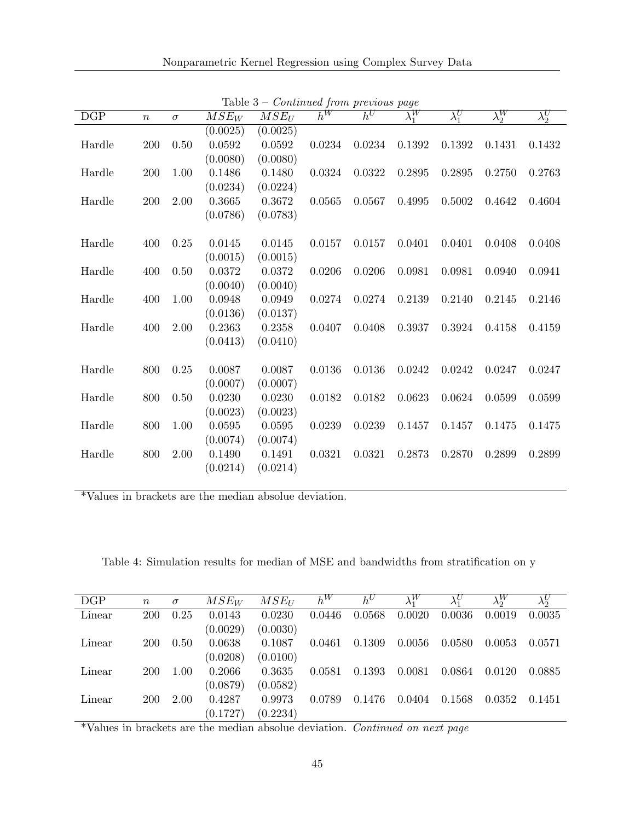| Nonparametric Kernel Regression using Complex Survey Data |  |  |  |  |  |
|-----------------------------------------------------------|--|--|--|--|--|
|-----------------------------------------------------------|--|--|--|--|--|

|        |                  |          |          |          |        | sonomaca jiom previowo page |               |               |               |               |
|--------|------------------|----------|----------|----------|--------|-----------------------------|---------------|---------------|---------------|---------------|
| DGP    | $\boldsymbol{n}$ | $\sigma$ | $MSE_W$  | $MSE_U$  | $h^W$  | $h^U$                       | $\lambda_1^W$ | $\lambda_1^U$ | $\lambda_2^W$ | $\lambda_2^U$ |
|        |                  |          | (0.0025) | (0.0025) |        |                             |               |               |               |               |
| Hardle | 200              | 0.50     | 0.0592   | 0.0592   | 0.0234 | 0.0234                      | 0.1392        | 0.1392        | 0.1431        | 0.1432        |
|        |                  |          | (0.0080) | (0.0080) |        |                             |               |               |               |               |
| Hardle | 200              | 1.00     | 0.1486   | 0.1480   | 0.0324 | 0.0322                      | 0.2895        | 0.2895        | 0.2750        | 0.2763        |
|        |                  |          | (0.0234) | (0.0224) |        |                             |               |               |               |               |
| Hardle | 200              | 2.00     | 0.3665   | 0.3672   | 0.0565 | 0.0567                      | 0.4995        | 0.5002        | 0.4642        | 0.4604        |
|        |                  |          | (0.0786) | (0.0783) |        |                             |               |               |               |               |
|        |                  |          |          |          |        |                             |               |               |               |               |
| Hardle | 400              | 0.25     | 0.0145   | 0.0145   | 0.0157 | 0.0157                      | 0.0401        | 0.0401        | 0.0408        | 0.0408        |
|        |                  |          | (0.0015) | (0.0015) |        |                             |               |               |               |               |
| Hardle | 400              | 0.50     | 0.0372   | 0.0372   | 0.0206 | 0.0206                      | 0.0981        | 0.0981        | 0.0940        | 0.0941        |
|        |                  |          | (0.0040) | (0.0040) |        |                             |               |               |               |               |
| Hardle | 400              | 1.00     | 0.0948   | 0.0949   | 0.0274 | 0.0274                      | 0.2139        | 0.2140        | 0.2145        | 0.2146        |
|        |                  |          | (0.0136) | (0.0137) |        |                             |               |               |               |               |
| Hardle | 400              | 2.00     | 0.2363   | 0.2358   | 0.0407 | 0.0408                      | 0.3937        | 0.3924        | 0.4158        | 0.4159        |
|        |                  |          | (0.0413) | (0.0410) |        |                             |               |               |               |               |
|        |                  |          |          |          |        |                             |               |               |               |               |
| Hardle | 800              | 0.25     | 0.0087   | 0.0087   | 0.0136 | 0.0136                      | 0.0242        | 0.0242        | 0.0247        | 0.0247        |
|        |                  |          | (0.0007) | (0.0007) |        |                             |               |               |               |               |
| Hardle | 800              | 0.50     | 0.0230   | 0.0230   | 0.0182 | 0.0182                      | 0.0623        | 0.0624        | 0.0599        | 0.0599        |
|        |                  |          | (0.0023) | (0.0023) |        |                             |               |               |               |               |
| Hardle | 800              | 1.00     | 0.0595   | 0.0595   | 0.0239 | 0.0239                      | 0.1457        | 0.1457        | 0.1475        | 0.1475        |
|        |                  |          | (0.0074) | (0.0074) |        |                             |               |               |               |               |
| Hardle | 800              | 2.00     | 0.1490   | 0.1491   | 0.0321 | 0.0321                      | 0.2873        | 0.2870        | 0.2899        | 0.2899        |
|        |                  |          | (0.0214) | (0.0214) |        |                             |               |               |               |               |
|        |                  |          |          |          |        |                             |               |               |               |               |

Table 3 – Continued from previous page

\*Values in brackets are the median absolue deviation.

Table 4: Simulation results for median of MSE and bandwidths from stratification on y

| DGP    | $\boldsymbol{n}$ | $\sigma$ | $MSE_W$  | $MSE_{II}$ | $h^W$  | $h^U$  | $\lambda_1^W$ |        | $\lambda_2^W$ | $\lambda_2^U$ |
|--------|------------------|----------|----------|------------|--------|--------|---------------|--------|---------------|---------------|
| Linear | 200              | 0.25     | 0.0143   | 0.0230     | 0.0446 | 0.0568 | 0.0020        | 0.0036 | 0.0019        | 0.0035        |
|        |                  |          | (0.0029) | (0.0030)   |        |        |               |        |               |               |
| Linear | 200              | 0.50     | 0.0638   | 0.1087     | 0.0461 | 0.1309 | 0.0056        | 0.0580 | 0.0053        | 0.0571        |
|        |                  |          | (0.0208) | (0.0100)   |        |        |               |        |               |               |
| Linear | <b>200</b>       | 1.00     | 0.2066   | 0.3635     | 0.0581 | 0.1393 | 0.0081        | 0.0864 | 0.0120        | 0.0885        |
|        |                  |          | (0.0879) | (0.0582)   |        |        |               |        |               |               |
| Linear | 200              | 2.00     | 0.4287   | 0.9973     | 0.0789 | 0.1476 | 0.0404        | 0.1568 | 0.0352        | 0.1451        |
|        |                  |          | (0.1727) | (0.2234)   |        |        |               |        |               |               |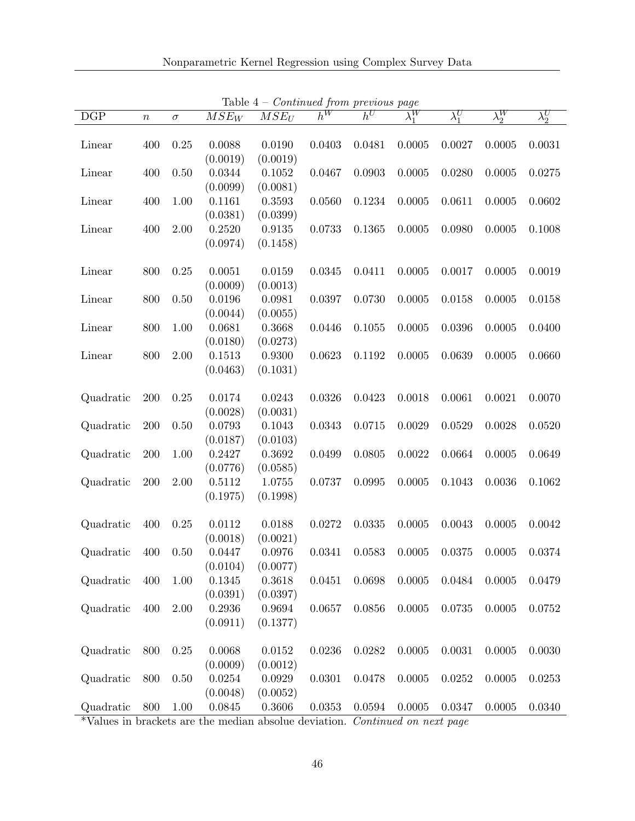| $\overline{DGP}$ | $\boldsymbol{n}$ | $\sigma$ | $\overline{M}SE_W$ | $\overline{M}\overline{S}E_U$ | $h^W$  | sonomaca from procedus page<br>$h^U$ | $\lambda_1^W$ | $\lambda_1^U$ | $\lambda_2^W$ | $\lambda_2^U$ |
|------------------|------------------|----------|--------------------|-------------------------------|--------|--------------------------------------|---------------|---------------|---------------|---------------|
|                  |                  |          |                    |                               |        |                                      |               |               |               |               |
| Linear           | 400              | 0.25     | 0.0088             | 0.0190                        | 0.0403 | 0.0481                               | 0.0005        | 0.0027        | 0.0005        | 0.0031        |
|                  |                  |          | (0.0019)           | (0.0019)                      |        |                                      |               |               |               |               |
| Linear           | 400              | 0.50     | 0.0344             | 0.1052                        | 0.0467 | 0.0903                               | 0.0005        | 0.0280        | 0.0005        | 0.0275        |
|                  |                  |          | (0.0099)           | (0.0081)                      |        |                                      |               |               |               |               |
| Linear           | 400              | 1.00     | 0.1161             | 0.3593                        | 0.0560 | 0.1234                               | 0.0005        | 0.0611        | 0.0005        | 0.0602        |
|                  |                  |          | (0.0381)           | (0.0399)                      |        |                                      |               |               |               |               |
| Linear           | 400              | 2.00     | 0.2520             | 0.9135                        | 0.0733 | 0.1365                               | 0.0005        | 0.0980        | 0.0005        | 0.1008        |
|                  |                  |          | (0.0974)           | (0.1458)                      |        |                                      |               |               |               |               |
|                  |                  |          |                    |                               |        |                                      |               |               |               |               |
| Linear           | 800              | 0.25     | 0.0051             | 0.0159                        | 0.0345 | 0.0411                               | 0.0005        | 0.0017        | 0.0005        | 0.0019        |
|                  |                  |          | (0.0009)           | (0.0013)                      |        |                                      |               |               |               |               |
| Linear           | 800              | 0.50     | 0.0196             | 0.0981                        | 0.0397 | 0.0730                               | 0.0005        | 0.0158        | 0.0005        | 0.0158        |
|                  |                  |          | (0.0044)           | (0.0055)                      |        |                                      |               |               |               |               |
| Linear           | 800              | 1.00     | 0.0681             | 0.3668                        | 0.0446 | 0.1055                               | 0.0005        | 0.0396        | 0.0005        | 0.0400        |
|                  |                  |          | (0.0180)           | (0.0273)                      |        |                                      |               |               |               |               |
| Linear           | 800              | 2.00     | 0.1513             | 0.9300                        | 0.0623 | 0.1192                               | 0.0005        | 0.0639        | 0.0005        | 0.0660        |
|                  |                  |          | (0.0463)           | (0.1031)                      |        |                                      |               |               |               |               |
|                  |                  |          |                    |                               |        |                                      |               |               |               |               |
| Quadratic        | 200              | 0.25     | 0.0174             | 0.0243                        | 0.0326 | 0.0423                               | 0.0018        | 0.0061        | 0.0021        | 0.0070        |
|                  |                  |          | (0.0028)           | (0.0031)                      |        |                                      |               |               |               |               |
| Quadratic        | 200              | 0.50     | 0.0793             | 0.1043                        | 0.0343 | 0.0715                               | 0.0029        | 0.0529        | 0.0028        | 0.0520        |
|                  |                  |          | (0.0187)           | (0.0103)                      |        |                                      |               |               |               |               |
| Quadratic        | 200              | 1.00     | 0.2427             | 0.3692                        | 0.0499 | 0.0805                               | 0.0022        | 0.0664        | 0.0005        | 0.0649        |
|                  |                  |          | (0.0776)           | (0.0585)                      |        |                                      |               |               |               |               |
| Quadratic        | 200              | 2.00     | 0.5112             | $1.0755\,$                    | 0.0737 | 0.0995                               | 0.0005        | 0.1043        | 0.0036        | 0.1062        |
|                  |                  |          | (0.1975)           | (0.1998)                      |        |                                      |               |               |               |               |
|                  |                  |          |                    |                               |        |                                      |               |               |               |               |
| Quadratic        | 400              | 0.25     | 0.0112             | 0.0188                        | 0.0272 | 0.0335                               | 0.0005        | 0.0043        | 0.0005        | 0.0042        |
|                  |                  |          | (0.0018)           | (0.0021)                      |        |                                      |               |               |               |               |
| Quadratic        | 400              | 0.50     | 0.0447             | 0.0976                        | 0.0341 | 0.0583                               | 0.0005        | 0.0375        | 0.0005        | 0.0374        |
|                  |                  |          | (0.0104)           | (0.0077)                      |        |                                      |               |               |               |               |
| Quadratic        | 400              | 1.00     | 0.1345             | 0.3618                        | 0.0451 | 0.0698                               | 0.0005        | 0.0484        | 0.0005        | 0.0479        |
|                  |                  |          | (0.0391)           | (0.0397)                      |        |                                      |               |               |               |               |
| Quadratic        | 400              | 2.00     | 0.2936             | 0.9694                        | 0.0657 | 0.0856                               | 0.0005        | 0.0735        | 0.0005        | 0.0752        |
|                  |                  |          | (0.0911)           | (0.1377)                      |        |                                      |               |               |               |               |
|                  |                  |          |                    |                               |        |                                      |               |               |               |               |
| Quadratic        | 800              | 0.25     | 0.0068             | 0.0152                        | 0.0236 | 0.0282                               | 0.0005        | 0.0031        | 0.0005        | 0.0030        |
|                  |                  |          | (0.0009)           | (0.0012)                      |        |                                      |               |               |               |               |
| Quadratic        | 800              | $0.50\,$ | 0.0254             | 0.0929                        | 0.0301 | 0.0478                               | 0.0005        | 0.0252        | 0.0005        | 0.0253        |
|                  |                  |          | (0.0048)           | (0.0052)                      |        |                                      |               |               |               |               |
| Quadratic        | 800              | $1.00\,$ | 0.0845             | 0.3606                        | 0.0353 | 0.0594                               | 0.0005        | 0.0347        | 0.0005        | 0.0340        |

Table  $4 - Centinued$  from previous page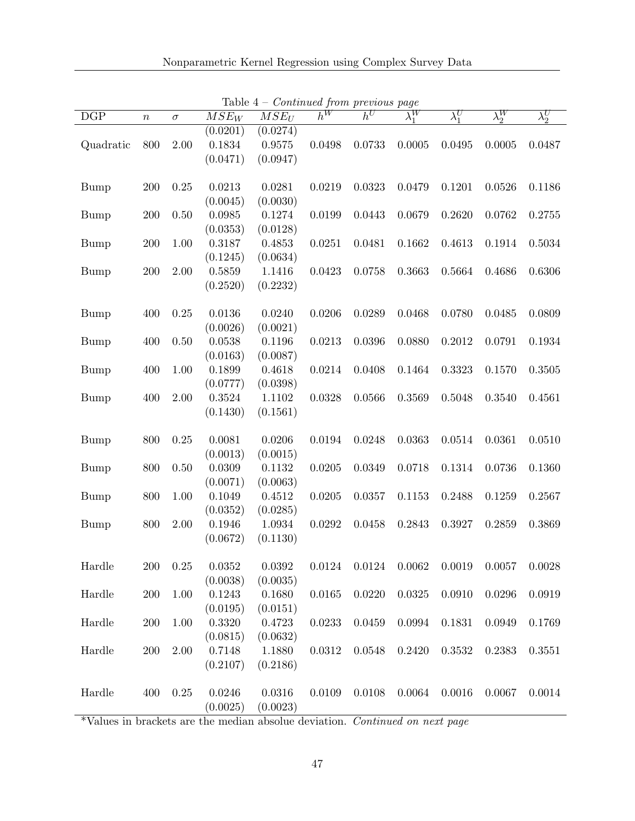| DGP                     | $\, n$  | $\sigma$ | $\overline{M}\overline{S}E_W$ | $\overline{MSE_U}$ | $\bar{h}^W$ | $h^U$  | ◡<br>$\lambda_1^W$ | $\lambda_1^U$ | $\lambda_2^W$ | $\lambda_2^U$ |
|-------------------------|---------|----------|-------------------------------|--------------------|-------------|--------|--------------------|---------------|---------------|---------------|
|                         |         |          | $\overline{(0.0201)}$         | (0.0274)           |             |        |                    |               |               |               |
| Quadratic               | 800     | 2.00     | 0.1834                        | 0.9575             | 0.0498      | 0.0733 | 0.0005             | 0.0495        | 0.0005        | 0.0487        |
|                         |         |          | (0.0471)                      | (0.0947)           |             |        |                    |               |               |               |
|                         |         |          |                               |                    |             |        |                    |               |               |               |
| <b>Bump</b>             | 200     | 0.25     | 0.0213                        | 0.0281             | 0.0219      | 0.0323 | 0.0479             | 0.1201        | 0.0526        | 0.1186        |
|                         |         |          | (0.0045)                      | (0.0030)           |             |        |                    |               |               |               |
| <b>Bump</b>             | 200     | 0.50     | 0.0985                        | 0.1274             | 0.0199      | 0.0443 | 0.0679             | 0.2620        | 0.0762        | 0.2755        |
|                         |         |          | (0.0353)                      | (0.0128)           |             |        |                    |               |               |               |
| <b>Bump</b>             | $200\,$ | 1.00     | 0.3187                        | 0.4853             | 0.0251      | 0.0481 | 0.1662             | 0.4613        | 0.1914        | 0.5034        |
|                         |         |          | (0.1245)                      | (0.0634)           |             |        |                    |               |               |               |
| <b>Bump</b>             | 200     | 2.00     | 0.5859                        | 1.1416             | 0.0423      | 0.0758 | 0.3663             | 0.5664        | 0.4686        | 0.6306        |
|                         |         |          | (0.2520)                      | (0.2232)           |             |        |                    |               |               |               |
|                         |         |          |                               |                    |             |        |                    |               |               |               |
| <b>Bump</b>             | 400     | 0.25     | 0.0136                        | 0.0240             | 0.0206      | 0.0289 | 0.0468             | 0.0780        | 0.0485        | 0.0809        |
|                         |         |          | (0.0026)                      | (0.0021)           |             |        |                    |               |               |               |
| <b>Bump</b>             | 400     | $0.50\,$ | 0.0538                        | 0.1196             | 0.0213      | 0.0396 | 0.0880             | 0.2012        | 0.0791        | 0.1934        |
|                         |         |          | (0.0163)                      | (0.0087)           |             |        |                    |               |               |               |
| <b>Bump</b>             | 400     | 1.00     | 0.1899                        | 0.4618             | 0.0214      | 0.0408 | 0.1464             | 0.3323        | 0.1570        | 0.3505        |
|                         |         |          | (0.0777)                      | (0.0398)           |             |        |                    |               |               |               |
| <b>Bump</b>             | 400     | 2.00     | 0.3524                        | 1.1102             | 0.0328      | 0.0566 | 0.3569             | 0.5048        | 0.3540        | 0.4561        |
|                         |         |          | (0.1430)                      | (0.1561)           |             |        |                    |               |               |               |
|                         |         |          |                               |                    |             |        |                    |               |               |               |
| <b>Bump</b>             | 800     | 0.25     | 0.0081                        | 0.0206             | 0.0194      | 0.0248 | 0.0363             | 0.0514        | 0.0361        | 0.0510        |
|                         |         |          | (0.0013)                      | (0.0015)           |             |        |                    |               |               |               |
| <b>Bump</b>             | 800     | $0.50\,$ | 0.0309                        | 0.1132             | 0.0205      | 0.0349 | 0.0718             | 0.1314        | 0.0736        | 0.1360        |
|                         |         |          | (0.0071)                      | (0.0063)           |             |        |                    |               |               |               |
| <b>Bump</b>             | 800     | 1.00     | 0.1049                        | 0.4512             | 0.0205      | 0.0357 | 0.1153             | 0.2488        | 0.1259        | 0.2567        |
|                         |         |          | (0.0352)                      | (0.0285)           |             |        |                    |               |               |               |
| <b>Bump</b>             | 800     | 2.00     | 0.1946                        | 1.0934             | 0.0292      | 0.0458 | 0.2843             | 0.3927        | 0.2859        | 0.3869        |
|                         |         |          | (0.0672)                      | (0.1130)           |             |        |                    |               |               |               |
|                         |         |          |                               |                    |             |        |                    |               |               |               |
| Hardle                  | 200     | 0.25     | 0.0352                        | 0.0392             | 0.0124      | 0.0124 | 0.0062             | 0.0019        | 0.0057        | 0.0028        |
|                         |         |          | (0.0038)                      | (0.0035)           |             |        |                    |               |               |               |
| $\operatorname{Hardle}$ | 200     | 1.00     | 0.1243                        | 0.1680             | 0.0165      | 0.0220 | 0.0325             | 0.0910        | 0.0296        | 0.0919        |
|                         |         |          | (0.0195)                      | (0.0151)           |             |        |                    |               |               |               |
| $\operatorname{Hardle}$ | 200     | 1.00     | 0.3320                        | 0.4723             | 0.0233      | 0.0459 | 0.0994             | 0.1831        | 0.0949        | 0.1769        |
|                         |         |          | (0.0815)                      | (0.0632)           |             |        |                    |               |               |               |
| Hardle                  | 200     | 2.00     | 0.7148                        | 1.1880             | 0.0312      | 0.0548 | 0.2420             | 0.3532        | 0.2383        | 0.3551        |
|                         |         |          | (0.2107)                      | (0.2186)           |             |        |                    |               |               |               |
|                         |         |          |                               |                    |             |        |                    |               |               |               |
| Hardle                  | 400     | 0.25     | 0.0246                        | 0.0316             | 0.0109      | 0.0108 | 0.0064             | 0.0016        | 0.0067        | 0.0014        |
|                         |         |          | (0.0025)                      | (0.0023)           |             |        |                    |               |               |               |

Table  $4$  – *Continued from previous page*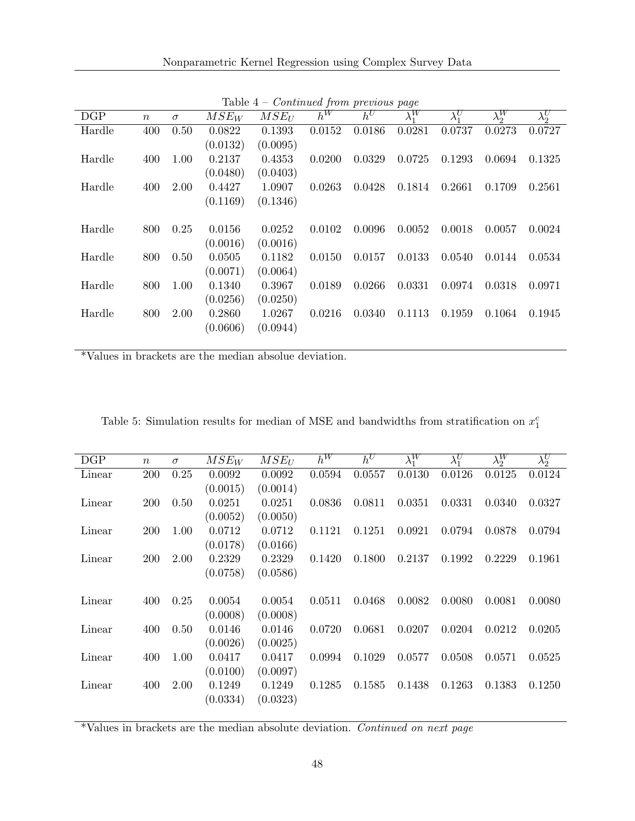| DGP    | $\boldsymbol{n}$ | $\sigma$ | $MSE_W$  | $MSE_U$  | $h^W$  | $h^U$  | $\lambda_1^W$ | $\lambda_1^U$ | $\lambda_2^W$ | $\overline{\lambda_2^U}$ |
|--------|------------------|----------|----------|----------|--------|--------|---------------|---------------|---------------|--------------------------|
| Hardle | 400              | 0.50     | 0.0822   | 0.1393   | 0.0152 | 0.0186 | 0.0281        | 0.0737        | 0.0273        | 0.0727                   |
|        |                  |          | (0.0132) | (0.0095) |        |        |               |               |               |                          |
| Hardle | 400              | 1.00     | 0.2137   | 0.4353   | 0.0200 | 0.0329 | 0.0725        | 0.1293        | 0.0694        | 0.1325                   |
|        |                  |          | (0.0480) | (0.0403) |        |        |               |               |               |                          |
| Hardle | 400              | 2.00     | 0.4427   | 1.0907   | 0.0263 | 0.0428 | 0.1814        | 0.2661        | 0.1709        | 0.2561                   |
|        |                  |          | (0.1169) | (0.1346) |        |        |               |               |               |                          |
|        |                  |          |          |          |        |        |               |               |               |                          |
| Hardle | 800              | 0.25     | 0.0156   | 0.0252   | 0.0102 | 0.0096 | 0.0052        | 0.0018        | 0.0057        | 0.0024                   |
|        |                  |          | (0.0016) | (0.0016) |        |        |               |               |               |                          |
| Hardle | 800              | 0.50     | 0.0505   | 0.1182   | 0.0150 | 0.0157 | 0.0133        | 0.0540        | 0.0144        | 0.0534                   |
|        |                  |          | (0.0071) | (0.0064) |        |        |               |               |               |                          |
| Hardle | 800              | 1.00     | 0.1340   | 0.3967   | 0.0189 | 0.0266 | 0.0331        | 0.0974        | 0.0318        | 0.0971                   |
|        |                  |          | (0.0256) | (0.0250) |        |        |               |               |               |                          |
| Hardle | 800              | 2.00     | 0.2860   | 1.0267   | 0.0216 | 0.0340 | 0.1113        | 0.1959        | 0.1064        | 0.1945                   |
|        |                  |          | (0.0606) | (0.0944) |        |        |               |               |               |                          |
|        |                  |          |          |          |        |        |               |               |               |                          |

Table  $4$  – *Continued from previous page* 

\*Values in brackets are the median absolue deviation.

| DGP    | $\boldsymbol{n}$ | $\sigma$ | $MSE_W$            | $MSE_U$            | $h^W$  | $h^U$  | $\overline{\lambda_1^W}$ | $\lambda_1^U$ | $\overline{\lambda_2^W}$ | $\lambda_2^U$ |
|--------|------------------|----------|--------------------|--------------------|--------|--------|--------------------------|---------------|--------------------------|---------------|
| Linear | <b>200</b>       | 0.25     | 0.0092             | 0.0092             | 0.0594 | 0.0557 | 0.0130                   | 0.0126        | 0.0125                   | 0.0124        |
|        |                  |          | (0.0015)           | (0.0014)           |        |        |                          |               |                          |               |
| Linear | <b>200</b>       | 0.50     | 0.0251             | 0.0251             | 0.0836 | 0.0811 | 0.0351                   | 0.0331        | 0.0340                   | 0.0327        |
|        |                  |          | (0.0052)           | (0.0050)           |        |        |                          |               |                          |               |
| Linear | <b>200</b>       | 1.00     | 0.0712             | 0.0712             | 0.1121 | 0.1251 | 0.0921                   | 0.0794        | 0.0878                   | 0.0794        |
|        |                  |          | (0.0178)           | (0.0166)           |        |        |                          |               |                          |               |
| Linear | <b>200</b>       | 2.00     | 0.2329             | 0.2329             | 0.1420 | 0.1800 | 0.2137                   | 0.1992        | 0.2229                   | 0.1961        |
|        |                  |          | (0.0758)           | (0.0586)           |        |        |                          |               |                          |               |
|        |                  |          |                    |                    |        |        |                          |               |                          |               |
| Linear | 400              | 0.25     | 0.0054             | 0.0054             | 0.0511 | 0.0468 | 0.0082                   | 0.0080        | 0.0081                   | 0.0080        |
| Linear |                  |          | (0.0008)           | (0.0008)           | 0.0720 |        |                          |               | 0.0212                   |               |
|        | 400              | 0.50     | 0.0146<br>(0.0026) | 0.0146<br>(0.0025) |        | 0.0681 | 0.0207                   | 0.0204        |                          | 0.0205        |
| Linear | 400              | 1.00     | 0.0417             | 0.0417             | 0.0994 | 0.1029 | 0.0577                   | 0.0508        | 0.0571                   | 0.0525        |
|        |                  |          | (0.0100)           | (0.0097)           |        |        |                          |               |                          |               |
| Linear | 400              | 2.00     | 0.1249             | 0.1249             | 0.1285 | 0.1585 | 0.1438                   | 0.1263        | 0.1383                   | 0.1250        |
|        |                  |          | (0.0334)           | (0.0323)           |        |        |                          |               |                          |               |
|        |                  |          |                    |                    |        |        |                          |               |                          |               |

Table 5: Simulation results for median of MSE and bandwidths from stratification on  $x_1^c$ 

 $*$ Values in brackets are the median absolute deviation. Continued on next page  $\overline{\phantom{a}}$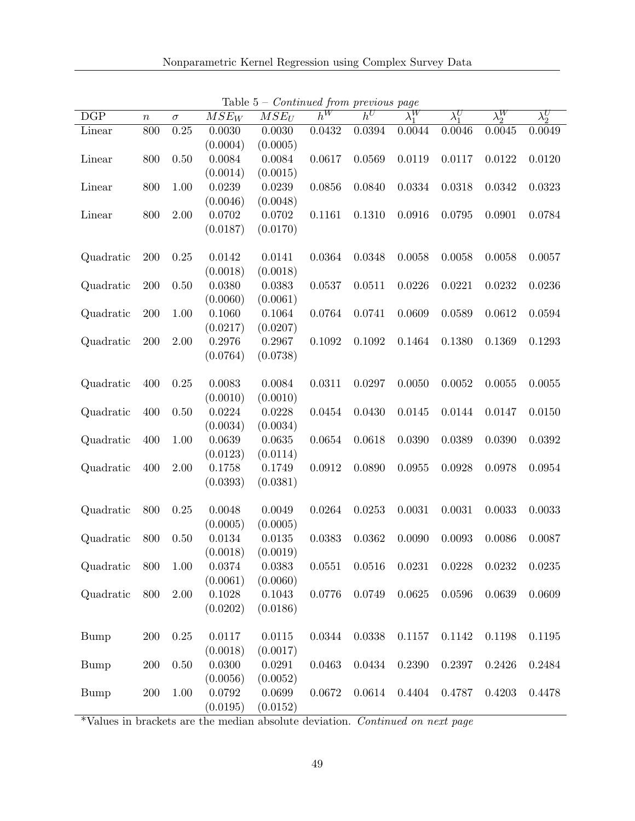| DGP         | $\boldsymbol{n}$ | $\sigma$ | $\overline{M}SE_W$ | $MSE_U$  | $h^W$  | $h^U$  | $\lambda_1^W$ | $\lambda_1^U$ | $\lambda_2^W$ | $\lambda_2^U$ |
|-------------|------------------|----------|--------------------|----------|--------|--------|---------------|---------------|---------------|---------------|
| Linear      | 800              | 0.25     | 0.0030             | 0.0030   | 0.0432 | 0.0394 | 0.0044        | 0.0046        | 0.0045        | 0.0049        |
|             |                  |          | (0.0004)           | (0.0005) |        |        |               |               |               |               |
| Linear      | 800              | 0.50     | 0.0084             | 0.0084   | 0.0617 | 0.0569 | 0.0119        | 0.0117        | 0.0122        | 0.0120        |
|             |                  |          | (0.0014)           | (0.0015) |        |        |               |               |               |               |
| Linear      | 800              | 1.00     | 0.0239             | 0.0239   | 0.0856 | 0.0840 | 0.0334        | 0.0318        | 0.0342        | 0.0323        |
|             |                  |          | (0.0046)           | (0.0048) |        |        |               |               |               |               |
| Linear      | 800              | 2.00     | 0.0702             | 0.0702   | 0.1161 | 0.1310 | 0.0916        | 0.0795        | 0.0901        | 0.0784        |
|             |                  |          | (0.0187)           | (0.0170) |        |        |               |               |               |               |
|             |                  |          |                    |          |        |        |               |               |               |               |
| Quadratic   | 200              | 0.25     | 0.0142             | 0.0141   | 0.0364 | 0.0348 | 0.0058        | 0.0058        | 0.0058        | 0.0057        |
|             |                  |          | (0.0018)           | (0.0018) |        |        |               |               |               |               |
| Quadratic   | 200              | $0.50\,$ | 0.0380             | 0.0383   | 0.0537 | 0.0511 | 0.0226        | 0.0221        | 0.0232        | 0.0236        |
|             |                  |          | (0.0060)           | (0.0061) |        |        |               |               |               |               |
| Quadratic   | 200              | 1.00     | 0.1060             | 0.1064   | 0.0764 | 0.0741 | 0.0609        | 0.0589        | 0.0612        | 0.0594        |
|             |                  |          | (0.0217)           | (0.0207) |        |        |               |               |               |               |
| Quadratic   | 200              | 2.00     | 0.2976             | 0.2967   | 0.1092 | 0.1092 | 0.1464        | 0.1380        | 0.1369        | 0.1293        |
|             |                  |          | (0.0764)           | (0.0738) |        |        |               |               |               |               |
|             |                  |          |                    |          |        |        |               |               |               |               |
| Quadratic   | 400              | 0.25     | 0.0083             | 0.0084   | 0.0311 | 0.0297 | 0.0050        | 0.0052        | 0.0055        | 0.0055        |
|             |                  |          | (0.0010)           | (0.0010) |        |        |               |               |               |               |
| Quadratic   | 400              | 0.50     | 0.0224             | 0.0228   | 0.0454 | 0.0430 | 0.0145        | 0.0144        | 0.0147        | 0.0150        |
|             |                  |          | (0.0034)           | (0.0034) |        |        |               |               |               |               |
| Quadratic   | 400              | 1.00     | 0.0639             | 0.0635   | 0.0654 | 0.0618 | 0.0390        | 0.0389        | 0.0390        | 0.0392        |
|             |                  |          | (0.0123)           | (0.0114) |        |        |               |               |               |               |
| Quadratic   | 400              | 2.00     | 0.1758             | 0.1749   | 0.0912 | 0.0890 | 0.0955        | 0.0928        | 0.0978        | 0.0954        |
|             |                  |          | (0.0393)           | (0.0381) |        |        |               |               |               |               |
|             |                  |          |                    |          |        |        |               |               |               |               |
| Quadratic   | 800              | 0.25     | 0.0048             | 0.0049   | 0.0264 | 0.0253 | 0.0031        | 0.0031        | 0.0033        | 0.0033        |
|             |                  |          | (0.0005)           | (0.0005) |        |        |               |               |               |               |
| Quadratic   | 800              | 0.50     | 0.0134             | 0.0135   | 0.0383 | 0.0362 | 0.0090        | 0.0093        | 0.0086        | 0.0087        |
|             |                  |          | (0.0018)           | (0.0019) |        |        |               |               |               |               |
| Quadratic   | 800              | 1.00     | 0.0374             | 0.0383   | 0.0551 | 0.0516 | 0.0231        | 0.0228        | 0.0232        | 0.0235        |
|             |                  |          | (0.0061)           | (0.0060) |        |        |               |               |               |               |
| Quadratic   | 800              | 2.00     | 0.1028             | 0.1043   | 0.0776 | 0.0749 | 0.0625        | 0.0596        | 0.0639        | 0.0609        |
|             |                  |          | (0.0202)           | (0.0186) |        |        |               |               |               |               |
|             |                  |          |                    |          |        |        |               |               |               |               |
| <b>Bump</b> | 200              | 0.25     | 0.0117             | 0.0115   | 0.0344 | 0.0338 | 0.1157        | 0.1142        | 0.1198        | 0.1195        |
|             |                  |          | (0.0018)           | (0.0017) |        |        |               |               |               |               |
| Bump        | 200              | 0.50     | 0.0300             | 0.0291   | 0.0463 | 0.0434 | 0.2390        | 0.2397        | 0.2426        | 0.2484        |
|             |                  |          | (0.0056)           | (0.0052) |        |        |               |               |               |               |
| <b>Bump</b> | <b>200</b>       | 1.00     | 0.0792             | 0.0699   | 0.0672 | 0.0614 | 0.4404        | 0.4787        | 0.4203        | 0.4478        |
|             |                  |          | (0.0195)           | (0.0152) |        |        |               |               |               |               |

Table  $5$  – *Continued from previous page*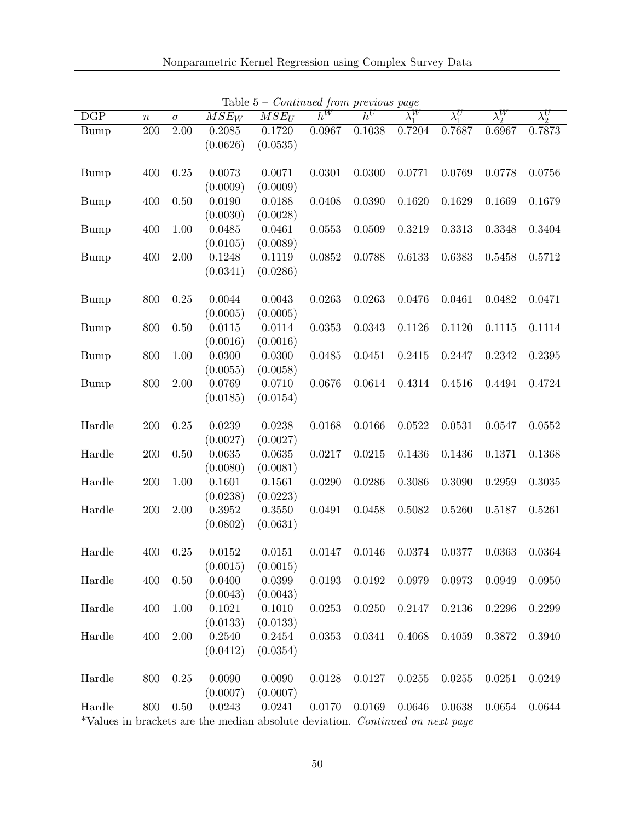| DGP                                                | $\boldsymbol{n}$ | $\sigma$ | $\overline{M}SE_W$ | $\overline{MSE_U}$ | continuou provisão pago<br>$h^W$ | $h^U$  | $\lambda_1^W$ | $\lambda_1^U$ | $\lambda_2^W$ | $\lambda_2^U$ |
|----------------------------------------------------|------------------|----------|--------------------|--------------------|----------------------------------|--------|---------------|---------------|---------------|---------------|
| <b>Bump</b>                                        | 200              | 2.00     | 0.2085             | 0.1720             | 0.0967                           | 0.1038 | 0.7204        | 0.7687        | 0.6967        | 0.7873        |
|                                                    |                  |          | (0.0626)           | (0.0535)           |                                  |        |               |               |               |               |
|                                                    |                  |          |                    |                    |                                  |        |               |               |               |               |
| <b>Bump</b>                                        | 400              | 0.25     | 0.0073             | 0.0071             | 0.0301                           | 0.0300 | 0.0771        | 0.0769        | 0.0778        | 0.0756        |
|                                                    |                  |          | (0.0009)           | (0.0009)           |                                  |        |               |               |               |               |
| <b>Bump</b>                                        | 400              | 0.50     | 0.0190             | 0.0188             | 0.0408                           | 0.0390 | 0.1620        | 0.1629        | 0.1669        | 0.1679        |
|                                                    |                  |          | (0.0030)           | (0.0028)           |                                  |        |               |               |               |               |
| <b>Bump</b>                                        | 400              | 1.00     | 0.0485             | 0.0461             | 0.0553                           | 0.0509 | 0.3219        | 0.3313        | 0.3348        | 0.3404        |
|                                                    |                  |          | (0.0105)           | (0.0089)           |                                  |        |               |               |               |               |
| <b>Bump</b>                                        | 400              | 2.00     | 0.1248             | 0.1119             | 0.0852                           | 0.0788 | 0.6133        | 0.6383        | 0.5458        | 0.5712        |
|                                                    |                  |          | (0.0341)           | (0.0286)           |                                  |        |               |               |               |               |
|                                                    |                  |          |                    |                    |                                  |        |               |               |               |               |
| <b>Bump</b>                                        | 800              | 0.25     | 0.0044             | 0.0043             | 0.0263                           | 0.0263 | 0.0476        | 0.0461        | 0.0482        | 0.0471        |
|                                                    |                  |          | (0.0005)           | (0.0005)           |                                  |        |               |               |               |               |
| <b>Bump</b>                                        | 800              | 0.50     | 0.0115             | 0.0114             | 0.0353                           | 0.0343 | 0.1126        | 0.1120        | 0.1115        | 0.1114        |
|                                                    |                  |          | (0.0016)           | (0.0016)           |                                  |        |               |               |               |               |
| <b>Bump</b>                                        | 800              | 1.00     | 0.0300             | 0.0300             | 0.0485                           | 0.0451 | 0.2415        | 0.2447        | 0.2342        | 0.2395        |
|                                                    |                  |          | (0.0055)           | (0.0058)           |                                  |        |               |               |               |               |
| <b>Bump</b>                                        | 800              | $2.00\,$ | 0.0769             | 0.0710             | 0.0676                           | 0.0614 | 0.4314        | 0.4516        | 0.4494        | 0.4724        |
|                                                    |                  |          | (0.0185)           | (0.0154)           |                                  |        |               |               |               |               |
|                                                    |                  |          |                    |                    |                                  |        |               |               |               |               |
| Hardle                                             | 200              | 0.25     | 0.0239             | 0.0238             | 0.0168                           | 0.0166 | 0.0522        | 0.0531        | 0.0547        | 0.0552        |
|                                                    |                  |          | (0.0027)           | (0.0027)           |                                  |        |               |               |               |               |
| Hardle                                             | 200              | 0.50     | 0.0635             | 0.0635             | 0.0217                           | 0.0215 | 0.1436        | 0.1436        | 0.1371        | 0.1368        |
|                                                    |                  |          | (0.0080)           | (0.0081)           |                                  |        |               |               |               |               |
| Hardle                                             | 200              | 1.00     | 0.1601             | 0.1561             | 0.0290                           | 0.0286 | 0.3086        | 0.3090        | 0.2959        | 0.3035        |
|                                                    |                  |          | (0.0238)           | (0.0223)           |                                  |        |               |               |               |               |
| Hardle                                             | 200              | 2.00     | 0.3952             | 0.3550             | 0.0491                           | 0.0458 | 0.5082        | 0.5260        | 0.5187        | 0.5261        |
|                                                    |                  |          | (0.0802)           | (0.0631)           |                                  |        |               |               |               |               |
|                                                    |                  |          |                    |                    |                                  |        |               |               |               |               |
| Hardle                                             | 400              | 0.25     | 0.0152             | 0.0151             | 0.0147                           | 0.0146 | 0.0374        | 0.0377        | 0.0363        | 0.0364        |
|                                                    |                  |          | (0.0015)           | (0.0015)           |                                  |        |               |               |               |               |
| Hardle                                             | 400              | 0.50     | 0.0400             | 0.0399             | 0.0193                           | 0.0192 | 0.0979        | 0.0973        | 0.0949        | 0.0950        |
|                                                    |                  |          | (0.0043)           | (0.0043)           |                                  |        |               |               |               |               |
| $\operatorname*{Hardle}% \mathcal{M}_{\mathbb{C}}$ | 400              | 1.00     | 0.1021             | 0.1010             | 0.0253                           | 0.0250 | 0.2147        | 0.2136        | 0.2296        | 0.2299        |
|                                                    |                  |          | (0.0133)           | (0.0133)           |                                  |        |               |               |               |               |
| Hardle                                             | 400              | 2.00     | 0.2540             | 0.2454             | 0.0353                           | 0.0341 | 0.4068        | 0.4059        | 0.3872        | 0.3940        |
|                                                    |                  |          | (0.0412)           | (0.0354)           |                                  |        |               |               |               |               |
|                                                    |                  |          |                    |                    |                                  |        |               |               |               |               |
| Hardle                                             | 800              | 0.25     | 0.0090             | 0.0090             | 0.0128                           | 0.0127 | 0.0255        | 0.0255        | 0.0251        | 0.0249        |
|                                                    |                  |          | (0.0007)           | (0.0007)           |                                  |        |               |               |               |               |
| Hardle                                             | 800              | $0.50\,$ | 0.0243             | 0.0241             | 0.0170                           | 0.0169 | 0.0646        | 0.0638        | 0.0654        | 0.0644        |

Table  $5$  – *Continued from previous page*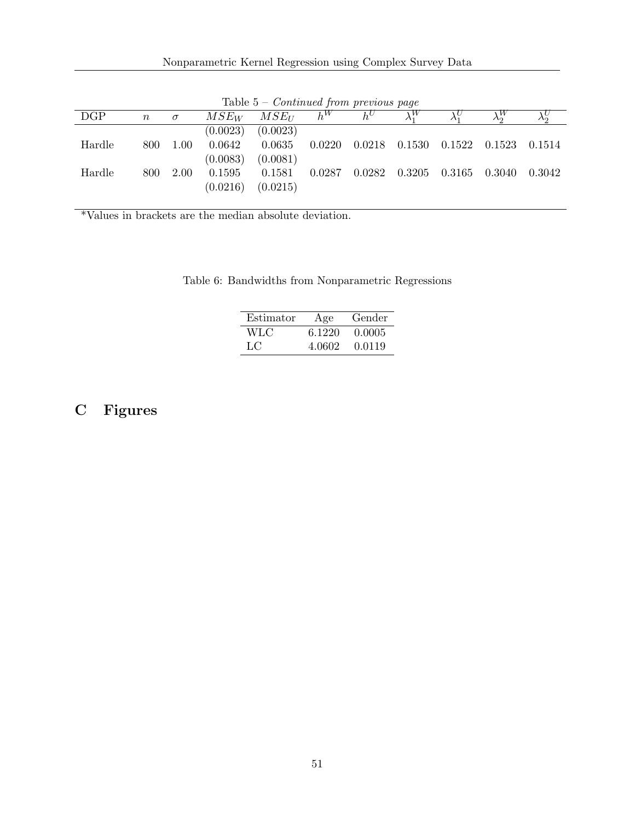| <b>Lable 5</b> Continued from previous page |       |          |          |            |        |       |                       |                                              |        |        |
|---------------------------------------------|-------|----------|----------|------------|--------|-------|-----------------------|----------------------------------------------|--------|--------|
| DGP                                         | $\,n$ | $\sigma$ | $MSE_W$  | $MSE_{II}$ | $h^W$  | $h^U$ | $\lambda_1^W$         |                                              |        |        |
|                                             |       |          | (0.0023) | (0.0023)   |        |       |                       |                                              |        |        |
| Hardle                                      | 800   | 1.00     | 0.0642   | 0.0635     | 0.0220 |       |                       | $0.0218$ $0.1530$ $0.1522$ $0.1523$ $0.1514$ |        |        |
|                                             |       |          | (0.0083) | (0.0081)   |        |       |                       |                                              |        |        |
| Hardle                                      | 800   | 2.00     | 0.1595   | 0.1581     | 0.0287 |       | $0.0282 \quad 0.3205$ | 0.3165                                       | 0.3040 | 0.3042 |
|                                             |       |          | (0.0216) | (0.0215)   |        |       |                       |                                              |        |        |

Table  $5 -$  Continued from previous page

\*Values in brackets are the median absolute deviation.

|  | Table 6: Bandwidths from Nonparametric Regressions |  |
|--|----------------------------------------------------|--|
|  |                                                    |  |
|  |                                                    |  |

| Estimator | Age    | Gender |
|-----------|--------|--------|
| WLC       | 6.1220 | 0.0005 |
| LC        | 4.0602 | 0.0119 |

# C Figures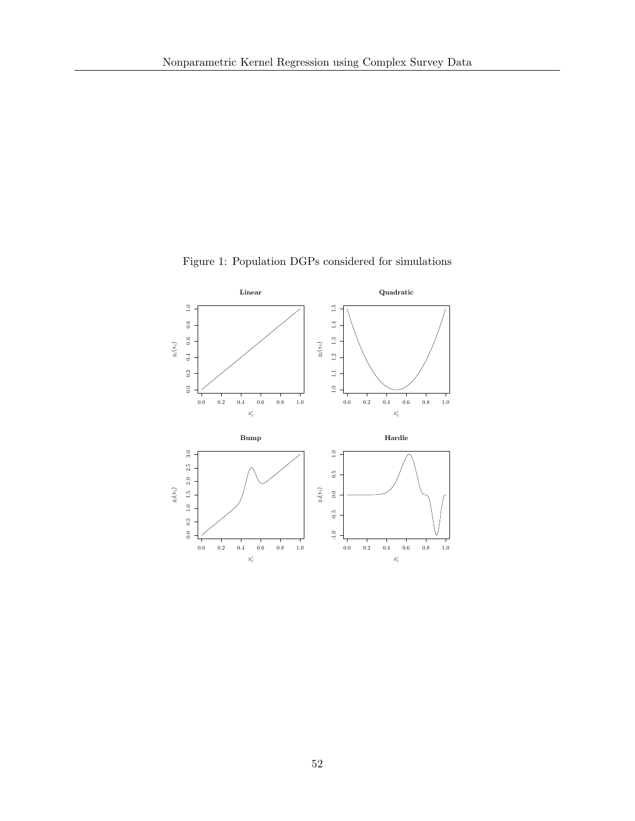

Figure 1: Population DGPs considered for simulations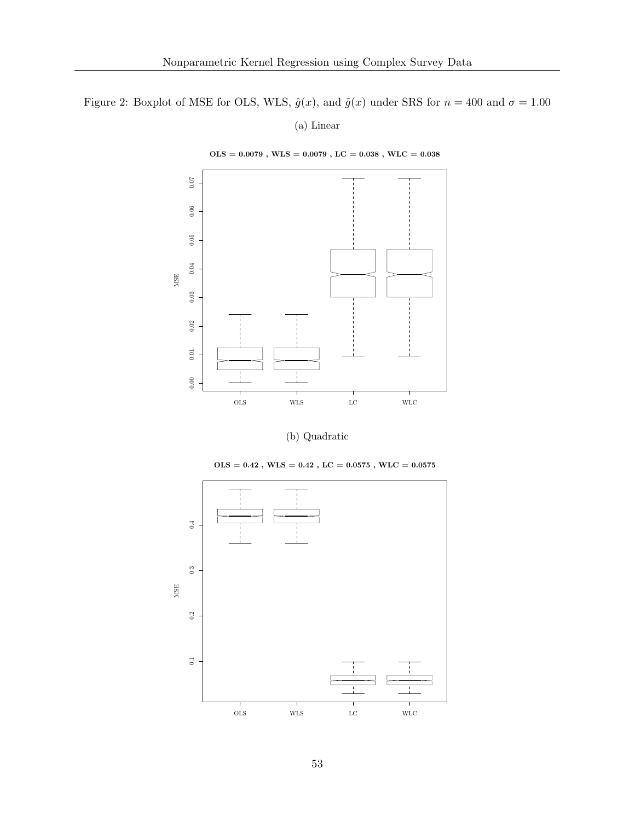Figure 2: Boxplot of MSE for OLS, WLS,  $\hat{g}(x)$ , and  $\tilde{g}(x)$  under SRS for  $n = 400$  and  $\sigma = 1.00$ 

(a) Linear

 $\mathrm{OLS} = 0.0079$  ,  $\mathrm{WLS} = 0.0079$  ,  $\mathrm{LC} = 0.038$  ,  $\mathrm{WLC} = 0.038$ 



(b) Quadratic

 $\mathrm{OLS} = 0.42$  ,  $\mathrm{WLS} = 0.42$  ,  $\mathrm{LC} = 0.0575$  ,  $\mathrm{WLC} = 0.0575$ 

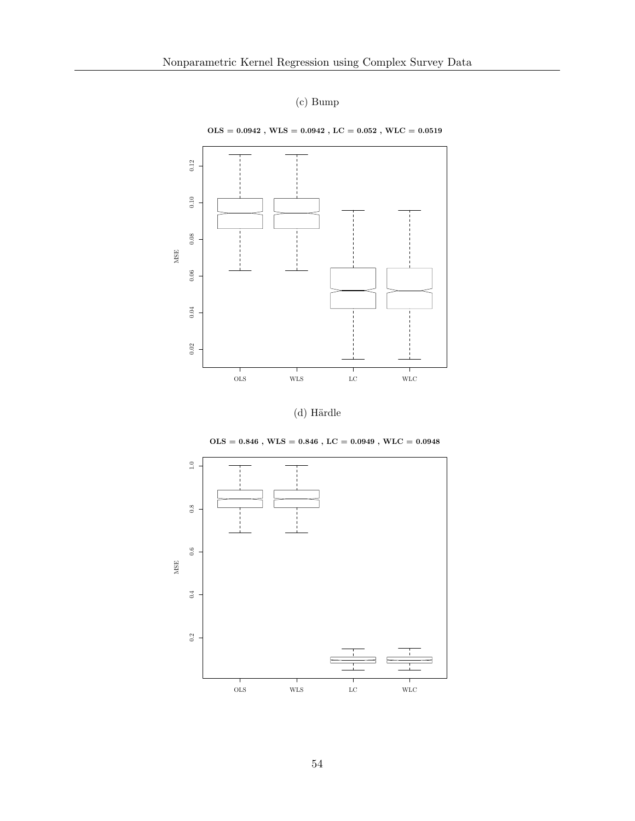









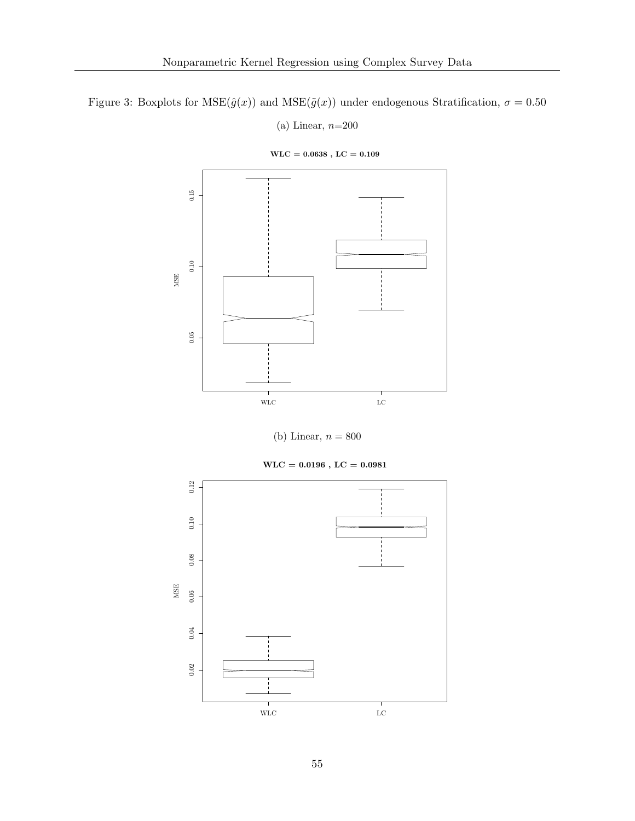Figure 3: Boxplots for  $MSE(\hat{g}(x))$  and  $MSE(\tilde{g}(x))$  under endogenous Stratification,  $\sigma = 0.50$ 

(a) Linear,  $n=200$ 



 $\text{WLC} = 0.0638$  ,  $\text{LC} = 0.109$ 

(b) Linear,  $n = 800$ 

 $\text{WLC} = 0.0196$  ,  $\text{LC} = 0.0981$ 

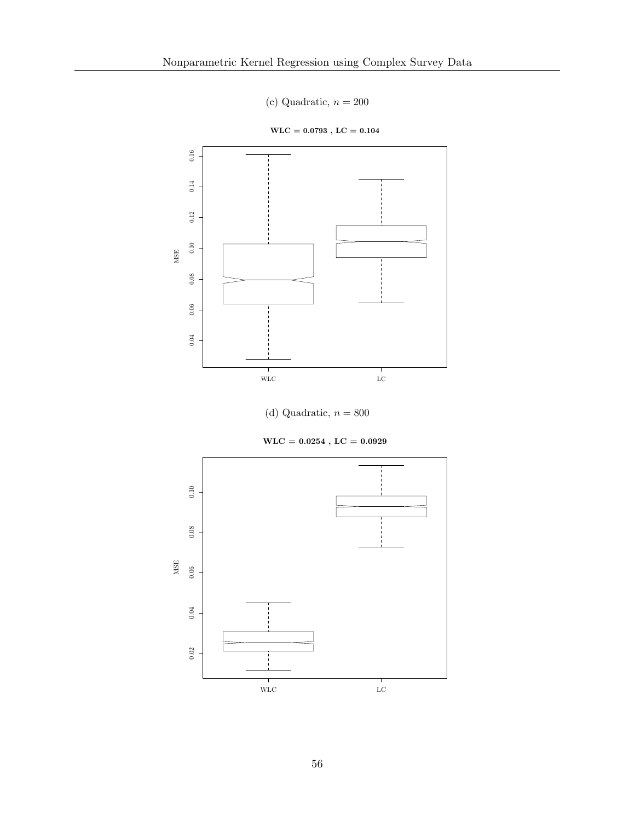- (c) Quadratic,  $n = 200$
- $\text{WLC} = 0.0793$  ,  $\text{LC} = 0.104$



(d) Quadratic,  $n = 800$ 

 $\text{WLC} = 0.0254$  ,  $\text{LC} = 0.0929$ 

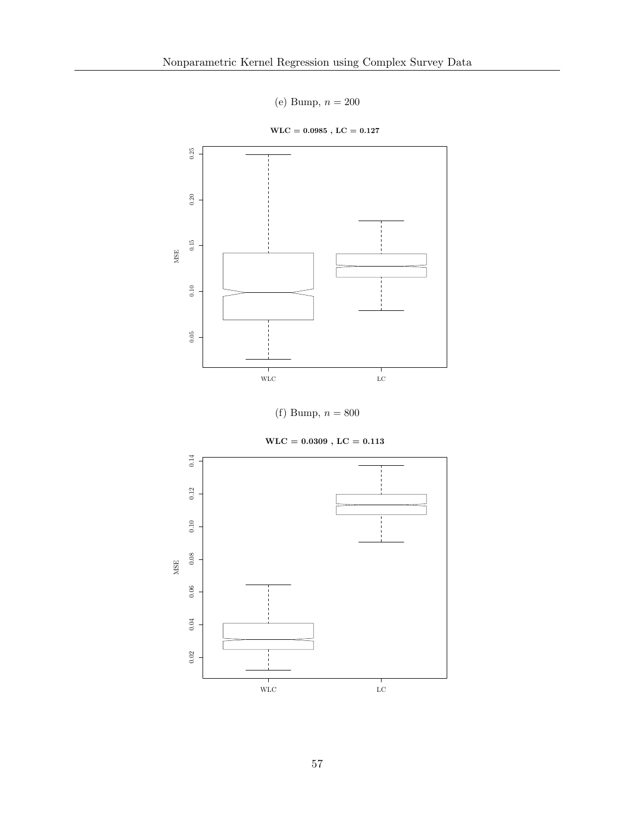(e) Bump,  $n = 200$ 

 $\text{WLC} = 0.0985$  ,  $\text{LC} = 0.127$ 



(f) Bump,  $n = 800$ 

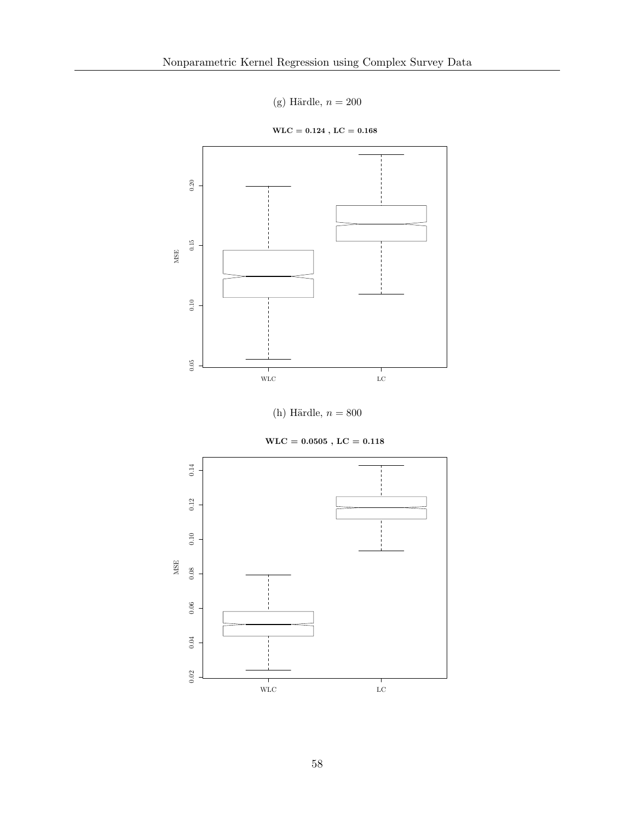(g) Härdle,  $n = 200$ 

 $\mathrm{WLC} = 0.124$  ,  $\mathrm{LC} = 0.168$ 



(h) Härdle,  $n = 800$ 

 $\mathrm{WLC} = 0.0505$  ,  $\mathrm{LC} = 0.118$ 

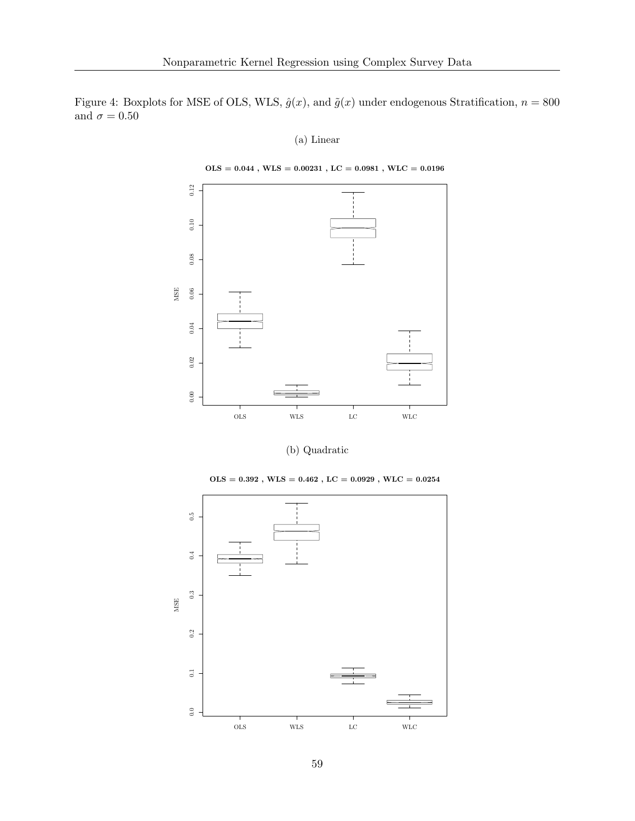Figure 4: Boxplots for MSE of OLS, WLS,  $\hat{g}(x)$ , and  $\tilde{g}(x)$  under endogenous Stratification,  $n = 800$ and  $\sigma=0.50$ 

(a) Linear

 $\mathrm{OLS}=0.044$  ,  $\mathrm{WLS}=0.00231$  ,  $\mathrm{LC}=0.0981$  ,  $\mathrm{WLC}=0.0196$ 



(b) Quadratic

 $\mathrm{OLS}=0.392$  ,  $\mathrm{WLS}=0.462$  ,  $\mathrm{LC}=0.0929$  ,  $\mathrm{WLC}=0.0254$ 

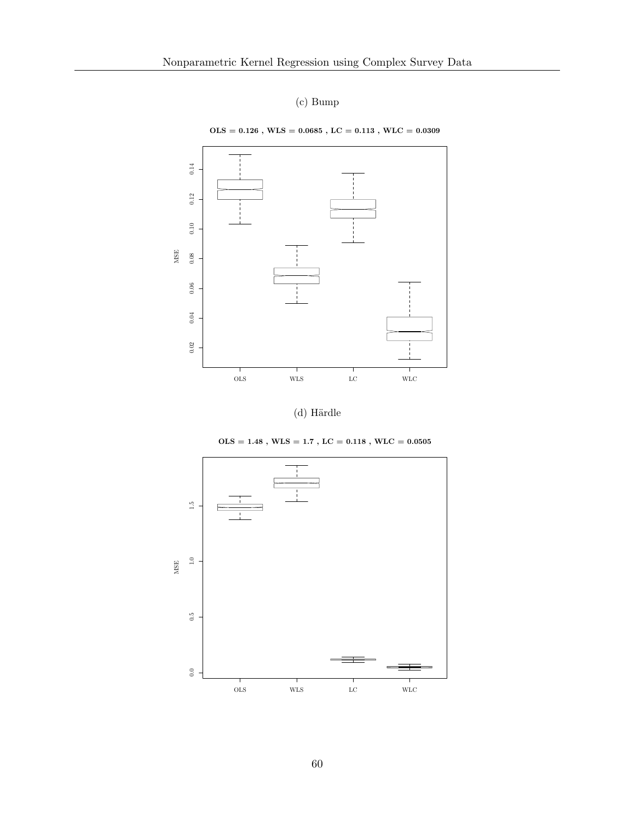### (c) Bump









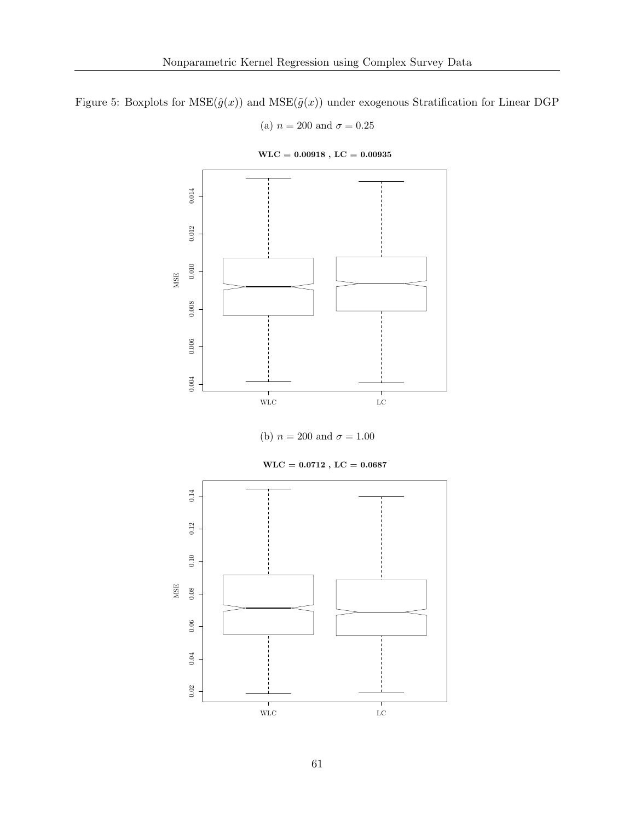Figure 5: Boxplots for  $MSE(\hat{g}(x))$  and  $MSE(\tilde{g}(x))$  under exogenous Stratification for Linear DGP

(a)  $n = 200$  and  $\sigma = 0.25$ 



 $\text{WLC} = 0.00918$  ,  $\text{LC} = 0.00935$ 

(b)  $n = 200$  and  $\sigma = 1.00$ 

 $\text{WLC} = 0.0712$  ,  $\text{LC} = 0.0687$ 

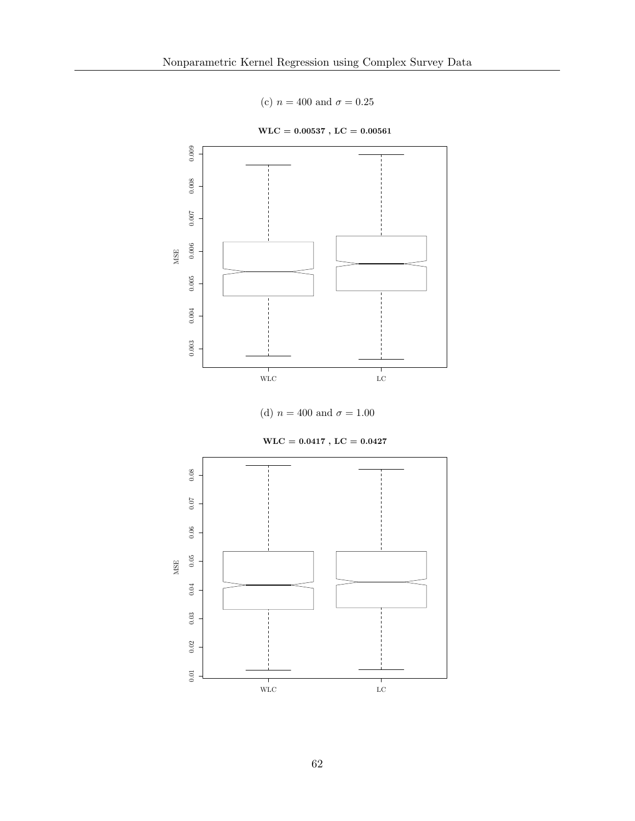(c)  $n = 400$  and  $\sigma = 0.25$ 



 $\text{WLC} = 0.00537$  ,  $\text{LC} = 0.00561$ 





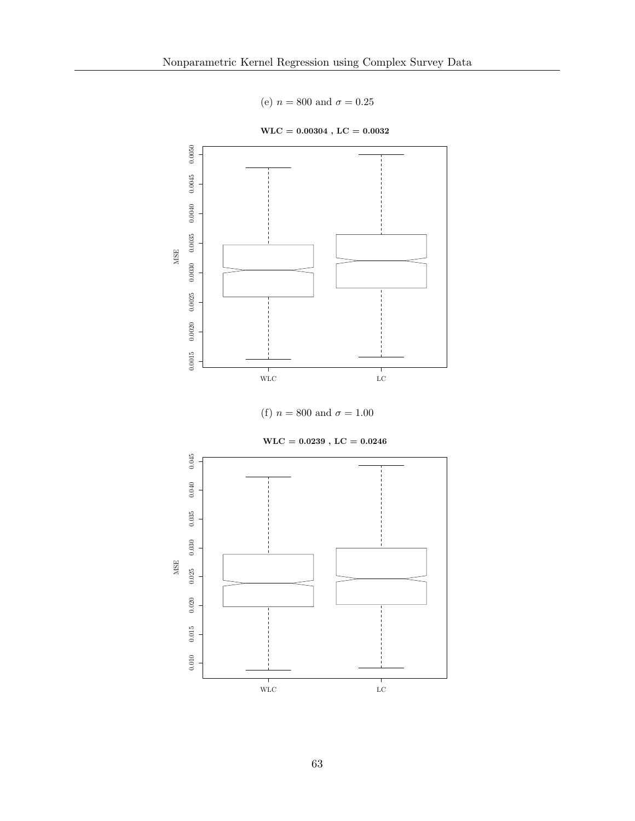(e)  $n = 800$  and  $\sigma = 0.25$ 



 $\text{WLC} = 0.00304$  ,  $\text{LC} = 0.0032$ 





 $\text{WLC} = 0.0239$  ,  $\text{LC} = 0.0246$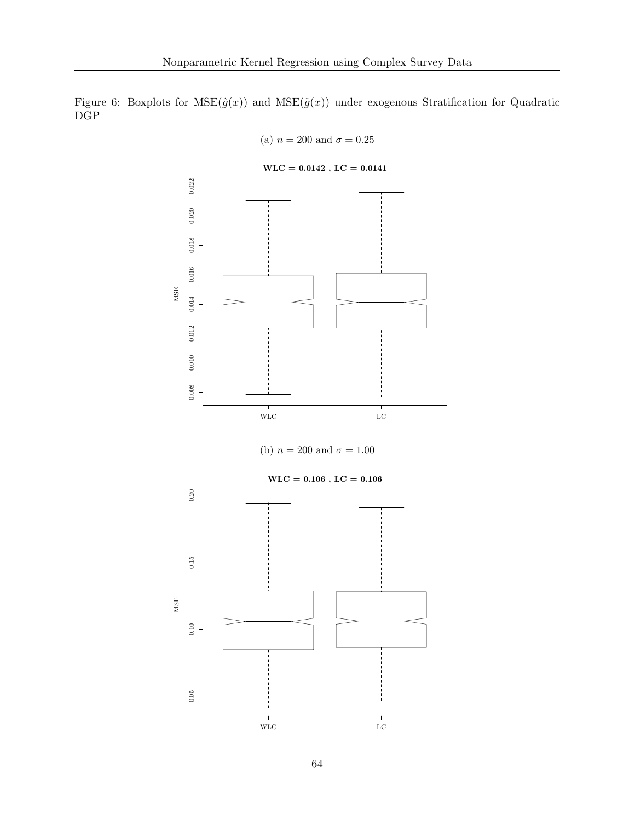Figure 6: Boxplots for  $MSE(\hat{g}(x))$  and  $MSE(\tilde{g}(x))$  under exogenous Stratification for Quadratic DGP

(a) 
$$
n = 200
$$
 and  $\sigma = 0.25$ 

 $0.022$ 0.008 0.009 0.010 0.010 0.010 0.010 0.010 0.010 0.010 0.016 0.017 0.022<br>0.022<br>0.021  $0.020$  $0.018\,$  $0.016\,$ MSE  $0.014\,$  $0.012\,$  $0.010\,$  $0.008$  $$\tt MC$$ 

 $\text{WLC} = 0.0142$  ,  $\text{LC} = 0.0141$ 



 $\mathrm{WLC} = 0.106$  ,  $\mathrm{LC} = 0.106$  $0.20\,$ 0.05 0.10 0.10 0.15 0.20  $0.15$ MSE  $\rm 0.10$  $0.05\,$  $$\tt MLC$$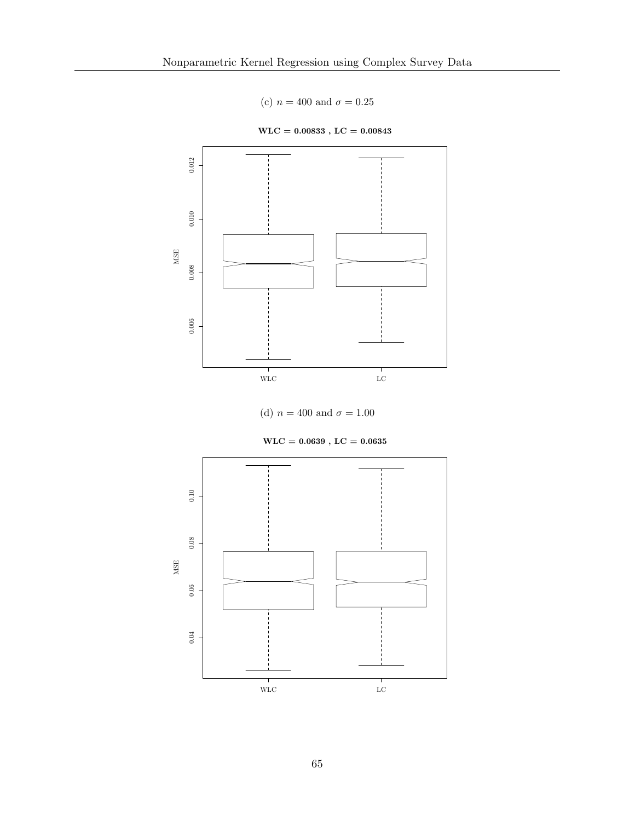(c)  $n = 400$  and  $\sigma = 0.25$ 



 $\text{WLC} = 0.00833$  ,  $\text{LC} = 0.00843$ 



 $\text{WLC} = 0.0639$  ,  $\text{LC} = 0.0635$ 

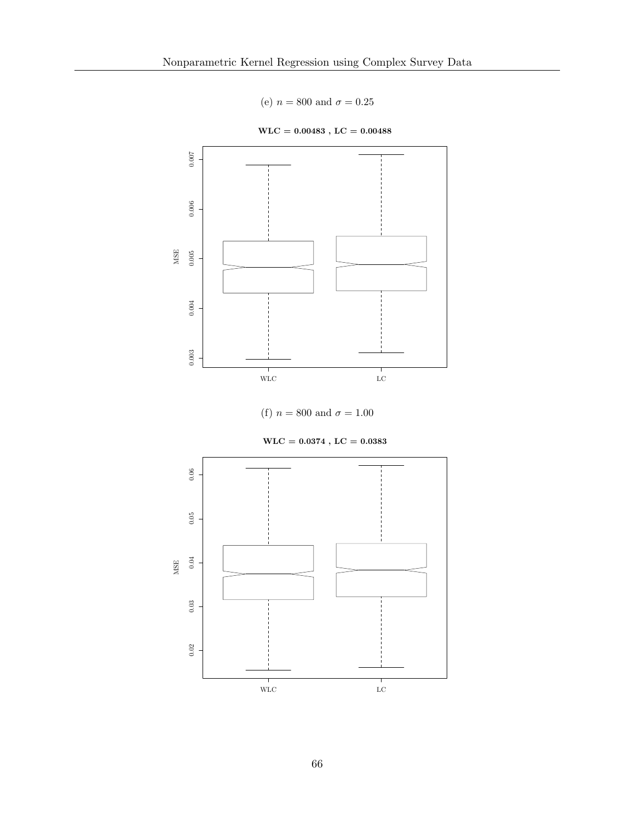(e)  $n = 800$  and  $\sigma = 0.25$ 









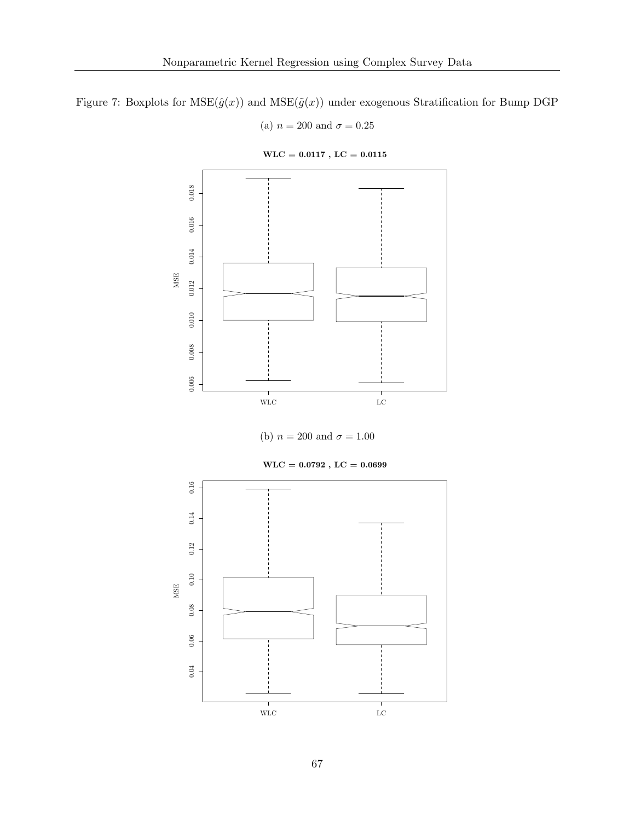Figure 7: Boxplots for  $MSE(\hat{g}(x))$  and  $MSE(\tilde{g}(x))$  under exogenous Stratification for Bump DGP

(a)  $n = 200$  and  $\sigma = 0.25$ 



 $\text{WLC} = 0.0117$  ,  $\text{LC} = 0.0115$ 

(b)  $n = 200$  and  $\sigma = 1.00$ 



 $\text{WLC} = 0.0792$  ,  $\text{LC} = 0.0699$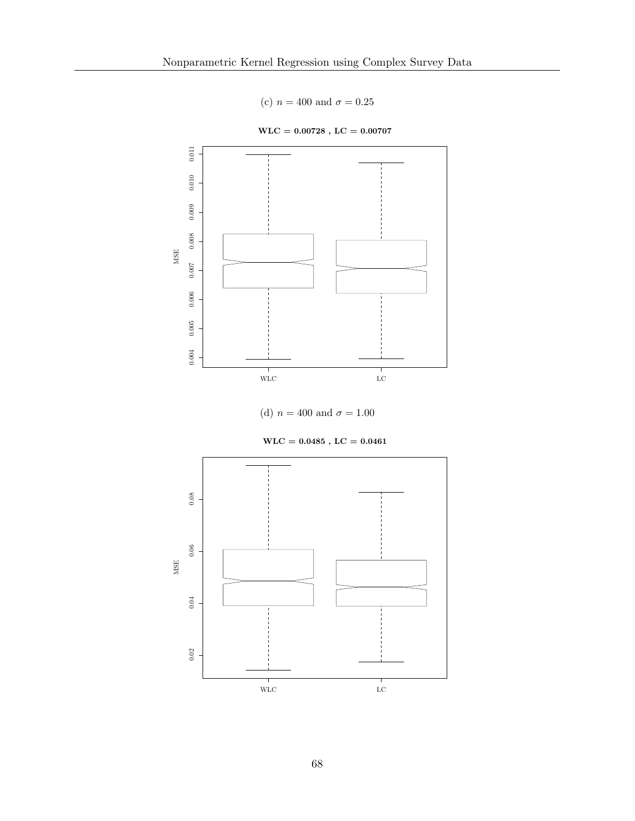(c)  $n = 400$  and  $\sigma = 0.25$ 



 $\text{WLC} = 0.00728$  ,  $\text{LC} = 0.00707$ 



 $\text{WLC} = 0.0485$  ,  $\text{LC} = 0.0461$ 

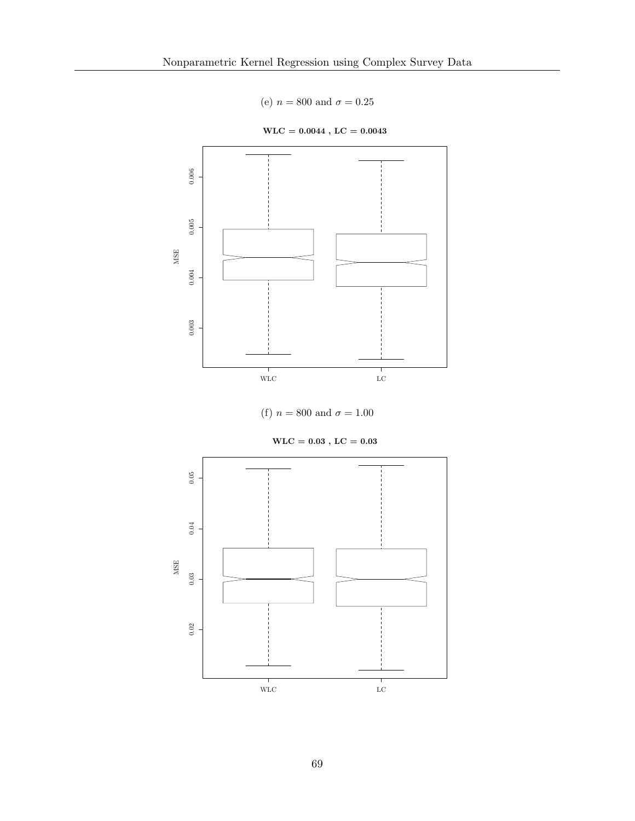(e)  $n = 800$  and  $\sigma = 0.25$ 



 $\text{WLC} = 0.0044$  ,  $\text{LC} = 0.0043$ 



 $\mathrm{WLC} = 0.03$  ,  $\mathrm{LC} = 0.03$ 

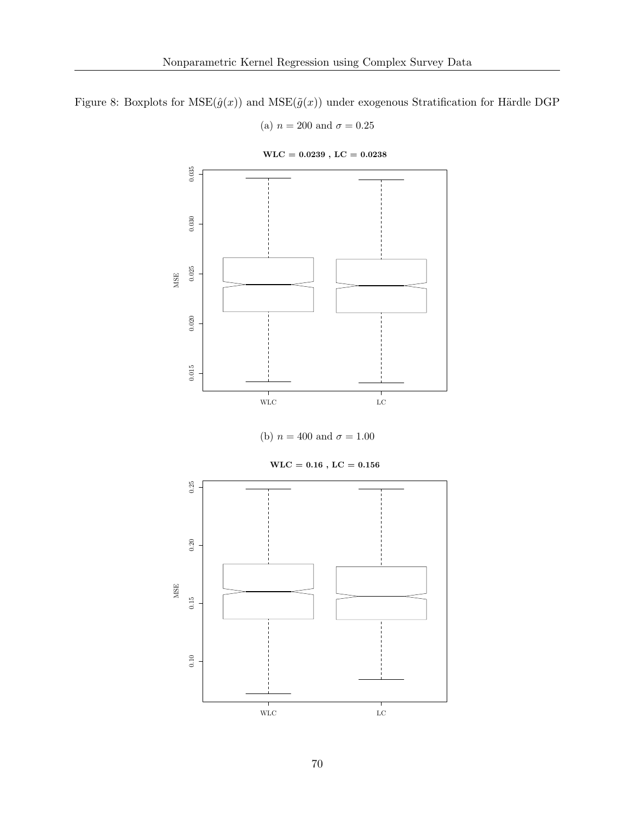Figure 8: Boxplots for  $MSE(\hat{g}(x))$  and  $MSE(\tilde{g}(x))$  under exogenous Stratification for Härdle DGP

(a)  $n = 200$  and  $\sigma = 0.25$ 



 $\text{WLC} = 0.0239$  ,  $\text{LC} = 0.0238$ 

(b)  $n = 400$  and  $\sigma = 1.00$ 

 $\mathrm{WLC} = 0.16$  ,  $\mathrm{LC} = 0.156$ 

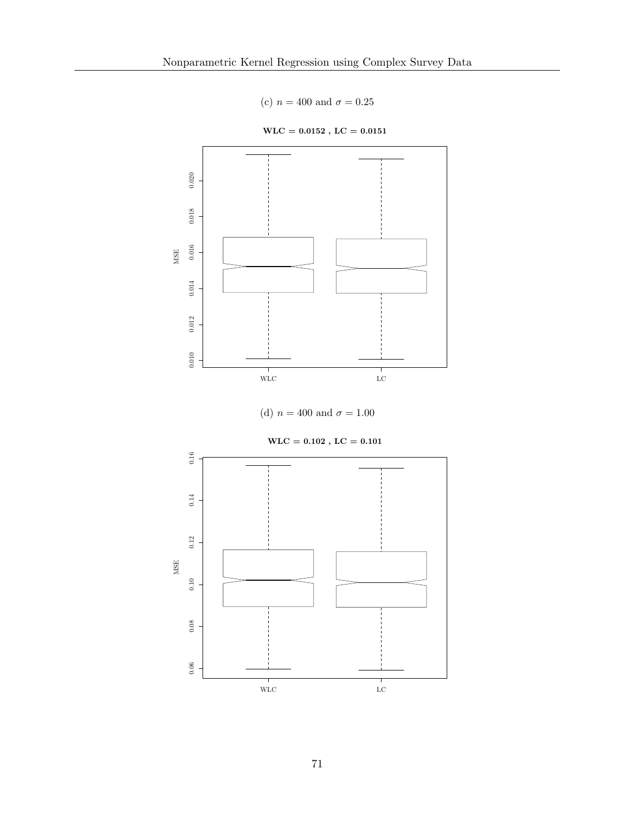(c)  $n = 400$  and  $\sigma = 0.25$ 



 $\text{WLC} = 0.0152$  ,  $\text{LC} = 0.0151$ 



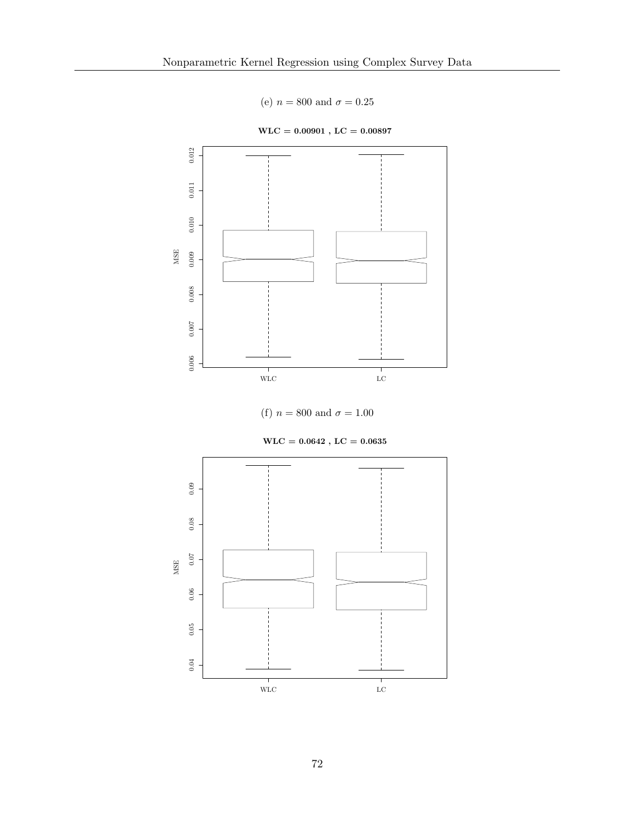(e)  $n = 800$  and  $\sigma = 0.25$ 



 $\text{WLC} = 0.00901$  ,  $\text{LC} = 0.00897$ 



 $\text{WLC} = 0.0642$  ,  $\text{LC} = 0.0635$